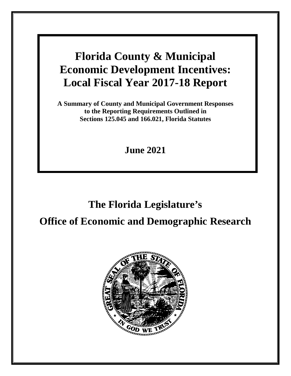**A Summary of County and Municipal Government Responses to the Reporting Requirements Outlined in Sections 125.045 and 166.021, Florida Statutes**

**June 2021**

# **The Florida Legislature's Office of Economic and Demographic Research**

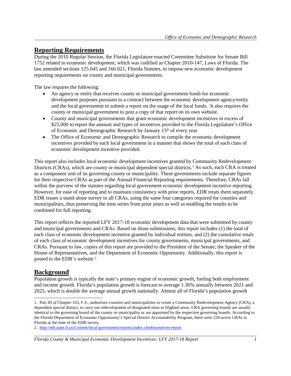# **Reporting Requirements**

During the 2010 Regular Session, the Florida Legislature enacted Committee Substitute for Senate Bill 1752 related to economic development, which was codified as Chapter 2010-147, Laws of Florida. The law amended sections 125.045 and 166.021, Florida Statutes, to impose new economic development reporting requirements on county and municipal governments.

The law requires the following:

- An agency or entity that receives county or municipal government funds for economic development purposes pursuant to a contract between the economic development agency/entity and the local government to submit a report on the usage of the local funds. It also requires the county or municipal government to post a copy of that report on its own website.
- County and municipal governments that grant economic development incentives in excess of \$25,000 to report the amount and types of incentives provided to the Florida Legislature's Office of Economic and Demographic Research by January 15<sup>th</sup> of every year.
- The Office of Economic and Demographic Research to compile the economic development incentives provided by each local government in a manner that shows the total of each class of economic development incentive provided.

This report also includes local economic development incentives granted by Community Redevelopment Districts (CRAs), which are county or municipal dependent special districts.<sup>[1](#page-2-0)</sup> As such, each CRA is treated as a component unit of its governing county or municipality. These governments include separate figures for their respective CRAs as part of the Annual Financial Reporting requirements. Therefore, CRAs fall within the purview of the statutes regarding local government economic development incentive reporting. However, for ease of reporting and to maintain consistency with prior reports, EDR treats them separately. EDR issues a stand-alone survey to all CRAs, using the same four categories required for counties and municipalities, thus preserving the time series from prior years as well as enabling the results to be combined for full reporting.

This report reflects the reported LFY 2017-18 economic development data that were submitted by county and municipal governments and CRAs. Based on those submissions, this report includes (1) the total of each class of economic development incentive granted by individual entities, and (2) the cumulative totals of each class of economic development incentives for county governments, municipal governments, and CRAs. Pursuant to law, copies of this report are provided to the President of the Senate, the Speaker of the House of Representatives, and the Department of Economic Opportunity. Additionally, this report is posted to the EDR's website. [2](#page-2-1)

# **Background**

 $\overline{a}$ 

Population growth is typically the state's primary engine of economic growth, fueling both employment and income growth. Florida's population growth is forecast to average 1.36% annually between 2021 and 2025, which is double the average annual growth nationally. Almost all of Florida's population growth

<span id="page-2-0"></span><sup>1.</sup> Part III of Chapter 163, F.S., authorizes counties and municipalities to create a Community Redevelopment Agency (CRA), a dependent special district, to carry out redevelopment of designated slum or blighted areas. CRA governing boards are usually identical to the governing board of the county or municipality or are appointed by the respective governing boards. According to the Florida Department of Economic Opportunity's Special District Accountability Program, there were 228 active CRAs in Florida at the time of the EDR survey.

<span id="page-2-1"></span><sup>2.</sup><http://edr.state.fl.us/Content/local-government/reports/index.cfm#incentives-report>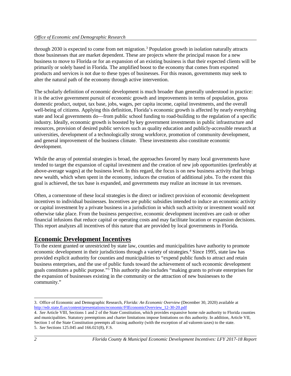through 2030 is expected to come from net migration.[3](#page-3-0) Population growth in isolation naturally attracts those businesses that are market dependent. These are projects where the principal reason for a new business to move to Florida or for an expansion of an existing business is that their expected clients will be primarily or solely based in Florida. The amplified boost to the economy that comes from exported products and services is not due to these types of businesses. For this reason, governments may seek to alter the natural path of the economy through active intervention.

The scholarly definition of economic development is much broader than generally understood in practice: it is the active government pursuit of economic growth and improvements in terms of population, gross domestic product, output, tax base, jobs, wages, per capita income, capital investments, and the overall well-being of citizens. Applying this definition, Florida's economic growth is affected by nearly everything state and local governments do—from public school funding to road-building to the regulation of a specific industry. Ideally, economic growth is boosted by key government investments in public infrastructure and resources, provision of desired public services such as quality education and publicly-accessible research at universities, development of a technologically strong workforce, promotion of community development, and general improvement of the business climate. These investments also constitute economic development.

While the array of potential strategies is broad, the approaches favored by many local governments have tended to target the expansion of capital investment and the creation of new job opportunities (preferably at above-average wages) at the business level. In this regard, the focus is on new business activity that brings new wealth, which when spent in the economy, induces the creation of additional jobs. To the extent this goal is achieved, the tax base is expanded, and governments may realize an increase in tax revenues.

Often, a cornerstone of these local strategies is the direct or indirect provision of economic development incentives to individual businesses. Incentives are public subsidies intended to induce an economic activity or capital investment by a private business in a jurisdiction in which such activity or investment would not otherwise take place. From the business perspective, economic development incentives are cash or other financial infusions that reduce capital or operating costs and may facilitate location or expansion decisions. This report analyzes all incentives of this nature that are provided by local governments in Florida.

# **Economic Development Incentives**

To the extent granted or unrestricted by state law, counties and municipalities have authority to promote economic development in their jurisdictions through a variety of strategies.[4](#page-3-1) Since 1995, state law has provided explicit authority for counties and municipalities to "expend public funds to attract and retain business enterprises, and the use of public funds toward the achievement of such economic development goals constitutes a public purpose."[5](#page-3-2) This authority also includes "making grants to private enterprises for the expansion of businesses existing in the community or the attraction of new businesses to the community."

<span id="page-3-0"></span> $\overline{a}$ 3. Office of Economic and Demographic Research, *Florida: An Economic Overview* (December 30, 2020) available at [http://edr.state.fl.us/content/presentations/economic/FIEconomicOverview\\_12-30-20.pdf](http://edr.state.fl.us/content/presentations/economic/FIEconomicOverview_12-30-20.pdf)

<span id="page-3-2"></span><span id="page-3-1"></span><sup>4.</sup> *See* Article VIII, Sections 1 and 2 of the State Constitution, which provides expansive home rule authority to Florida counties and municipalities. Statutory preemptions and charter limitations impose limitations on this authority. In addition, Article VII, Section 1 of the State Constitution preempts all taxing authority (with the exception of ad valorem taxes) to the state. 5. *See* Sections 125.045 and 166.021(8), F.S.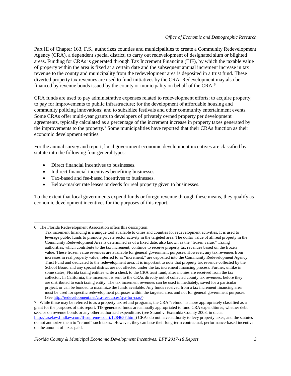Part III of Chapter 163, F.S., authorizes counties and municipalities to create a Community Redevelopment Agency (CRA), a dependent special district, to carry out redevelopment of designated slum or blighted areas. Funding for CRAs is generated through Tax Increment Financing (TIF), by which the taxable value of property within the area is fixed at a certain date and the subsequent annual increment increase in tax revenue to the county and municipality from the redevelopment area is deposited in a trust fund. These diverted property tax revenues are used to fund initiatives by the CRA. Redevelopment may also be financed by revenue bonds issued by the county or municipality on behalf of the CRA.[6](#page-4-0)

CRA funds are used to pay administrative expenses related to redevelopment efforts; to acquire property; to pay for improvements to public infrastructure; for the development of affordable housing and community policing innovations; and to subsidize festivals and other community entertainment events. Some CRAs offer multi-year grants to developers of privately owned property per development agreements, typically calculated as a percentage of the increment increase in property taxes generated by the improvements to the property.[7](#page-4-1) Some municipalities have reported that their CRAs function as their economic development entities.

For the annual survey and report, local government economic development incentives are classified by statute into the following four general types:

- Direct financial incentives to businesses.
- Indirect financial incentives benefiting businesses.
- Tax-based and fee-based incentives to businesses.
- Below-market rate leases or deeds for real property given to businesses.

To the extent that local governments expend funds or forego revenue through these means, they qualify as economic development incentives for the purposes of this report.

 $\overline{a}$ 

<span id="page-4-0"></span><sup>6.</sup> The Florida Redevelopment Association offers this description:

Tax increment financing is a unique tool available to cities and counties for redevelopment activities. It is used to leverage public funds to promote private sector activity in the targeted area. The dollar value of all real property in the Community Redevelopment Area is determined as of a fixed date, also known as the "frozen value." Taxing authorities, which contribute to the tax increment, continue to receive property tax revenues based on the frozen value. These frozen value revenues are available for general government purposes. However, any tax revenues from increases in real property value, referred to as "increment," are deposited into the Community Redevelopment Agency Trust Fund and dedicated to the redevelopment area. It is important to note that property tax revenue collected by the School Board and any special district are not affected under the tax increment financing process. Further, unlike in some states, Florida taxing entities write a check to the CRA trust fund, after monies are received from the tax collector. In California, the increment is sent to the CRAs directly out of collected county tax revenues, before they are distributed to each taxing entity. The tax increment revenues can be used immediately, saved for a particular project, or can be bonded to maximize the funds available. Any funds received from a tax increment financing area must be used for specific redevelopment purposes within the targeted area, and not for general government purposes. (See [http://redevelopment.net/cra-resources/q-a-for-cras/\)](http://redevelopment.net/cra-resources/q-a-for-cras/)

<span id="page-4-1"></span><sup>7.</sup> While these may be referred to as a property tax refund programs, the CRA "refund" is more appropriately classified as a grant for the purposes of this report. TIF-generated funds are annually appropriated to fund CRA expenditures, whether debt service on revenue bonds or any other authorized expenditure. (see Strand v. Escambia County 2008, in dicta. [http://caselaw.findlaw.com/fl-supreme-court/1284657.html\)](http://caselaw.findlaw.com/fl-supreme-court/1284657.html) CRAs do not have authority to levy property taxes, and the statutes do not authorize them to "refund" such taxes. However, they can base their long-term contractual, performance-based incentive on the amount of taxes paid.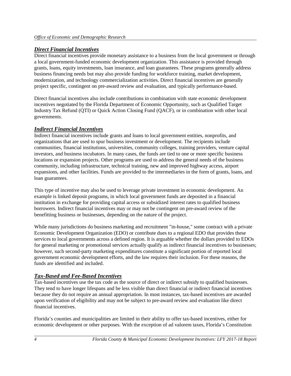## *Direct Financial Incentives*

Direct financial incentives provide monetary assistance to a business from the local government or through a local government-funded economic development organization. This assistance is provided through grants, loans, equity investments, loan insurance, and loan guarantees. These programs generally address business financing needs but may also provide funding for workforce training, market development, modernization, and technology commercialization activities. Direct financial incentives are generally project specific, contingent on pre-award review and evaluation, and typically performance-based.

Direct financial incentives also include contributions in combination with state economic development incentives negotiated by the Florida Department of Economic Opportunity, such as Qualified Target Industry Tax Refund (QTI) or Quick Action Closing Fund (QACF), or in combination with other local governments.

## *Indirect Financial Incentives*

Indirect financial incentives include grants and loans to local government entities, nonprofits, and organizations that are used to spur business investment or development. The recipients include communities, financial institutions, universities, community colleges, training providers, venture capital investors, and business incubators. In many cases, the funds are tied to one or more specific business locations or expansion projects. Other programs are used to address the general needs of the business community, including infrastructure, technical training, new and improved highway access, airport expansions, and other facilities. Funds are provided to the intermediaries in the form of grants, loans, and loan guarantees.

This type of incentive may also be used to leverage private investment in economic development. An example is linked deposit programs, in which local government funds are deposited in a financial institution in exchange for providing capital access or subsidized interest rates to qualified business borrowers. Indirect financial incentives may or may not be contingent on pre-award review of the benefitting business or businesses, depending on the nature of the project.

While many jurisdictions do business marketing and recruitment "in-house," some contract with a private Economic Development Organization (EDO) or contribute dues to a regional EDO that provides these services to local governments across a defined region. It is arguable whether the dollars provided to EDOs for general marketing or promotional services actually qualify as indirect financial incentives to businesses; however, such second-party marketing expenditures constitute a significant portion of reported local government economic development efforts, and the law requires their inclusion. For these reasons, the funds are identified and included.

# *Tax-Based and Fee-Based Incentives*

Tax-based incentives use the tax code as the source of direct or indirect subsidy to qualified businesses. They tend to have longer lifespans and be less visible than direct financial or indirect financial incentives because they do not require an annual appropriation. In most instances, tax-based incentives are awarded upon verification of eligibility and may not be subject to pre-award review and evaluation like direct financial incentives.

Florida's counties and municipalities are limited in their ability to offer tax-based incentives, either for economic development or other purposes. With the exception of ad valorem taxes, Florida's Constitution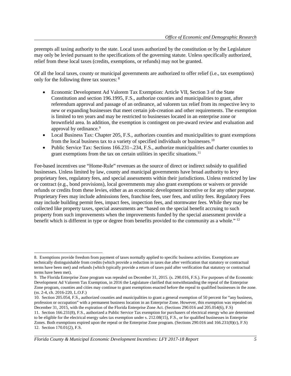preempts all taxing authority to the state. Local taxes authorized by the constitution or by the Legislature may only be levied pursuant to the specifications of the governing statute. Unless specifically authorized, relief from these local taxes (credits, exemptions, or refunds) may not be granted.

Of all the local taxes, county or municipal governments are authorized to offer relief (i.e., tax exemptions) only for the following three tax sources: [8](#page-6-0)

- Economic Development Ad Valorem Tax Exemption: Article VII, Section 3 of the State Constitution and section 196.1995, F.S., authorize counties and municipalities to grant, after referendum approval and passage of an ordinance, ad valorem tax relief from its respective levy to new or expanding businesses that meet certain job-creation and other requirements. The exemption is limited to ten years and may be restricted to businesses located in an enterprise zone or brownfield area. In addition, the exemption is contingent on pre-award review and evaluation and approval by ordinance.<sup>[9](#page-6-1)</sup>
- Local Business Tax: Chapter 205, F.S., authorizes counties and municipalities to grant exemptions from the local business tax to a variety of specified individuals or businesses.<sup>[10](#page-6-2)</sup>
- Public Service Tax: Sections 166.231–.234, F.S., authorize municipalities and charter counties to grant exemptions from the tax on certain utilities in specific situations.<sup>[11](#page-6-3)</sup>

Fee-based incentives use "Home-Rule" revenues as the source of direct or indirect subsidy to qualified businesses. Unless limited by law, county and municipal governments have broad authority to levy proprietary fees, regulatory fees, and special assessments within their jurisdictions. Unless restricted by law or contract (e.g., bond provisions), local governments may also grant exemptions or waivers or provide refunds or credits from these levies, either as an economic development incentive or for any other purpose. Proprietary Fees may include admissions fees, franchise fees, user fees, and utility fees. Regulatory Fees may include building permit fees, impact fees, inspection fees, and stormwater fees. While they may be collected like property taxes, special assessments are "based on the special benefit accruing to such property from such improvements when the improvements funded by the special assessment provide a benefit which is different in type or degree from benefits provided to the community as a whole." [12](#page-6-4)

<span id="page-6-0"></span> $\overline{a}$ 8. Exemptions provide freedom from payment of taxes normally applied to specific business activities. Exemptions are technically distinguishable from credits (which provide a reduction in taxes due after verification that statutory or contractual terms have been met) and refunds (which typically provide a return of taxes paid after verification that statutory or contractual terms have been met).

<span id="page-6-1"></span><sup>9.</sup> The Florida Enterprise Zone program was repealed on December 31, 2015. (s. 290.016, F.S.). For purposes of the Economic Development Ad Valorem Tax Exemption, in 2016 the Legislature clarified that notwithstanding the repeal of the Enterprise Zone program, counties and cities may continue to grant exemptions enacted before the repeal to qualified businesses in the zone. (ss. 2-4, ch. 2016-220, L.O.F.)

<span id="page-6-4"></span><span id="page-6-3"></span><span id="page-6-2"></span><sup>10.</sup> Section 205.054, F.S., authorized counties and municipalities to grant a general exemption of 50 percent for "any business, profession or occupation" with a permanent business location in an Enterprise Zone. However, this exemption was repealed on December 31, 2015, with the expiration of the Florida Enterprise Zone Act. (Sections 290.016 and 205.054(6), F.S) 11. Section 166.231(8), F.S., authorized a Public Service Tax exemption for purchasers of electrical energy who are determined to be eligible for the electrical energy sales tax exemption under s. 212.08(15), F.S., or for qualified businesses in Enterprise Zones. Both exemptions expired upon the repeal or the Enterprise Zone program. (Sections 290.016 and 166.231(8)(c), F.S) 12. Section 170.01(2), F.S.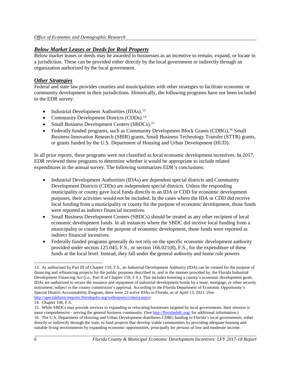#### *Below Market Leases or Deeds for Real Property*

Below market leases or deeds may be awarded to businesses as an incentive to remain, expand, or locate in a jurisdiction. These can be provided either directly by the local government or indirectly through an organization authorized by the local government.

#### *Other Strategies*

Federal and state law provides counties and municipalities with other strategies to facilitate economic or community development in their jurisdictions. Historically, the following programs have not been included in the EDR survey:

- Industrial Development Authorities (IDAs).<sup>[13](#page-7-0)</sup>
- Community Development Districts (CDDs).<sup>[14](#page-7-1)</sup>
- Small Business Development Centers (SBDCs).<sup>[15](#page-7-2)</sup>
- Federally funded programs, such as Community Development Block Grants (CDBG),<sup>[16](#page-7-3)</sup> Small Business Innovation Research (SBIR) grants, Small Business Technology Transfer (STTR) grants, or grants funded by the U.S. Department of Housing and Urban Development (HUD).

In all prior reports, these programs were not classified as local economic development incentives. In 2017, EDR reviewed these programs to determine whether it would be appropriate to include related expenditures in the annual survey. The following summarizes EDR's conclusions:

- Industrial Development Authorities (IDAs) are dependent special districts and Community Development Districts (CDDs) are independent special districts. Unless the responding municipality or county gave local funds directly to an IDA or CDD for economic development purposes, their activities would not be included. In the cases where the IDA or CDD did receive local funding from a municipality or county for the purpose of economic development, those funds were reported as indirect financial incentives.
- Small Business Development Centers (SBDCs) should be treated as any other recipient of local economic development funds. In all instances where the SBDC did receive local funding from a municipality or county for the purpose of economic development, those funds were reported as indirect financial incentives.
- Federally funded programs generally do not rely on the specific economic development authority provided under section 125.045, F.S., or section 166.021(8), F.S., for the expenditure of these funds at the local level. Instead, they fall under the general authority and home rule powers

 $\overline{a}$ 

<span id="page-7-0"></span><sup>13.</sup> As authorized by Part III of Chapter 159, F.S., an Industrial Development Authority (IDA) can be created for the purpose of financing and refinancing projects for the public purposes described in, and in the manner provided by, the Florida Industrial Development Financing Act (i.e., Part II of Chapter 159, F.S.). This includes fostering a county's economic development goals. IDAs are authorized to secure the issuance and repayment of industrial development bonds by a lease, mortgage, or other security instrument, subject to the county commission's approval. According to the Florida Department of Economic Opportunity's Special District Accountability Program, there were 23 active IDAs in Florida, as of April 13, 2021. (See [http://specialdistrictreports.floridajobs.org/webreports/criteria.aspx\)](http://specialdistrictreports.floridajobs.org/webreports/criteria.aspx)

<span id="page-7-1"></span><sup>14.</sup> Chapter 190, F.S.

<span id="page-7-3"></span><span id="page-7-2"></span><sup>15.</sup> While SBDCs may provide services to expanding or relocating businesses targeted by local governments, their mission is more comprehensive - serving the general business community. (Se[e http://floridasbdc.org/](http://floridasbdc.org/) for additional information.) 16. The U.S. Department of Housing and Urban Development distributes CDBG funding to Florida's local governments, either directly or indirectly through the state, to fund projects that develop viable communities by providing adequate housing and suitable living environments by expanding economic opportunities, principally for persons of low and moderate income.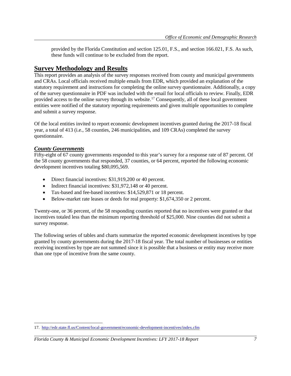provided by the Florida Constitution and section 125.01, F.S., and section 166.021, F.S. As such, these funds will continue to be excluded from the report.

# **Survey Methodology and Results**

This report provides an analysis of the survey responses received from county and municipal governments and CRAs. Local officials received multiple emails from EDR, which provided an explanation of the statutory requirement and instructions for completing the online survey questionnaire. Additionally, a copy of the survey questionnaire in PDF was included with the email for local officials to review. Finally, EDR provided access to the online survey through its website.[17](#page-8-0) Consequently, all of these local government entities were notified of the statutory reporting requirements and given multiple opportunities to complete and submit a survey response.

Of the local entities invited to report economic development incentives granted during the 2017-18 fiscal year, a total of 413 (i.e., 58 counties, 246 municipalities, and 109 CRAs) completed the survey questionnaire.

#### *County Governments*

 $\overline{a}$ 

Fifty-eight of 67 county governments responded to this year's survey for a response rate of 87 percent. Of the 58 county governments that responded, 37 counties, or 64 percent, reported the following economic development incentives totaling \$80,095,569.

- Direct financial incentives: \$31,919,200 or 40 percent.
- Indirect financial incentives: \$31,972,148 or 40 percent.
- Tax-based and fee-based incentives: \$14,529,871 or 18 percent.
- Below-market rate leases or deeds for real property: \$1,674,350 or 2 percent.

Twenty-one, or 36 percent, of the 58 responding counties reported that no incentives were granted or that incentives totaled less than the minimum reporting threshold of \$25,000. Nine counties did not submit a survey response.

The following series of tables and charts summarize the reported economic development incentives by type granted by county governments during the 2017-18 fiscal year. The total number of businesses or entities receiving incentives by type are not summed since it is possible that a business or entity may receive more than one type of incentive from the same county.

<span id="page-8-0"></span><sup>17.</sup> <http://edr.state.fl.us/Content/local-government/economic-development-incentives/index.cfm>

*Florida County & Municipal Economic Development Incentives: LFY 2017-18 Report 7*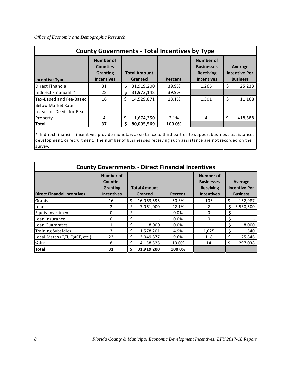|                                               | <b>County Governments - Total Incentives by Type</b>          |    |                                |         |                                                                         |   |                                                    |  |  |  |  |  |  |
|-----------------------------------------------|---------------------------------------------------------------|----|--------------------------------|---------|-------------------------------------------------------------------------|---|----------------------------------------------------|--|--|--|--|--|--|
| <b>Incentive Type</b>                         | Number of<br><b>Counties</b><br>Granting<br><b>Incentives</b> |    | <b>Total Amount</b><br>Granted | Percent | Number of<br><b>Businesses</b><br><b>Receiving</b><br><b>Incentives</b> |   | Average<br><b>Incentive Per</b><br><b>Business</b> |  |  |  |  |  |  |
| Direct Financial                              | 31                                                            | Ŝ. | 31,919,200                     | 39.9%   | 1,265                                                                   | Ś | 25,233                                             |  |  |  |  |  |  |
| Indirect Financial *                          | 28                                                            | Ś  | 31,972,148                     | 39.9%   |                                                                         |   |                                                    |  |  |  |  |  |  |
| Tax-Based and Fee-Based                       | 16                                                            | Ś  | 14,529,871                     | 18.1%   | 1,301                                                                   | Ś | 11,168                                             |  |  |  |  |  |  |
| Below Market Rate<br>Leases or Deeds for Real |                                                               |    |                                |         |                                                                         |   |                                                    |  |  |  |  |  |  |
| Property                                      | 4                                                             | \$ | 1,674,350                      | 2.1%    | 4                                                                       |   | 418,588                                            |  |  |  |  |  |  |
| <b>Total</b>                                  | 37                                                            | Ŝ. | 80,095,569                     | 100.0%  |                                                                         |   |                                                    |  |  |  |  |  |  |

\* Indirect financial incentives provide monetary assistance to third parties to support business assistance, development, or recruitment. The number of businesses receiving such assistance are not recorded on the survey.

|                                    | <b>County Governments - Direct Financial Incentives</b>              |    |                                |         |                                                                         |    |                                                    |
|------------------------------------|----------------------------------------------------------------------|----|--------------------------------|---------|-------------------------------------------------------------------------|----|----------------------------------------------------|
| <b>Direct Financial Incentives</b> | <b>Number of</b><br><b>Counties</b><br>Granting<br><b>Incentives</b> |    | <b>Total Amount</b><br>Granted | Percent | Number of<br><b>Businesses</b><br><b>Receiving</b><br><b>Incentives</b> |    | Average<br><b>Incentive Per</b><br><b>Business</b> |
| Grants                             | 16                                                                   | \$ | 16,063,596                     | 50.3%   | 105                                                                     |    | 152,987                                            |
| Loans                              |                                                                      | \$ | 7,061,000                      | 22.1%   |                                                                         | \$ | 3,530,500                                          |
| <b>Equity Investments</b>          | <sup>0</sup>                                                         | \$ |                                | 0.0%    | 0                                                                       | \$ |                                                    |
| Loan Insurance                     | $\Omega$                                                             | Ś  |                                | 0.0%    | 0                                                                       | Ś  |                                                    |
| Loan Guarantees                    |                                                                      | Ś  | 8,000                          | 0.0%    |                                                                         | Ś  | 8,000                                              |
| <b>Training Subsidies</b>          | 3                                                                    | Ś. | 1,578,201                      | 4.9%    | 1,025                                                                   | \$ | 1,540                                              |
| Local Match (QTI, QACF, etc.)      | 23                                                                   | Ŝ. | 3,049,877                      | 9.6%    | 118                                                                     | \$ | 25,846                                             |
| Other                              | 8                                                                    | Ś. | 4,158,526                      | 13.0%   | 14                                                                      |    | 297,038                                            |
| <b>Total</b>                       | 31                                                                   | Ś  | 31,919,200                     | 100.0%  |                                                                         |    |                                                    |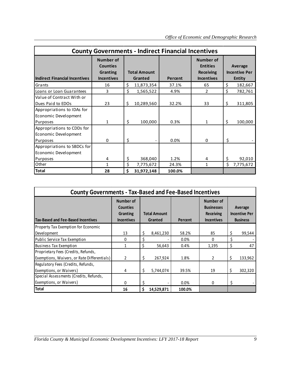|                                                                |                                                                      |                                | <b>County Governments - Indirect Financial Incentives</b> |                                                                              |                                                  |
|----------------------------------------------------------------|----------------------------------------------------------------------|--------------------------------|-----------------------------------------------------------|------------------------------------------------------------------------------|--------------------------------------------------|
| <b>Indirect Financial Incentives</b>                           | <b>Number of</b><br><b>Counties</b><br>Granting<br><b>Incentives</b> | <b>Total Amount</b><br>Granted | Percent                                                   | <b>Number of</b><br><b>Entities</b><br><b>Receiving</b><br><b>Incentives</b> | Average<br><b>Incentive Per</b><br><b>Entity</b> |
| Grants                                                         | 16                                                                   | \$<br>11,873,354               | 37.1%                                                     | 65                                                                           | \$<br>182,667                                    |
| Loans or Loan Guarantees                                       | 3                                                                    | \$<br>1,565,522                | 4.9%                                                      | $\mathfrak{p}$                                                               | \$<br>782,761                                    |
| Value of Contract With or<br>Dues Paid to EDOs                 | 23                                                                   | \$<br>10,289,560               | 32.2%                                                     | 33                                                                           | \$<br>311,805                                    |
| Appropriations to IDAs for<br>Economic Development<br>Purposes | 1                                                                    | \$<br>100,000                  | 0.3%                                                      | 1                                                                            | \$<br>100,000                                    |
| Appropriations to CDDs for<br>Economic Development<br>Purposes | $\Omega$                                                             | \$                             | 0.0%                                                      | $\mathbf 0$                                                                  | \$                                               |
| Appropriations to SBDCs for<br>Economic Development            |                                                                      |                                |                                                           |                                                                              |                                                  |
| Purposes                                                       | 4                                                                    | \$<br>368,040                  | 1.2%                                                      | 4                                                                            | \$<br>92,010                                     |
| Other                                                          | 1                                                                    | \$<br>7,775,672                | 24.3%                                                     | $\mathbf{1}$                                                                 | \$<br>7,775,672                                  |
| <b>Total</b>                                                   | 28                                                                   | \$<br>31,972,148               | 100.0%                                                    |                                                                              |                                                  |

| <b>County Governments - Tax-Based and Fee-Based Incentives</b>                     |                                                               |    |                                |         |                                                                         |    |                                                    |
|------------------------------------------------------------------------------------|---------------------------------------------------------------|----|--------------------------------|---------|-------------------------------------------------------------------------|----|----------------------------------------------------|
| <b>Tax-Based and Fee-Based Incentives</b>                                          | Number of<br><b>Counties</b><br>Granting<br><b>Incentives</b> |    | <b>Total Amount</b><br>Granted | Percent | Number of<br><b>Businesses</b><br><b>Receiving</b><br><b>Incentives</b> |    | Average<br><b>Incentive Per</b><br><b>Business</b> |
| Property Tax Exemption for Economic                                                |                                                               |    |                                |         |                                                                         |    |                                                    |
| Development                                                                        | 13                                                            | \$ | 8,461,230                      | 58.2%   | 85                                                                      | \$ | 99,544                                             |
| Public Service Tax Exemption                                                       | 0                                                             |    |                                | $0.0\%$ | 0                                                                       | Ś  |                                                    |
| <b>Business Tax Exemption</b>                                                      | 1                                                             | \$ | 56,643                         | 0.4%    | 1,195                                                                   | \$ | 47                                                 |
| Proprietary Fees (Credits, Refunds,<br>Exemptions, Waivers, or Rate Differentials) | $\overline{2}$                                                | \$ | 267,924                        | 1.8%    | 2                                                                       | \$ | 133,962                                            |
| Regulatory Fees (Credits, Refunds,<br>Exemptions, or Waivers)                      | 4                                                             | \$ | 5,744,074                      | 39.5%   | 19                                                                      | Ś  | 302,320                                            |
| Special Assessments (Credits, Refunds,                                             |                                                               |    |                                |         |                                                                         |    |                                                    |
| Exemptions, or Waivers)                                                            | 0                                                             |    |                                | 0.0%    | 0                                                                       | \$ |                                                    |
| <b>Total</b>                                                                       | 16                                                            | Ś. | 14,529,871                     | 100.0%  |                                                                         |    |                                                    |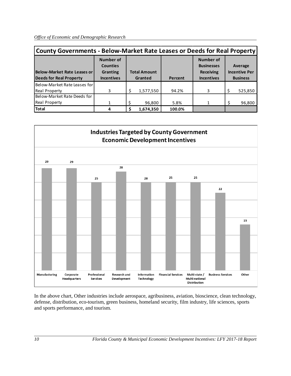|                                                               | County Governments - Below-Market Rate Leases or Deeds for Real Property |  |                                |         |                                                                                |  |                                                    |  |  |  |  |  |  |
|---------------------------------------------------------------|--------------------------------------------------------------------------|--|--------------------------------|---------|--------------------------------------------------------------------------------|--|----------------------------------------------------|--|--|--|--|--|--|
| Below-Market Rate Leases or<br><b>Deeds for Real Property</b> | <b>Number of</b><br><b>Counties</b><br>Granting<br><b>Incentives</b>     |  | <b>Total Amount</b><br>Granted | Percent | <b>Number of</b><br><b>Businesses</b><br><b>Receiving</b><br><b>Incentives</b> |  | Average<br><b>Incentive Per</b><br><b>Business</b> |  |  |  |  |  |  |
| Below-Market Rate Leases for                                  |                                                                          |  |                                |         |                                                                                |  |                                                    |  |  |  |  |  |  |
| <b>Real Property</b>                                          | 3                                                                        |  | 1,577,550                      | 94.2%   | 3                                                                              |  | 525,850                                            |  |  |  |  |  |  |
| Below-Market Rate Deeds for                                   |                                                                          |  |                                |         |                                                                                |  |                                                    |  |  |  |  |  |  |
| Real Property                                                 |                                                                          |  | 96,800                         | 5.8%    | 1                                                                              |  | 96,800                                             |  |  |  |  |  |  |
| <b>Total</b>                                                  |                                                                          |  | 1,674,350                      | 100.0%  |                                                                                |  |                                                    |  |  |  |  |  |  |





In the above chart, Other industries include aerospace, agribusiness, aviation, bioscience, clean technology, defense, distribution, eco-tourism, green business, homeland security, film industry, life sciences, sports and sports performance, and tourism.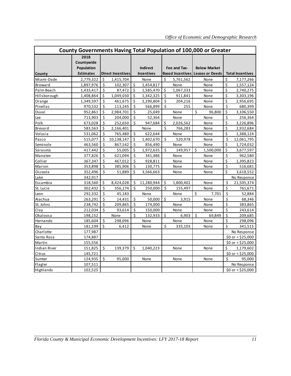|              | County Governments Having Total Population of 100,000 or Greater |    |                          |                         |                                      |                    |                                                           |                    |                     |                      |                           |
|--------------|------------------------------------------------------------------|----|--------------------------|-------------------------|--------------------------------------|--------------------|-----------------------------------------------------------|--------------------|---------------------|----------------------|---------------------------|
| County       | 2018<br>Countywide<br>Population<br><b>Estimates</b>             |    | <b>Direct Incentives</b> |                         | <b>Indirect</b><br><b>Incentives</b> |                    | Fee and Tax-<br><b>Based Incentives   Leases or Deeds</b> |                    | <b>Below Market</b> |                      | <b>Total Incentives</b>   |
| Miami-Dade   | 2,779,322                                                        | \$ | 1,415,704                |                         | None                                 | \$                 | 5,761,562                                                 |                    | None                | \$                   | 7,177,266                 |
| Broward      | 1,897,976                                                        | \$ | 102,307                  | $\zeta$                 | 1,454,817                            |                    | None                                                      |                    | None                | \$                   | 1,557,124                 |
| Palm Beach   | 1,433,417                                                        | \$ | 87,472                   | $\zeta$                 | 1,585,470                            | \$                 | 1,067,333                                                 |                    | None                | \$                   | 2,740,275                 |
| Hillsborough | 1,408,864                                                        | \$ | 1,049,030                | \$                      | 1,342,325                            | $\zeta$            | 911,841                                                   |                    | None                | \$                   | 3,303,196                 |
| Orange       | 1,349,597                                                        | \$ | 461,675                  | \$                      | 2,290,804                            | \$                 | 204,216                                                   |                    | None                | \$                   | 2,956,695                 |
| Pinellas     | 970,532                                                          | \$ | 113,245                  | $\zeta$                 | 566,899                              | \$                 | 255                                                       |                    | None                | \$                   | 680,399                   |
| Duval        | 952,861                                                          | \$ | 2,984,701                | $\overline{\mathsf{S}}$ | 25,049                               |                    | None                                                      | \$                 | 96,800              | \$                   | 3,106,550                 |
| Lee          | 713,903                                                          | \$ | 204,000                  | $\zeta$                 | 52,364                               |                    | None                                                      |                    | None                | \$                   | 256,364                   |
| Polk         | 673,028                                                          | \$ | 252,650                  | $\dot{\mathsf{S}}$      | 947,684                              | \$                 | 2,026,562                                                 |                    | None                | \$                   | 3,226,896                 |
| Brevard      | 583,563                                                          | \$ | 2,166,401                |                         | None                                 | \$                 | 766,283                                                   |                    | None                | \$                   | 2,932,684                 |
| Volusia      | 531,062                                                          | \$ | 765,480                  | \$                      | 622,644                              |                    | None                                                      |                    | None                | \$                   | 1,388,124                 |
| Pasco        | 515,077                                                          | \$ | 10,138,147               | \$                      | 1,402,670                            | \$                 | 520,978                                                   |                    | None                | \$                   | 12,061,795                |
| Seminole     | 463,560                                                          | \$ | 867,542                  | $\zeta$                 | 856,490                              |                    | None                                                      |                    | None                | $\boldsymbol{\zeta}$ | 1,724,032                 |
| Sarasota     | 417,442                                                          | \$ | 55,005                   | \$                      | 1,972,635                            | \$                 | 149.957                                                   | \$                 | 1,500,000           | \$                   | 3,677,597                 |
| Manatee      | 377,826                                                          | \$ | 621,094                  | \$                      | 341,486                              |                    | None                                                      |                    | None                | \$                   | 962,580                   |
| Collier      | 367,347                                                          | \$ | 467,012                  | $\dot{\mathsf{S}}$      | 928,811                              |                    | None                                                      |                    | None                | \$                   | 1,395,823                 |
| Marion       | 353,898                                                          | \$ | 385,906                  | \$                      | 130,775                              |                    | None                                                      |                    | None                | \$                   | 516,681                   |
| Osceola      | 352,496                                                          | \$ | 51,889                   | Ś                       | 3,566,663                            |                    | None                                                      |                    | None                | Ś                    | 3,618,552                 |
| Lake         | 342,917                                                          |    |                          |                         |                                      |                    |                                                           |                    |                     |                      | No Response               |
| Escambia     | 318,560                                                          | \$ | 8,424,028                | \$                      | 11,280,944                           | \$                 | 1,800,402                                                 |                    | None                | \$                   | 21,505,374                |
| St. Lucie    | 302,432                                                          | \$ | 356,174                  | $\dot{\mathsf{S}}$      | 250,000                              | \$                 | 155,497                                                   |                    | None                | \$                   | 761,671                   |
| Leon         | 292,332                                                          | \$ | 45,183                   |                         | None                                 |                    | None                                                      | $\dot{\mathsf{S}}$ | 7,701               | \$                   | 52,884                    |
| Alachua      | 263,291                                                          | \$ | 14,431                   | $\zeta$                 | 50,000                               | $\dot{\mathsf{S}}$ | 3,915                                                     |                    | None                | \$                   | 68,346                    |
| St. Johns    | 238,742                                                          | \$ | 209,865                  | \$                      | 174,000                              |                    | None                                                      |                    | None                | \$                   | 383,865                   |
| Clay         | 212,034                                                          | \$ | 93,614                   | \$                      | 150,000                              |                    | None                                                      |                    | None                | \$                   | 243,614                   |
| Okaloosa     | 198,152                                                          |    | None                     | \$                      | 132,933                              | Ś                  | 6,903                                                     | Ś                  | 69.849              | \$                   | 209,685                   |
| Hernando     | 185,604                                                          | \$ | 298,096                  |                         | None                                 |                    | None                                                      |                    | None                | \$                   | 298,096                   |
| Bay          | 181,199                                                          | Ś  | 6,412                    |                         | None                                 | \$                 | 335,103                                                   |                    | None                | Ś                    | 341,515                   |
| Charlotte    | 177,987                                                          |    |                          |                         |                                      |                    |                                                           |                    |                     |                      | No Response               |
| Santa Rosa   | 174,887                                                          |    |                          |                         |                                      |                    |                                                           |                    |                     |                      | $$0$ or < $$25,000$       |
| Martin       | 155,556                                                          |    |                          |                         |                                      |                    |                                                           |                    |                     |                      | \$0 or < \$25,000         |
| Indian River | 151,825                                                          | \$ | 139,379                  | $\zeta$                 | 1,040,223                            |                    | None                                                      |                    | None                | \$                   | 1,179,602                 |
| Citrus       | 145,721                                                          |    |                          |                         |                                      |                    |                                                           |                    |                     |                      | $$0$ or < $$25,000$       |
| Sumter       | 124,935                                                          | \$ | 95,000                   |                         | None                                 |                    | None                                                      |                    | None                | Ś                    | 95,000                    |
| Flagler      | 107,511                                                          |    |                          |                         |                                      |                    |                                                           |                    |                     |                      | No Response               |
| Highlands    | 102,525                                                          |    |                          |                         |                                      |                    |                                                           |                    |                     |                      | $$0 \text{ or } $525,000$ |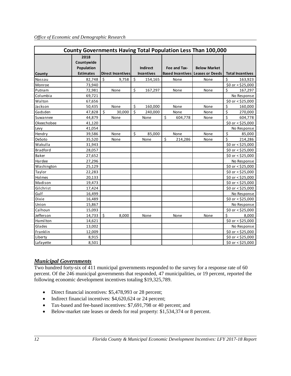|                 | <b>County Governments Having Total Population Less Than 100,000</b> |                          |                                |                                      |    |              |                                                                |    |                         |  |  |  |  |
|-----------------|---------------------------------------------------------------------|--------------------------|--------------------------------|--------------------------------------|----|--------------|----------------------------------------------------------------|----|-------------------------|--|--|--|--|
| County          | 2018<br>Countywide<br>Population<br><b>Estimates</b>                | <b>Direct Incentives</b> |                                | <b>Indirect</b><br><b>Incentives</b> |    | Fee and Tax- | <b>Below Market</b><br><b>Based Incentives Leases or Deeds</b> |    | <b>Total Incentives</b> |  |  |  |  |
| Nassau          | 82,748                                                              | \$<br>9,758              | $\boldsymbol{\zeta}$           | 154,165                              |    | None         | None                                                           | \$ | 163,923                 |  |  |  |  |
| Monroe          | 73,940                                                              |                          |                                |                                      |    |              |                                                                |    | \$0 or < \$25,000       |  |  |  |  |
| Putnam          | 72,981                                                              | None                     | \$                             | 167,297                              |    | None         | None                                                           | \$ | 167,297                 |  |  |  |  |
| Columbia        | 69,721                                                              |                          |                                |                                      |    |              |                                                                |    | No Response             |  |  |  |  |
| Walton          | 67,656                                                              |                          |                                |                                      |    |              |                                                                |    | \$0 or < \$25,000       |  |  |  |  |
| Jackson         | 50,435                                                              | None                     | $\boldsymbol{\dot{\varsigma}}$ | 160,000                              |    | None         | None                                                           | \$ | 160,000                 |  |  |  |  |
| Gadsden         | 47,828                                                              | Ś<br>30,000              | $\overline{\mathsf{s}}$        | 240,000                              |    | None         | None                                                           | \$ | 270,000                 |  |  |  |  |
| Suwannee        | 44,879                                                              | None                     |                                | None                                 | \$ | 604,778      | None                                                           | \$ | 604,778                 |  |  |  |  |
| Okeechobee      | 41,120                                                              |                          |                                |                                      |    |              |                                                                |    | $50$ or < \$25,000      |  |  |  |  |
| Levy            | 41,054                                                              |                          |                                |                                      |    |              |                                                                |    | No Response             |  |  |  |  |
| Hendry          | 39,586                                                              | None                     | \$                             | 85,000                               |    | None         | None                                                           | \$ | 85,000                  |  |  |  |  |
| DeSoto          | 35,520                                                              | None                     |                                | None                                 | \$ | 214,286      | None                                                           | \$ | 214,286                 |  |  |  |  |
| Wakulla         | 31,943                                                              |                          |                                |                                      |    |              |                                                                |    | $$0$ or < \$25,000      |  |  |  |  |
| <b>Bradford</b> | 28,057                                                              |                          |                                |                                      |    |              |                                                                |    | $$0$ or < \$25,000      |  |  |  |  |
| <b>Baker</b>    | 27,652                                                              |                          |                                |                                      |    |              |                                                                |    | \$0 or < \$25,000       |  |  |  |  |
| Hardee          | 27,296                                                              |                          |                                |                                      |    |              |                                                                |    | No Response             |  |  |  |  |
| Washington      | 25,129                                                              |                          |                                |                                      |    |              |                                                                |    | $$0$ or < $$25,000$     |  |  |  |  |
| Taylor          | 22,283                                                              |                          |                                |                                      |    |              |                                                                |    | \$0 or < \$25,000       |  |  |  |  |
| <b>Holmes</b>   | 20,133                                                              |                          |                                |                                      |    |              |                                                                |    | $$0$ or < $$25,000$     |  |  |  |  |
| Madison         | 19,473                                                              |                          |                                |                                      |    |              |                                                                |    | $$0$ or $< $25,000$     |  |  |  |  |
| Gilchrist       | 17,424                                                              |                          |                                |                                      |    |              |                                                                |    | $$0$ or $< $25,000$     |  |  |  |  |
| Gulf            | 16,499                                                              |                          |                                |                                      |    |              |                                                                |    | No Response             |  |  |  |  |
| Dixie           | 16,489                                                              |                          |                                |                                      |    |              |                                                                |    | \$0 or < \$25,000       |  |  |  |  |
| Union           | 15,867                                                              |                          |                                |                                      |    |              |                                                                |    | No Response             |  |  |  |  |
| Calhoun         | 15,093                                                              |                          |                                |                                      |    |              |                                                                |    | \$0 or < \$25,000       |  |  |  |  |
| Jefferson       | 14,733                                                              | \$<br>8,000              |                                | None                                 |    | None         | None                                                           | Ś  | 8,000                   |  |  |  |  |
| Hamilton        | 14,621                                                              |                          |                                |                                      |    |              |                                                                |    | $$0$ or < \$25,000      |  |  |  |  |
| Glades          | 13,002                                                              |                          |                                |                                      |    |              |                                                                |    | No Response             |  |  |  |  |
| Franklin        | 12,009                                                              |                          |                                |                                      |    |              |                                                                |    | $$0$ or < \$25,000      |  |  |  |  |
| Liberty         | 8,915                                                               |                          |                                |                                      |    |              |                                                                |    | $$0$ or < \$25,000      |  |  |  |  |
| Lafayette       | 8,501                                                               |                          |                                |                                      |    |              |                                                                |    | $$0$ or < $$25,000$     |  |  |  |  |

#### *Municipal Governments*

Two hundred forty-six of 411 municipal governments responded to the survey for a response rate of 60 percent. Of the 246 municipal governments that responded, 47 municipalities, or 19 percent, reported the following economic development incentives totaling \$19,325,789.

- Direct financial incentives: \$5,478,993 or 28 percent;
- Indirect financial incentives: \$4,620,624 or 24 percent;
- Tax-based and fee-based incentives: \$7,691,798 or 40 percent; and
- Below-market rate leases or deeds for real property: \$1,534,374 or 8 percent.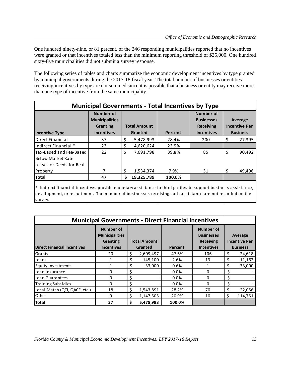One hundred ninety-nine, or 81 percent, of the 246 responding municipalities reported that no incentives were granted or that incentives totaled less than the minimum reporting threshold of \$25,000. One hundred sixty-five municipalities did not submit a survey response.

The following series of tables and charts summarize the economic development incentives by type granted by municipal governments during the 2017-18 fiscal year. The total number of businesses or entities receiving incentives by type are not summed since it is possible that a business or entity may receive more than one type of incentive from the same municipality.

|                                                                                                                                                                                                                         | <b>Municipal Governments - Total Incentives by Type</b>                    |     |                                |         |                                                                                |    |                                                    |  |  |  |  |
|-------------------------------------------------------------------------------------------------------------------------------------------------------------------------------------------------------------------------|----------------------------------------------------------------------------|-----|--------------------------------|---------|--------------------------------------------------------------------------------|----|----------------------------------------------------|--|--|--|--|
| <b>Incentive Type</b>                                                                                                                                                                                                   | <b>Number of</b><br><b>Municipalities</b><br>Granting<br><b>Incentives</b> |     | <b>Total Amount</b><br>Granted | Percent | <b>Number of</b><br><b>Businesses</b><br><b>Receiving</b><br><b>Incentives</b> |    | Average<br><b>Incentive Per</b><br><b>Business</b> |  |  |  |  |
| Direct Financial                                                                                                                                                                                                        | 37                                                                         | -\$ | 5,478,993                      | 28.4%   | 200                                                                            | \$ | 27,395                                             |  |  |  |  |
| Indirect Financial *                                                                                                                                                                                                    | 23                                                                         | \$  | 4,620,624                      | 23.9%   |                                                                                |    |                                                    |  |  |  |  |
| Tax-Based and Fee-Based                                                                                                                                                                                                 | 22                                                                         | \$  | 7,691,798                      | 39.8%   | 85                                                                             | Ś  | 90,492                                             |  |  |  |  |
| <b>Below Market Rate</b><br>Leases or Deeds for Real                                                                                                                                                                    |                                                                            |     |                                |         |                                                                                |    |                                                    |  |  |  |  |
| Property                                                                                                                                                                                                                |                                                                            | \$  | 1,534,374                      | 7.9%    | 31                                                                             | Ś  | 49,496                                             |  |  |  |  |
| <b>Total</b>                                                                                                                                                                                                            | 47                                                                         | Ŝ.  | 19,325,789                     | 100.0%  |                                                                                |    |                                                    |  |  |  |  |
| * Indirect financial incentives provide monetary assistance to third parties to support business assistance,<br>development, or recruitment. The number of businesses receiving such assistance are not recorded on the |                                                                            |     |                                |         |                                                                                |    |                                                    |  |  |  |  |

survey.

|                                    | <b>Municipal Governments - Direct Financial Incentives</b>                        |                                |         |                                                                         |    |                                                    |
|------------------------------------|-----------------------------------------------------------------------------------|--------------------------------|---------|-------------------------------------------------------------------------|----|----------------------------------------------------|
| <b>Direct Financial Incentives</b> | <b>Number of</b><br><b>Municipalities</b><br><b>Granting</b><br><b>Incentives</b> | <b>Total Amount</b><br>Granted | Percent | Number of<br><b>Businesses</b><br><b>Receiving</b><br><b>Incentives</b> |    | Average<br><b>Incentive Per</b><br><b>Business</b> |
| Grants                             | 20                                                                                | \$<br>2,609,497                | 47.6%   | 106                                                                     | \$ | 24,618                                             |
| Loans                              |                                                                                   | \$<br>145,100                  | 2.6%    | 13                                                                      |    | 11,162                                             |
| <b>Equity Investments</b>          |                                                                                   | \$<br>33,000                   | 0.6%    | 1                                                                       |    | 33,000                                             |
| Loan Insurance                     | 0                                                                                 | \$                             | 0.0%    | 0                                                                       |    |                                                    |
| Loan Guarantees                    | <sup>0</sup>                                                                      | \$                             | 0.0%    | $\Omega$                                                                |    |                                                    |
| <b>Training Subsidies</b>          | <sup>0</sup>                                                                      | \$                             | 0.0%    | 0                                                                       |    |                                                    |
| Local Match (QTI, QACF, etc.)      | 18                                                                                | \$<br>1,543,891                | 28.2%   | 70                                                                      |    | 22,056                                             |
| Other                              | 9                                                                                 | \$<br>1,147,505                | 20.9%   | 10                                                                      | Ś  | 114,751                                            |
| <b>Total</b>                       | 37                                                                                | \$<br>5,478,993                | 100.0%  |                                                                         |    |                                                    |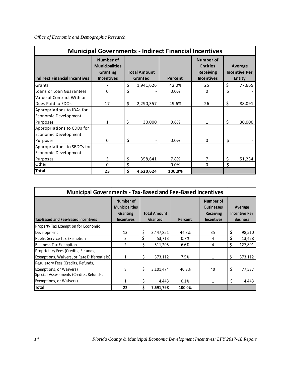|                                                     |                                                                     |                                |         | <b>Municipal Governments - Indirect Financial Incentives</b>          |                                                  |
|-----------------------------------------------------|---------------------------------------------------------------------|--------------------------------|---------|-----------------------------------------------------------------------|--------------------------------------------------|
| <b>Indirect Financial Incentives</b>                | Number of<br><b>Municipalities</b><br>Granting<br><b>Incentives</b> | <b>Total Amount</b><br>Granted | Percent | Number of<br><b>Entities</b><br><b>Receiving</b><br><b>Incentives</b> | Average<br><b>Incentive Per</b><br><b>Entity</b> |
| Grants                                              |                                                                     | \$<br>1,941,626                | 42.0%   | 25                                                                    | \$<br>77,665                                     |
| Loans or Loan Guarantees                            | $\Omega$                                                            | \$                             | 0.0%    | 0                                                                     | \$                                               |
| Value of Contract With or<br>Dues Paid to EDOs      | 17                                                                  | \$<br>2,290,357                | 49.6%   | 26                                                                    | \$<br>88,091                                     |
| Appropriations to IDAs for<br>Economic Development  |                                                                     |                                |         |                                                                       |                                                  |
| Purposes                                            | 1                                                                   | \$<br>30,000                   | 0.6%    | 1                                                                     | \$<br>30,000                                     |
| Appropriations to CDDs for<br>Economic Development  |                                                                     |                                |         |                                                                       |                                                  |
| Purposes                                            | $\Omega$                                                            | \$                             | 0.0%    | 0                                                                     | \$                                               |
| Appropriations to SBDCs for<br>Economic Development |                                                                     |                                |         |                                                                       |                                                  |
| Purposes                                            | 3                                                                   | \$<br>358,641                  | 7.8%    | 7                                                                     | \$<br>51,234                                     |
| Other                                               | $\Omega$                                                            | \$                             | 0.0%    | 0                                                                     | \$                                               |
| <b>Total</b>                                        | 23                                                                  | \$<br>4,620,624                | 100.0%  |                                                                       |                                                  |

| <b>Municipal Governments - Tax-Based and Fee-Based Incentives</b>                  |                                                                            |    |                                |         |                                                                         |                                                    |
|------------------------------------------------------------------------------------|----------------------------------------------------------------------------|----|--------------------------------|---------|-------------------------------------------------------------------------|----------------------------------------------------|
| <b>Tax-Based and Fee-Based Incentives</b>                                          | Number of<br><b>Municipalities</b><br><b>Granting</b><br><b>Incentives</b> |    | <b>Total Amount</b><br>Granted | Percent | Number of<br><b>Businesses</b><br><b>Receiving</b><br><b>Incentives</b> | Average<br><b>Incentive Per</b><br><b>Business</b> |
| Property Tax Exemption for Economic                                                |                                                                            |    |                                |         |                                                                         |                                                    |
| Development                                                                        | 13                                                                         | \$ | 3,447,851                      | 44.8%   | 35                                                                      | \$<br>98,510                                       |
| Public Service Tax Exemption                                                       | $\overline{2}$                                                             |    | 53,713                         | 0.7%    | 4                                                                       | 13,428                                             |
| <b>Business Tax Exemption</b>                                                      | $\overline{2}$                                                             | \$ | 511,205                        | 6.6%    | 4                                                                       | \$<br>127,801                                      |
| Proprietary Fees (Credits, Refunds,<br>Exemptions, Waivers, or Rate Differentials) | $\mathbf{1}$                                                               | \$ | 573,112                        | 7.5%    | 1                                                                       | \$<br>573,112                                      |
| Regulatory Fees (Credits, Refunds,<br>Exemptions, or Waivers)                      | 8                                                                          | \$ | 3,101,474                      | 40.3%   | 40                                                                      | \$<br>77,537                                       |
| Special Assessments (Credits, Refunds,                                             |                                                                            |    |                                |         |                                                                         |                                                    |
| Exemptions, or Waivers)                                                            | 1                                                                          | \$ | 4,443                          | 0.1%    | 1                                                                       | \$<br>4,443                                        |
| Total                                                                              | 22                                                                         | Ś. | 7,691,798                      | 100.0%  |                                                                         |                                                    |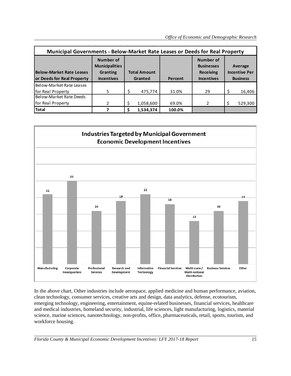| Municipal Governments - Below-Market Rate Leases or Deeds for Real Property |                                                                                   |    |                                |         |                                                                  |                                                    |
|-----------------------------------------------------------------------------|-----------------------------------------------------------------------------------|----|--------------------------------|---------|------------------------------------------------------------------|----------------------------------------------------|
| <b>Below-Market Rate Leases</b><br>or Deeds for Real Property               | <b>Number of</b><br><b>Municipalities</b><br><b>Granting</b><br><b>Incentives</b> |    | <b>Total Amount</b><br>Granted | Percent | Number of<br><b>Businesses</b><br>Receiving<br><b>Incentives</b> | Average<br><b>Incentive Per</b><br><b>Business</b> |
| Below-Market Rate Leases                                                    |                                                                                   |    |                                |         |                                                                  |                                                    |
| for Real Property                                                           | 5                                                                                 | Ŝ. | 475,774                        | 31.0%   | 29                                                               | 16,406                                             |
| Below-Market Rate Deeds                                                     |                                                                                   |    |                                |         |                                                                  |                                                    |
| for Real Property                                                           | $\mathcal{P}$                                                                     |    | 1,058,600                      | 69.0%   | $\overline{2}$                                                   | 529,300                                            |
| <b>Total</b>                                                                |                                                                                   |    | 1,534,374                      | 100.0%  |                                                                  |                                                    |



In the above chart, Other industries include aerospace, applied medicine and human performance, aviation, clean technology, consumer services, creative arts and design, data analytics, defense, ecotourism, emerging technology, engineering, entertainment, equine-related businesses, financial services, healthcare and medical industries, homeland security, industrial, life sciences, light manufacturing, logistics, material science, marine sciences, nanotechnology, non-profits, office, pharmaceuticals, retail, sports, tourism, and workforce housing.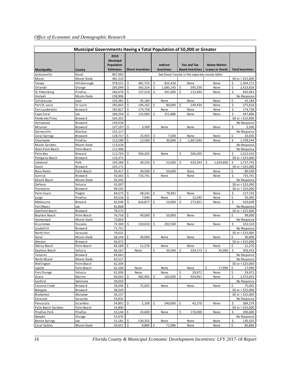|                       | Municipal Governments Having a Total Population of 50,000 or Greater |                                                            |    |                          |    |                                      |    |                                                |    |                                               |    |                           |
|-----------------------|----------------------------------------------------------------------|------------------------------------------------------------|----|--------------------------|----|--------------------------------------|----|------------------------------------------------|----|-----------------------------------------------|----|---------------------------|
| Municipality          | County                                                               | 2018<br><b>Municipal</b><br>Population<br><b>Estimates</b> |    | <b>Direct Incentives</b> |    | <b>Indirect</b><br><b>Incentives</b> |    | Fee and Tax-<br><b>Based Incentives</b>        |    | <b>Below Market</b><br><b>Leases or Deeds</b> |    | <b>Total Incentives</b>   |
| Jacksonville          | Duval                                                                | 907,093                                                    |    |                          |    |                                      |    | See Duval County in the separate county table. |    |                                               |    |                           |
| Miami                 | Miami-Dade                                                           | 481,333                                                    |    |                          |    |                                      |    |                                                |    |                                               |    | $$0$ or < \$25,000        |
| Tampa                 | Hillsborough                                                         | 378,531                                                    | \$ | 481,753                  | \$ | 822,418                              |    | None                                           |    | None                                          | \$ | 1,304,171                 |
| Orlando               | Orange                                                               | 285,099                                                    | \$ | 343,324                  | \$ | 1,685,143                            | \$ | 395,359                                        |    | None                                          | \$ | 2,423,826                 |
| St. Petersburg        | Pinellas                                                             | 266,076                                                    | \$ | 137,518                  | Ś. | 441,000                              | Ś  | 115,444                                        |    | None                                          | \$ | 693,962                   |
| Hialeah               | Miami-Dade                                                           | 238,906                                                    |    |                          |    |                                      |    |                                                |    |                                               |    | No Response               |
| Tallahassee           | Leon                                                                 | 192,381                                                    | \$ | 45,184                   |    | None                                 |    | None                                           |    | None                                          | \$ | 45,184                    |
| Port St. Lucie        | St. Lucie                                                            | 185,843                                                    | \$ | 146,182                  | Ś  | 80,000                               | Ś  | 149,434                                        |    | None                                          | \$ | 375,616                   |
| Fort Lauderdale       | Broward                                                              | 182,827                                                    | \$ | 174,758                  |    | None                                 |    | None                                           |    | None                                          | \$ | 174,758                   |
| Cape Coral            | Lee                                                                  | 180,204                                                    | \$ | 135,000                  | \$ | 312,886                              |    | None                                           |    | None                                          | \$ | 447,886                   |
| Pembroke Pines        | Broward                                                              | 165,352                                                    |    |                          |    |                                      |    |                                                |    |                                               |    | $$0$ or < \$25,000        |
| Hollywood             | Broward                                                              | 149,028                                                    |    |                          |    |                                      |    |                                                |    |                                               |    | No Response               |
| Miramar               | Broward                                                              | 137,107                                                    | \$ | 3,500                    |    | None                                 |    | None                                           |    | None                                          | \$ | 3,500                     |
| Gainesville           | Alachua                                                              | 131,217                                                    |    |                          |    |                                      |    |                                                |    |                                               |    | No Response               |
| Coral Springs         | Broward                                                              | 128,757                                                    | \$ | 25,935                   | \$ | 7,500                                |    | None                                           |    | None                                          | \$ | 33,435                    |
| Clearwater            | Pinellas                                                             | 115,589                                                    | Ś  | 12,500                   | Ŝ. | 30,000                               | Ś. | 1,667,044                                      |    | None                                          | Ś  | 1,709,544                 |
| Miami Gardens         | Miami-Dade                                                           | 113,628                                                    |    |                          |    |                                      |    |                                                |    |                                               |    | No Response               |
| West Palm Beach       | Palm Beach                                                           | 112,906                                                    |    |                          |    |                                      |    |                                                |    |                                               |    | No Response               |
| Palm Bay              | Brevard                                                              | 112,703                                                    | \$ | 506,205                  |    | None                                 | \$ | 506,205                                        |    | None                                          | \$ | 1,012,410                 |
| Pompano Beach         | Broward                                                              | 110,371                                                    |    |                          |    |                                      |    |                                                |    |                                               |    | $$0$ or < \$25,000        |
| Lakeland              | Polk                                                                 | 105,586                                                    | \$ | 40,250                   | \$ | 52,600                               | Ś  | 620.293                                        | Ś  | 1,024,600                                     | \$ | 1,737,743                 |
| Davie                 | Broward                                                              | 103,171                                                    |    |                          |    |                                      |    |                                                |    |                                               |    | $$0$ or < \$25,000        |
| Boca Raton            | Palm Beach                                                           | 93,417                                                     | \$ | 30,500                   | \$ | 50,000                               |    | None                                           |    | None                                          | \$ | 80,500                    |
| Sunrise               | Broward                                                              | 92,663                                                     | \$ | 735,741                  |    | None                                 |    | None                                           |    | None                                          | Ś  | 735,741                   |
| Miami Beach           | Miami-Dade                                                           | 92,502                                                     |    |                          |    |                                      |    |                                                |    |                                               |    | No Response               |
| Deltona               | Volusia                                                              | 91,007                                                     |    |                          |    |                                      |    |                                                |    |                                               |    | $$0$ or < \$25,000        |
| Plantation            | Broward                                                              | 89,595                                                     |    |                          |    |                                      |    |                                                |    |                                               |    | $$0$ or < \$25,000        |
| Palm Coast            | Flagler                                                              | 84,575                                                     | \$ | 48,242                   | Ŝ. | 79,491                               |    | None                                           |    | None                                          | Ś  | 127,733                   |
| Largo                 | Pinellas                                                             | 83,526                                                     | \$ | 7,000                    |    | None                                 | \$ | 13,395                                         |    | None                                          | \$ | 20,395                    |
| Melbourne             | Brevard                                                              | 82,040                                                     | \$ | 626,877                  | \$ | 10,000                               | \$ | 273,821                                        |    | None                                          | \$ | 910,698                   |
| Fort Myers            | Lee                                                                  | 81,868                                                     |    |                          |    |                                      |    |                                                |    |                                               |    | No Response               |
| Deerfield Beach       | Broward                                                              | 78,573                                                     |    |                          |    |                                      |    |                                                |    |                                               |    | $$0$ or < \$25,000        |
| Boynton Beach         | Palm Beach                                                           | 76,756                                                     | \$ | 49,000                   | \$ | 50,000                               |    | None                                           |    | None                                          | \$ | 99,000                    |
| Homestead             | Miami-Dade                                                           | 73,863                                                     |    |                          |    |                                      |    |                                                |    |                                               |    | No Response               |
| Kissimmee             | Osceola                                                              | 72,369                                                     | \$ | 130,010                  | \$ | 202,500                              |    | None                                           |    | None                                          | Ś  | 332,510                   |
| Lauderhill            | Broward                                                              | 71,751                                                     |    |                          |    |                                      |    |                                                |    |                                               |    | No Response               |
| North Port            | Sarasota                                                             | 70,631                                                     |    |                          |    |                                      |    |                                                |    |                                               |    | $$0$ or < \$25,000        |
| Doral                 | Miami-Dade                                                           | 68,244                                                     | \$ | 30,000                   |    | None                                 |    | None                                           |    | None                                          | \$ | 30,000                    |
| Weston                | Broward                                                              | 66,972                                                     |    |                          |    |                                      |    |                                                |    |                                               |    | $$0$ or < \$25,000        |
| Delray Beach          | Palm Beach                                                           | 66,580                                                     | \$ | 11,276                   |    | None                                 |    | None                                           |    | None                                          | \$ | 11,276                    |
| Daytona Beach         | Volusia                                                              | 66,267                                                     |    | None                     | \$ | 34,260                               | \$ | 234,173                                        | \$ | 35,000                                        | \$ | 303,433                   |
| Tamarac               | Broward                                                              | 64,663                                                     |    |                          |    |                                      |    |                                                |    |                                               |    | No Response               |
| North Miami           | Miami-Dade                                                           | 63,517                                                     |    |                          |    |                                      |    |                                                |    |                                               |    | No Response               |
| Wellington            | Palm Beach                                                           | 62,304                                                     |    |                          |    |                                      |    |                                                |    |                                               |    | $$0$ or < \$25,000        |
| Jupiter               | Palm Beach                                                           | 62,100                                                     |    | None                     |    | None                                 |    | None                                           | \$ | 17,990                                        | \$ | 17,990                    |
| Port Orange           | Volusia                                                              | 61,009                                                     |    | None                     |    | None                                 | \$ | 29,972                                         |    | None                                          | \$ | 29,972                    |
| Ocala                 | Marion                                                               | 60,042                                                     | \$ | 382,992                  | \$ | 165,000                              | \$ | 924,061                                        |    | None                                          | \$ | 1,472,053                 |
| Sanford               | Seminole                                                             | 59,033                                                     |    |                          |    |                                      |    |                                                |    |                                               |    | No Response               |
| Coconut Creek         | Broward                                                              | 58,344                                                     | \$ | 75,055                   |    | None                                 |    | None                                           |    | None                                          | \$ | 75,055                    |
| Margate               | Broward                                                              | 58,329                                                     |    |                          |    |                                      |    |                                                |    |                                               |    | \$0 or < \$25,000         |
| Bradenton             | Manatee                                                              | 56,157                                                     |    |                          |    |                                      |    |                                                |    |                                               |    | $$0$ or < $$25,000$       |
| Sarasota              | Sarasota                                                             | 55,832                                                     |    |                          |    |                                      |    |                                                |    |                                               |    | No Response               |
| Pensacola             | Escambia                                                             | 54,801                                                     | \$ | 2,109                    | \$ | 340,000                              | Ŝ. | 42,170                                         |    | None                                          | \$ | 384,279                   |
| Palm Beach Gardens    | Palm Beach                                                           | 53,800                                                     |    |                          |    |                                      |    |                                                |    |                                               |    | $$0 \text{ or } $525,000$ |
| Pinellas Park         | Pinellas                                                             | 53,144                                                     | \$ | 24,600                   |    | None                                 | \$ | 176,000                                        |    | None                                          | \$ | 200,600                   |
| Apopka                | Orange                                                               | 51,676                                                     |    |                          |    |                                      |    |                                                |    |                                               |    | No Response               |
| <b>Bonita Springs</b> | Lee                                                                  | 51,181                                                     | \$ | 130,355                  |    | None                                 |    | None                                           |    | None                                          | \$ | 130,355                   |
| Coral Gables          | Miami-Dade                                                           | 50,631                                                     | \$ | 8,880                    | \$ | 71,986                               |    | None                                           |    | None                                          | \$ | 80,866                    |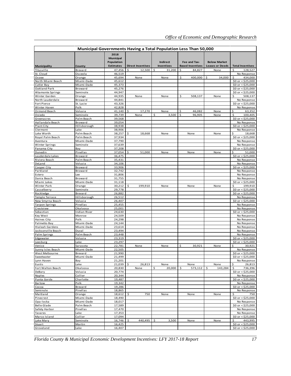|                                     | <b>Municipal Governments Having a Total Population Less Than 50,000</b> |                                                            |                          |     |                                      |                                         |                                               |                                          |
|-------------------------------------|-------------------------------------------------------------------------|------------------------------------------------------------|--------------------------|-----|--------------------------------------|-----------------------------------------|-----------------------------------------------|------------------------------------------|
| Municipality                        | County                                                                  | 2018<br><b>Municipal</b><br>Population<br><b>Estimates</b> | <b>Direct Incentives</b> |     | <b>Indirect</b><br><b>Incentives</b> | Fee and Tax-<br><b>Based Incentives</b> | <b>Below Market</b><br><b>Leases or Deeds</b> | <b>Total Incentives</b>                  |
| Titusville                          | Brevard                                                                 | 47,456                                                     | 12,500<br>Ś              |     | \$<br>31,200                         | \$<br>84,827                            | None                                          | 128,527<br>Ś.                            |
| St. Cloud                           | Osceola                                                                 | 46,519                                                     |                          |     |                                      |                                         |                                               | No Response                              |
| Ocoee                               | Orange                                                                  | 45,694                                                     | None                     |     | None                                 | \$<br>400,000                           | 34,000<br>\$                                  | Ś<br>434,000                             |
| North Miami Beach<br>Cutler Bay     | Miami-Dade<br>Miami-Dade                                                | 45,612<br>45,373                                           |                          |     |                                      |                                         |                                               | \$0 or < $$25,000$<br>\$0 or < $$25,000$ |
| Oakland Park                        | Broward                                                                 | 45,276                                                     |                          |     |                                      |                                         |                                               | \$0 or < $$25,000$                       |
| Altamonte Springs                   | Seminole                                                                | 44,947                                                     |                          |     |                                      |                                         |                                               | \$0 or < $$25,000$                       |
| Winter Garden                       | Orange                                                                  | 44,935                                                     | None                     |     | None                                 | \$<br>508,137                           | None                                          | Ś.<br>508,137                            |
| North Lauderdale                    | Broward                                                                 | 44,841                                                     |                          |     |                                      |                                         |                                               | No Response                              |
| Fort Pierce                         | St. Lucie                                                               | 43,326                                                     |                          |     |                                      |                                         |                                               | \$0 or < $$25,000$                       |
| Winter Haven<br>Ormond Beach        | Polk<br>Volusia                                                         | 42,828<br>41,140                                           | \$<br>17,270             |     | None                                 | \$<br>46,082                            | None                                          | No Response<br>\$<br>63,352              |
| Oviedo                              | Seminole                                                                | 39,739                                                     | None                     |     | Ś<br>3,500                           | \$<br>96,905                            | None                                          | \$<br>100,405                            |
| Greenacres                          | Palm Beach                                                              | 39,568                                                     |                          |     |                                      |                                         |                                               | \$0 or < $$25,000$                       |
| Hallandale Beach                    | Broward                                                                 | 39,054                                                     |                          |     |                                      |                                         |                                               | No Response                              |
| Plant City                          | Hillsborough                                                            | 38,938                                                     |                          |     |                                      |                                         |                                               | \$0 or < $$25,000$                       |
| Clermont                            | Lake                                                                    | 38,906                                                     |                          |     |                                      |                                         |                                               | No Response                              |
| Lake Worth                          | Palm Beach                                                              | 38,257                                                     | \$<br>18,668             |     | None                                 | None                                    | None                                          | \$<br>18,668                             |
| Royal Palm Beach<br>Aventura        | Palm Beach<br>Miami-Dade                                                | 37,934<br>37,790                                           |                          |     |                                      |                                         |                                               | \$0 or < $$25,000$<br>No Response        |
| Winter Springs                      | Seminole                                                                | 37,639                                                     |                          |     |                                      |                                         |                                               | No Response                              |
| Panama City                         | Bay                                                                     | 37,208                                                     |                          |     |                                      |                                         |                                               | \$0 or $<$ \$25,000                      |
| Dunedin                             | Pinellas                                                                | 37,054                                                     | \$<br>51,000             |     | None                                 | None                                    | None                                          | \$<br>51,000                             |
| Lauderdale Lakes                    | Broward                                                                 | 36,475                                                     |                          |     |                                      |                                         |                                               | \$0 or < $$25,000$                       |
| Riviera Beach                       | Palm Beach                                                              | 35,431                                                     |                          |     |                                      |                                         |                                               | No Response                              |
| DeLand                              | Volusia                                                                 | 34,106<br>33,906                                           |                          |     |                                      |                                         |                                               | No Response                              |
| Cooper City<br>Parkland             | Broward<br>Broward                                                      | 32,742                                                     |                          |     |                                      |                                         |                                               | \$0 or $<$ \$25,000<br>No Response       |
| Estero                              | Lee                                                                     | 31,806                                                     |                          |     |                                      |                                         |                                               | No Response                              |
| Dania Beach                         | Broward                                                                 | 31,755                                                     |                          |     |                                      |                                         |                                               | No Response                              |
| Miami Lakes                         | Miami-Dade                                                              | 31,118                                                     |                          |     |                                      |                                         |                                               | \$0 or < $$25,000$                       |
| Winter Park                         | Orange                                                                  | 30,212                                                     | \$<br>199,910            |     | None                                 | None                                    | None                                          | \$<br>199,910                            |
| Casselberry                         | Seminole                                                                | 29,778                                                     |                          |     |                                      |                                         |                                               | \$0 or < $$25,000$                       |
| Rockledge<br>Temple Terrace         | Brevard<br>Hillsborough                                                 | 26,882<br>26,512                                           |                          |     |                                      |                                         |                                               | $$0$ or < $$25,000$<br>No Response       |
| New Smyrna Beach                    | Volusia                                                                 | 26,407                                                     |                          |     |                                      |                                         |                                               | \$0 or < \$25,000                        |
| <b>Tarpon Springs</b>               | Pinellas                                                                | 25,455                                                     |                          |     |                                      |                                         |                                               | No Response                              |
| Crestview                           | Okaloosa                                                                | 25,001                                                     |                          |     |                                      |                                         |                                               | No Response                              |
| Sebastian                           | Indian River                                                            | 24,630                                                     |                          |     |                                      |                                         |                                               | \$0 or < $$25,000$                       |
| Key West                            | Monroe                                                                  | 24,509                                                     |                          |     |                                      |                                         |                                               | No Response                              |
| Haines City<br>Palmetto Bay         | Polk<br>Miami-Dade                                                      | 24,298<br>24,144                                           |                          |     |                                      |                                         |                                               | No Response<br>No Response               |
| Hialeah Gardens                     | Miami-Dade                                                              | 23,614                                                     |                          |     |                                      |                                         |                                               | No Response                              |
| Jacksonville Beach                  | Duval                                                                   | 23,494                                                     |                          |     |                                      |                                         |                                               | No Response                              |
| Palm Springs                        | Palm Beach                                                              | 23,448                                                     |                          |     |                                      |                                         |                                               | No Response                              |
| Edgewater                           | Volusia                                                                 | 23,319                                                     |                          |     |                                      |                                         |                                               | \$0 or $<$ \$25,000                      |
| Leesburg                            | Lake                                                                    | 23,297                                                     |                          |     |                                      |                                         |                                               | \$0 or $<$ \$25,000                      |
| Venice                              | Sarasota                                                                | 22,781                                                     | None                     |     | None                                 | \$<br>30,921                            | None                                          | \$<br>30,921                             |
| Sunny Isles Beach<br>West Melbourne | Miami-Dade<br>Brevard                                                   | 22,505<br>21,990                                           |                          |     |                                      |                                         |                                               | No Response<br>\$0 or < \$25,000         |
| Sweetwater                          | Miami-Dade                                                              | 21,499                                                     |                          |     |                                      |                                         |                                               | \$0 or < $$25,000$                       |
| Lynn Haven                          | Bay                                                                     | 21,201                                                     |                          |     |                                      |                                         |                                               | No Response                              |
| Eustis                              | Lake                                                                    | 21,039                                                     | \$<br>26,813             |     | None                                 | None                                    | None                                          | \$<br>26,813                             |
| Fort Walton Beach                   | Okaloosa                                                                | 20,830                                                     | None                     |     | 20,000<br>\$                         | \$<br>573,112                           | \$<br>143,284                                 | \$<br>736,396                            |
| DeBary                              | Volusia                                                                 | 20,774                                                     |                          |     |                                      |                                         |                                               | \$0 or < $$25,000$                       |
| Naples<br>Punta Gorda               | Collier<br>Charlotte                                                    | 20,344<br>19,487                                           |                          |     |                                      |                                         |                                               | No Response<br>\$0 or < $$25,000$        |
| Bartow                              | Polk                                                                    | 19,342                                                     |                          |     |                                      |                                         |                                               | No Response                              |
| Cocoa                               | Brevard                                                                 | 19,286                                                     |                          |     |                                      |                                         |                                               | \$0 or < \$25,000                        |
| Seminole                            | Pinellas                                                                | 18,865                                                     |                          |     |                                      |                                         |                                               | No Response                              |
| Maitland                            | Orange                                                                  | 18,612                                                     | \$                       | 750 | None                                 | None                                    | None                                          | \$<br>750                                |
| Pinecrest                           | Miami-Dade                                                              | 18,490                                                     |                          |     |                                      |                                         |                                               | \$0 or < $$25,000$                       |
| Opa-locka<br>Belle Glade            | Miami-Dade<br>Palm Beach                                                | 18,017<br>17,589                                           |                          |     |                                      |                                         |                                               | No Response<br>\$0 or < $$25,000$        |
| Safety Harbor                       | Pinellas                                                                | 17,470                                                     |                          |     |                                      |                                         |                                               | No Response                              |
| Tavares                             | Lake                                                                    | 17,353                                                     |                          |     |                                      |                                         |                                               | No Response                              |
| Marco Island                        | Collier                                                                 | 17,094                                                     |                          |     |                                      |                                         |                                               | \$0 or < $$25,000$                       |
| Lake Mary                           | Seminole                                                                | 16,746                                                     | 440,495<br>\$            |     | 3,500<br>\$                          | None                                    | None                                          | 443,995<br>\$                            |
| Stuart                              | Martin                                                                  | 16,425                                                     |                          |     |                                      |                                         |                                               | \$0 or < $$25,000$                       |
| Groveland                           | Lake                                                                    | 16,407                                                     |                          |     |                                      |                                         |                                               | \$0 or < $$25,000$                       |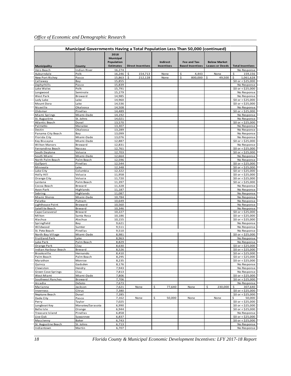|                                 | Municipal Governments Having a Total Population Less Than 50,000 (continued) |                                        |                          |                   |                         |                        |                                                  |
|---------------------------------|------------------------------------------------------------------------------|----------------------------------------|--------------------------|-------------------|-------------------------|------------------------|--------------------------------------------------|
|                                 |                                                                              | 2018<br><b>Municipal</b><br>Population |                          | <b>Indirect</b>   | Fee and Tax-            | <b>Below Market</b>    |                                                  |
| <b>Municipality</b>             | County                                                                       | <b>Estimates</b>                       | <b>Direct Incentives</b> | <b>Incentives</b> | <b>Based Incentives</b> | <b>Leases or Deeds</b> | <b>Total Incentives</b>                          |
| Vero Beach                      | Indian River                                                                 | 16,274                                 |                          |                   |                         |                        | No Response                                      |
| Auburndale                      | Polk                                                                         | 16,246                                 | \$.<br>154,713           | None              | \$<br>4,443<br>\$       | None<br>49,500         | \$<br>159,156                                    |
| New Port Richey<br>Callaway     | Pasco<br>Bay                                                                 | 15,863<br>15,855                       | \$<br>212,128            | None              | 800,000                 | \$                     | \$<br>1,061,628<br>\$0 or < $$25,000$            |
| Zephyrhills                     | Pasco                                                                        | 15,839                                 |                          |                   |                         |                        | No Response                                      |
| Lake Wales                      | Polk                                                                         | 15,791                                 |                          |                   |                         |                        | \$0 or < $$25,000$                               |
| Longwood                        | Seminole                                                                     | 15,279                                 |                          |                   |                         |                        | No Response                                      |
| West Park                       | Broward                                                                      | 14,985                                 |                          |                   |                         |                        | No Response                                      |
| Lady Lake                       | Lake                                                                         | 14,960                                 |                          |                   |                         |                        | \$0 or < $$25,000$                               |
| Mount Dora                      | Lake                                                                         | 14,536                                 |                          |                   |                         |                        | $$0$ or < \$25,000                               |
| Niceville                       | Okaloosa                                                                     | 14,508                                 |                          |                   |                         |                        | No Response                                      |
| Oldsmar                         | Pinellas                                                                     | 14,489                                 |                          |                   |                         |                        | \$0 or < $$25,000$                               |
| Miami Springs                   | Miami-Dade                                                                   | 14,192                                 |                          |                   |                         |                        | No Response                                      |
| St. Augustine<br>Atlantic Beach | St. Johns<br>Duval                                                           | 14,021<br>13,570                       |                          |                   |                         |                        | No Response                                      |
| Palmetto                        | Manatee                                                                      | 13,307                                 |                          |                   |                         |                        | \$0 or < $$25,000$<br>No Response                |
| Destin                          | Okaloosa                                                                     | 13,289                                 |                          |                   |                         |                        | No Response                                      |
| Panama City Beach               | Bay                                                                          | 13,099                                 |                          |                   |                         |                        | No Response                                      |
| Florida City                    | Miami-Dade                                                                   | 13,076                                 |                          |                   |                         |                        | No Response                                      |
| Key Biscayne                    | Miami-Dade                                                                   | 12,887                                 |                          |                   |                         |                        | \$0 or < $$25,000$                               |
| Wilton Manors                   | Broward                                                                      | 12,831                                 |                          |                   |                         |                        | No Response                                      |
| Fernandina Beach                | Nassau                                                                       | 12,761                                 |                          |                   |                         |                        | \$0 or $<$ \$25,000                              |
| South Daytona                   | Volusia                                                                      | 12,703                                 |                          |                   |                         |                        | $$0 \text{ or } $525,000$                        |
| South Miami                     | Miami-Dade                                                                   | 12,664                                 |                          |                   |                         |                        | No Response                                      |
| North Palm Beach                | Palm Beach                                                                   | 12,596                                 |                          |                   |                         |                        | No Response                                      |
| Gulfport                        | Pinellas                                                                     | 12,544                                 |                          |                   |                         |                        | \$0 or < $$25,000$                               |
| Minneola                        | Lake                                                                         | 12,348                                 |                          |                   |                         |                        | \$0 or < $$25,000$                               |
| Lake City<br>Holly Hill         | Columbia<br>Volusia                                                          | 12,322<br>11,958                       |                          |                   |                         |                        | $$0 \text{ or } $525,000$<br>\$0 or $<$ \$25,000 |
| Orange City                     | Volusia                                                                      | 11,720                                 |                          |                   |                         |                        | $$0 \text{ or } $525,000$                        |
| Lantana                         | Palm Beach                                                                   | 11,397                                 |                          |                   |                         |                        | $$0$ or < \$25,000                               |
| Cocoa Beach                     | Brevard                                                                      | 11,328                                 |                          |                   |                         |                        | No Response                                      |
| Avon Park                       | Highlands                                                                    | 11,187                                 |                          |                   |                         |                        | No Response                                      |
| Sebring                         | Highlands                                                                    | 11,087                                 |                          |                   |                         |                        | No Response                                      |
| Miami Shores                    | Miami-Dade                                                                   | 10,784                                 |                          |                   |                         |                        | No Response                                      |
| Palatka                         | Putnam                                                                       | 10,649                                 |                          |                   |                         |                        | No Response                                      |
| Lighthouse Point                | Broward                                                                      | 10,560                                 |                          |                   |                         |                        | No Response                                      |
| Satellite Beach                 | Brevard                                                                      | 10,346                                 |                          |                   |                         |                        | No Response                                      |
| Cape Canaveral                  | Brevard                                                                      | 10,227                                 |                          |                   |                         |                        | \$0 or < $$25,000$                               |
| Milton<br>Alachua               | Santa Rosa                                                                   | 10,186<br>10,155                       |                          |                   |                         |                        | \$0 or < $$25,000$<br>\$0 or < $$25,000$         |
| Springfield                     | Alachua<br>Bay                                                               | 9,621                                  |                          |                   |                         |                        | No Response                                      |
| Wildwood                        | Sumter                                                                       | 9,511                                  |                          |                   |                         |                        | No Response                                      |
| St. Pete Beach                  | Pinellas                                                                     | 9,510                                  |                          |                   |                         |                        | No Response                                      |
| North Bay Village               | Miami-Dade                                                                   | 8,981                                  |                          |                   |                         |                        | \$0 or $<$ \$25,000                              |
| <b>Fruitland Park</b>           | Lake                                                                         | 8,963                                  |                          |                   |                         |                        | No Response                                      |
| Lake Park                       | Palm Beach                                                                   | 8,829                                  |                          |                   |                         |                        | No Response                                      |
| Orange Park                     | Clay                                                                         | 8,630                                  |                          |                   |                         |                        | \$0 or $<$ \$25,000                              |
| Indian Harbour Beach            | Brevard                                                                      | 8,526                                  |                          |                   |                         |                        | \$0 or < \$25,000                                |
| Brooksville                     | Hernando                                                                     | 8,410                                  |                          |                   |                         |                        | $$0 \text{ or } $525,000$                        |
| Palm Beach                      | Palm Beach                                                                   | 8,295                                  |                          |                   |                         |                        | \$0 or < $$25,000$                               |
| Marathon<br>Quincy              | Monroe<br>Gadsden                                                            | 8,235<br>8,176                         |                          |                   |                         |                        | \$0 or < $$25,000$<br>No Response                |
| Clewiston                       | Hendry                                                                       | 7,943                                  |                          |                   |                         |                        | No Response                                      |
| Green Cove Springs              | Clay                                                                         | 7,813                                  |                          |                   |                         |                        | No Response                                      |
| West Miami                      | Miami-Dade                                                                   | 7,806                                  |                          |                   |                         |                        | $$0$ or < $$25,000$                              |
| Southwest Ranches               | Broward                                                                      | 7,706                                  |                          |                   |                         |                        | \$0 or < \$25,000                                |
| Arcadia                         | DeSoto                                                                       | 7,673                                  |                          |                   |                         |                        | No Response                                      |
| Marianna                        | Jackson                                                                      | 7,621                                  | None                     | \$<br>77,640      | None                    | \$<br>230,000          | \$<br>307,640                                    |
| Inverness                       | Citrus                                                                       | 7,380                                  |                          |                   |                         |                        | \$0 or < $$25,000$                               |
| Neptune Beach                   | Duval                                                                        | 7,285                                  |                          |                   |                         |                        | \$0 or < \$25,000                                |
| Dade City                       | Pasco                                                                        | 7,162                                  | None                     | \$<br>50,000      | None                    | None                   | Ś<br>50,000                                      |
| Perry                           | Taylor                                                                       | 7,025                                  |                          |                   |                         |                        | \$0 or < $$25,000$                               |
| Longboat Key                    | Manatee/Sarasota                                                             | 6,990                                  |                          |                   |                         |                        | \$0 or < \$25,000                                |
| Belle Isle<br>Treasure Island   | Orange<br>Pinellas                                                           | 6,944                                  |                          |                   |                         |                        | \$0 or < $$25,000$                               |
| Live Oak                        | Suwannee                                                                     | 6,858<br>6,837                         |                          |                   |                         |                        | No Response<br>\$0 or < \$25,000                 |
| Macclenny                       | Baker                                                                        | 6,743                                  |                          |                   |                         |                        | \$0 or < \$25,000                                |
| St. Augustine Beach             | St. Johns                                                                    | 6,713                                  |                          |                   |                         |                        | No Response                                      |
| Indiantown                      | Martin                                                                       | 6,707                                  |                          |                   |                         |                        | No Response                                      |
|                                 |                                                                              |                                        |                          |                   |                         |                        |                                                  |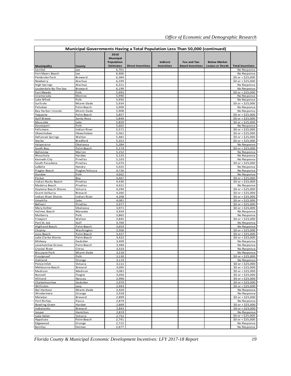|                                     | Municipal Governments Having a Total Population Less Than 50,000 (continued) |                                                            |                          |                                      |                                         |                                               |                                          |
|-------------------------------------|------------------------------------------------------------------------------|------------------------------------------------------------|--------------------------|--------------------------------------|-----------------------------------------|-----------------------------------------------|------------------------------------------|
| Municipality                        | County                                                                       | 2018<br><b>Municipal</b><br>Population<br><b>Estimates</b> | <b>Direct Incentives</b> | <b>Indirect</b><br><b>Incentives</b> | Fee and Tax-<br><b>Based Incentives</b> | <b>Below Market</b><br><b>Leases or Deeds</b> | <b>Total Incentives</b>                  |
| Sanibel                             | Lee                                                                          | 6,701                                                      |                          |                                      |                                         |                                               | No Response                              |
| Fort Myers Beach                    | Lee                                                                          | 6,406                                                      |                          |                                      |                                         |                                               | No Response                              |
| Pembroke Park                       | Broward                                                                      | 6,384                                                      |                          |                                      |                                         |                                               | \$0 or $<$ \$25,000                      |
| Newberry                            | Alachua                                                                      | 6,249                                                      |                          |                                      |                                         |                                               | \$0 or < $$25,000$                       |
| High Springs                        | Alachua                                                                      | 6,221                                                      |                          |                                      |                                         |                                               | No Response                              |
| Lauderdale-By-The-Sea               | Broward                                                                      | 6,199                                                      |                          |                                      |                                         |                                               | No Response                              |
| Fort Meade                          | Polk                                                                         | 5,993                                                      |                          |                                      |                                         |                                               | \$0 or $<$ \$25,000                      |
| Islamorada<br>Lake Alfred           | Monroe<br>Polk                                                               | 5,990<br>5,950                                             |                          |                                      |                                         |                                               | No Response<br>No Response               |
| Surfside                            | Miami-Dade                                                                   | 5,934                                                      |                          |                                      |                                         |                                               | \$0 or < $$25,000$                       |
| Pahokee                             | Palm Beach                                                                   | 5,909                                                      |                          |                                      |                                         |                                               | No Response                              |
| <b>Bay Harbor Islands</b>           | Miami-Dade                                                                   | 5,908                                                      |                          |                                      |                                         |                                               | No Response                              |
| Tequesta                            | Palm Beach                                                                   | 5,857                                                      |                          |                                      |                                         |                                               | $$0 \text{ or } $525,000$                |
| <b>Gulf Breeze</b>                  | Santa Rosa                                                                   | 5,849                                                      |                          |                                      |                                         |                                               | \$0 or < $$25,000$                       |
| Mascotte                            | Lake                                                                         | 5,829                                                      |                          |                                      |                                         |                                               | \$0 or < $$25,000$                       |
| Davenport                           | Polk                                                                         | 5,602                                                      |                          |                                      |                                         |                                               | No Response                              |
| Fellsmere                           | Indian River                                                                 | 5,571                                                      |                          |                                      |                                         |                                               | \$0 or < $$25,000$                       |
| Okeechobee<br>DeFuniak Springs      | Okeechobee<br>Walton                                                         | 5,561<br>5,481                                             |                          |                                      |                                         |                                               | $$0$ or < \$25,000<br>\$0 or < $$25,000$ |
| Starke                              | Bradford                                                                     | 5,352                                                      |                          |                                      |                                         |                                               | \$0 or < $$25,000$                       |
| Valparaiso                          | Okaloosa                                                                     | 5,284                                                      |                          |                                      |                                         |                                               | No Response                              |
| South Bay                           | Palm Beach                                                                   | 5,174                                                      |                          |                                      |                                         |                                               | $$0 \text{ or } $525,000$                |
| Belleview                           | Marion                                                                       | 5,152                                                      |                          |                                      |                                         |                                               | No Response                              |
| Wauchula                            | Hardee                                                                       | 5,133                                                      |                          |                                      |                                         |                                               | No Response                              |
| Kenneth City                        | Pinellas                                                                     | 5,103                                                      |                          |                                      |                                         |                                               | No Response                              |
| South Pasadena                      | Pinellas                                                                     | 5,074                                                      |                          |                                      |                                         |                                               | $$0 \text{ or } $525,000$                |
| LaBelle                             | Hendry                                                                       | 5,025                                                      |                          |                                      |                                         |                                               | No Response                              |
| Flagler Beach                       | Flagler/Volusia                                                              | 4,726                                                      |                          |                                      |                                         |                                               | No Response                              |
| Dundee                              | Polk                                                                         | 4,662                                                      |                          |                                      |                                         |                                               | No Response                              |
| Parker<br>Indian Rocks Beach        | Bay<br>Pinellas                                                              | 4,467<br>4,430                                             |                          |                                      |                                         |                                               | \$0 or < $$25,000$<br>\$0 or < $$25,000$ |
| Madeira Beach                       | Pinellas                                                                     | 4,421                                                      |                          |                                      |                                         |                                               | No Response                              |
| Daytona Beach Shores                | Volusia                                                                      | 4,294                                                      |                          |                                      |                                         |                                               | \$0 or < $$25,000$                       |
| Grant-Valkaria                      | Brevard                                                                      | 4,260                                                      |                          |                                      |                                         |                                               | $$0$ or $< $25,000$                      |
| Indian River Shores                 | Indian River                                                                 | 4,208                                                      |                          |                                      |                                         |                                               | \$0 or < $$25,000$                       |
| Umatilla                            | Lake                                                                         | 4,081                                                      |                          |                                      |                                         |                                               | \$0 or < $$25,000$                       |
| Belleair                            | Pinellas                                                                     | 3,977                                                      |                          |                                      |                                         |                                               | \$0 or < $$25,000$                       |
| Mary Esther                         | Okaloosa                                                                     | 3,971                                                      |                          |                                      |                                         |                                               | \$0 or < $$25,000$                       |
| Holmes Beach                        | Manatee                                                                      | 3,934                                                      |                          |                                      |                                         |                                               | No Response                              |
| Mulberry                            | Polk                                                                         | 3,865                                                      |                          |                                      |                                         |                                               | No Response                              |
| Freeport<br>Port St. Joe            | Walton<br>Gulf                                                               | 3,845<br>3,700                                             |                          |                                      |                                         |                                               | \$0 or < $$25,000$<br>No Response        |
| Highland Beach                      | Palm Beach                                                                   | 3,654                                                      |                          |                                      |                                         |                                               | No Response                              |
| Chipley                             | Washington                                                                   | 3,506                                                      |                          |                                      |                                         |                                               | $$0$ or < \$25,000                       |
| Juno Beach                          | Palm Beach                                                                   | 3,427                                                      |                          |                                      |                                         |                                               | \$0 or < \$25,000                        |
| Lake Clarke Shores                  | Palm Beach                                                                   | 3,422                                                      |                          |                                      |                                         |                                               | \$0 or < $$25,000$                       |
| Midway                              | Gadsden                                                                      | 3,409                                                      |                          |                                      |                                         |                                               | No Response                              |
| Loxahatchee Groves                  | Palm Beach                                                                   | 3,384                                                      |                          |                                      |                                         |                                               | No Response                              |
| Crystal River                       | Citrus                                                                       | 3,333                                                      |                          |                                      |                                         |                                               | No Response                              |
| <b>Biscayne Park</b>                | Miami-Dade                                                                   | 3,218                                                      |                          |                                      |                                         |                                               | No Response                              |
| Frostproof                          | Polk                                                                         | 3,130<br>3,119                                             |                          |                                      |                                         |                                               | \$0 or < $$25,000$                       |
| Oakland<br>Ponce Inlet              | Orange<br>Volusia                                                            | 3,111                                                      |                          |                                      |                                         |                                               | No Response<br>\$0 or < \$25,000         |
| Melbourne Beach                     | Brevard                                                                      | 3,095                                                      |                          |                                      |                                         |                                               | \$0 or < \$25,000                        |
| Madison                             | Madison                                                                      | 3,081                                                      |                          |                                      |                                         |                                               | \$0 or < \$25,000                        |
| Bunnell                             | Flagler                                                                      | 3,056                                                      |                          |                                      |                                         |                                               | \$0 or < $$25,000$                       |
| Hilliard                            | Nassau                                                                       | 2,990                                                      |                          |                                      |                                         |                                               | \$0 or < $$25,000$                       |
| Chattahoochee                       | Gadsden                                                                      | 2,970                                                      |                          |                                      |                                         |                                               | \$0 or < $$25,000$                       |
| Williston                           | Levy                                                                         | 2,943                                                      |                          |                                      |                                         |                                               | \$0 or < \$25,000                        |
| <b>Bal Harbour</b>                  | Miami-Dade                                                                   | 2,920                                                      |                          |                                      |                                         |                                               | No Response                              |
| Windermere                          | Orange                                                                       | 2,918                                                      |                          |                                      |                                         |                                               | No Response                              |
| Malabar                             | Brevard                                                                      | 2,899                                                      |                          |                                      |                                         |                                               | \$0 or < \$25,000                        |
| Port Richey<br><b>Bowling Green</b> | Pasco                                                                        | 2,879                                                      |                          |                                      |                                         |                                               | No Response<br>\$0 or < \$25,000         |
| Indialantic                         | Hardee<br>Brevard                                                            | 2,869<br>2,842                                             |                          |                                      |                                         |                                               | \$0 or < \$25,000                        |
| Jasper                              | Hamilton                                                                     | 2,819                                                      |                          |                                      |                                         |                                               | No Response                              |
| Lake Helen                          | Volusia                                                                      | 2,752                                                      |                          |                                      |                                         |                                               | \$0 or < $$25,000$                       |
| Hypoluxo                            | Palm Beach                                                                   | 2,741                                                      |                          |                                      |                                         |                                               | \$0 or < $$25,000$                       |
| Edgewood                            | Orange                                                                       | 2,712                                                      |                          |                                      |                                         |                                               | No Response                              |
| Bonifay                             | Holmes                                                                       | 2,677                                                      |                          |                                      |                                         |                                               | No Response                              |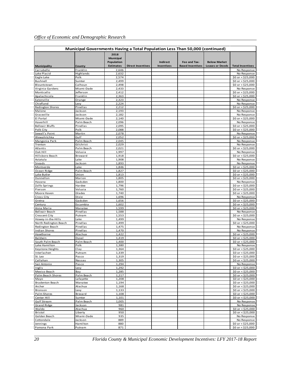|                                | Municipal Governments Having a Total Population Less Than 50,000 (continued) |                                                            |                          |                               |                                         |                                               |                                                 |
|--------------------------------|------------------------------------------------------------------------------|------------------------------------------------------------|--------------------------|-------------------------------|-----------------------------------------|-----------------------------------------------|-------------------------------------------------|
| Municipality                   | County                                                                       | 2018<br><b>Municipal</b><br>Population<br><b>Estimates</b> | <b>Direct Incentives</b> | Indirect<br><b>Incentives</b> | Fee and Tax-<br><b>Based Incentives</b> | <b>Below Market</b><br><b>Leases or Deeds</b> | <b>Total Incentives</b>                         |
| Carrabelle                     | Franklin                                                                     | 2,646                                                      |                          |                               |                                         |                                               | No Response                                     |
| Lake Placid                    | Highlands                                                                    | 2,632                                                      |                          |                               |                                         |                                               | No Response                                     |
| Eagle Lake                     | Polk                                                                         | 2,574                                                      |                          |                               |                                         |                                               | \$0 or < $$25,000$                              |
| Bushnell                       | Sumter                                                                       | 2,499                                                      |                          |                               |                                         |                                               | \$0 or < $$25,000$                              |
| <b>Blountstown</b>             | Calhoun                                                                      | 2,498                                                      |                          |                               |                                         |                                               | $$0$ or $< $25,000$                             |
| Virginia Gardens               | Miami-Dade                                                                   | 2,433                                                      |                          |                               |                                         |                                               | No Response                                     |
| Monticello                     | Jefferson                                                                    | 2,412                                                      |                          |                               |                                         |                                               | \$0 or < $$25,000$                              |
| Apalachicola                   | Franklin                                                                     | 2,363                                                      |                          |                               |                                         |                                               | $$0$ or < $$25,000$                             |
| Eatonville<br>Chiefland        | Orange<br>Levy                                                               | 2,323<br>2,224                                             |                          |                               |                                         |                                               | No Response<br>No Response                      |
| Redington Shores               | Pinellas                                                                     | 2,212                                                      |                          |                               |                                         |                                               | \$0 or < $$25,000$                              |
| Malone                         | Jackson                                                                      | 2,193                                                      |                          |                               |                                         |                                               | No Response                                     |
| Graceville                     | Jackson                                                                      | 2,182                                                      |                          |                               |                                         |                                               | No Response                                     |
| El Portal                      | Miami-Dade                                                                   | 2,140                                                      |                          |                               |                                         |                                               | $$0$ or < $$25,000$                             |
| Haverhill                      | Palm Beach                                                                   | 2,096                                                      |                          |                               |                                         |                                               | No Response                                     |
| <b>Belleair Bluffs</b>         | Pinellas                                                                     | 2,095                                                      |                          |                               |                                         |                                               | $$0 \text{ or } $525,000$                       |
| Polk City                      | Polk                                                                         | 2,088                                                      |                          |                               |                                         |                                               | $$0$ or < \$25,000                              |
| Sewall's Point                 | Martin                                                                       | 2,078                                                      |                          |                               |                                         |                                               | No Response                                     |
| Wewahitchka                    | Gulf                                                                         | 2,052                                                      |                          |                               |                                         |                                               | \$0 or < $$25,000$                              |
| Mangonia Park<br>Trenton       | Palm Beach<br>Gilchrist                                                      | 2,045<br>2,029                                             |                          |                               |                                         |                                               | No Response<br>No Response                      |
| Atlantis                       | Palm Beach                                                                   | 2,021                                                      |                          |                               |                                         |                                               | \$0 or $<$ \$25,000                             |
| Oak Hill                       | Volusia                                                                      | 1,997                                                      |                          |                               |                                         |                                               | No Response                                     |
| Hillsboro Beach                | Broward                                                                      | 1,918                                                      |                          |                               |                                         |                                               | \$0 or < $$25,000$                              |
| Astatula                       | Lake                                                                         | 1,908                                                      |                          |                               |                                         |                                               | No Response                                     |
| Sneads                         | Jackson                                                                      | 1,893                                                      |                          |                               |                                         |                                               | No Response                                     |
| Montverde                      | Lake                                                                         | 1,846                                                      |                          |                               |                                         |                                               | \$0 or < $$25,000$                              |
| Ocean Ridge                    | Palm Beach                                                                   | 1,827                                                      |                          |                               |                                         |                                               | \$0 or < \$25,000                               |
| Lake Butler                    | Union                                                                        | 1,813                                                      |                          |                               |                                         |                                               | $$0 \text{ or } $525,000$                       |
| Dunnellon                      | Marion                                                                       | 1,805                                                      |                          |                               |                                         |                                               | \$0 or < $$25,000$                              |
| Havana                         | Gadsden                                                                      | 1,800                                                      |                          |                               |                                         |                                               | No Response                                     |
| Zolfo Springs                  | Hardee                                                                       | 1,796                                                      |                          |                               |                                         |                                               | \$0 or < $$25,000$                              |
| Pierson<br>Moore Haven         | Volusia<br>Glades                                                            | 1,760<br>1,740                                             |                          |                               |                                         |                                               | \$0 or < $$25,000$<br>$$0 \text{ or } $525,000$ |
| Cross City                     | Dixie                                                                        | 1,696                                                      |                          |                               |                                         |                                               | No Response                                     |
| Gretna                         | Gadsden                                                                      | 1,656                                                      |                          |                               |                                         |                                               | \$0 or < \$25,000                               |
| Century                        | Escambia                                                                     | 1,602                                                      |                          |                               |                                         |                                               | \$0 or < $$25,000$                              |
| Anna Maria                     | Manatee                                                                      | 1,599                                                      |                          |                               |                                         |                                               | \$0 or < $$25,000$                              |
| Belleair Beach                 | Pinellas                                                                     | 1,588                                                      |                          |                               |                                         |                                               | No Response                                     |
| Crescent City                  | Putnam                                                                       | 1,553                                                      |                          |                               |                                         |                                               | \$0 or < \$25,000                               |
| Howey-in-the-Hills             | Lake                                                                         | 1,499                                                      |                          |                               |                                         |                                               | No Response                                     |
| North Redington Beach          | Pinellas                                                                     | 1,499                                                      |                          |                               |                                         |                                               | $$0 \text{ or } $525,000$                       |
| Redington Beach                | Pinellas                                                                     | 1,475                                                      |                          |                               |                                         |                                               | No Response                                     |
| <b>Indian Shores</b>           | Pinellas                                                                     | 1,470                                                      |                          |                               |                                         |                                               | No Response                                     |
| Hawthorne<br>Baldwin           | Alachua<br>Duval                                                             | 1,422<br>1,419                                             |                          |                               |                                         |                                               | $$0 \text{ or } $525,000$<br>$$0$ or < \$25,000 |
| South Palm Beach               | Palm Beach                                                                   | 1,400                                                      |                          |                               |                                         |                                               | \$0 or < $$25,000$                              |
| Lake Hamilton                  | Polk                                                                         | 1,380                                                      |                          |                               |                                         |                                               | No Response                                     |
| Keystone Heights               | Clay                                                                         | 1,364                                                      |                          |                               |                                         |                                               | \$0 or < $$25,000$                              |
| Interlachen                    | Putnam                                                                       | 1,339                                                      |                          |                               |                                         |                                               | \$0 or < $$25,000$                              |
| St. Leo                        | Pasco                                                                        | 1,319                                                      |                          |                               |                                         |                                               | $$0$ or < $$25,000$                             |
| Callahan                       | Nassau                                                                       | 1,305                                                      |                          |                               |                                         |                                               | \$0 or < $$25,000$                              |
| San Antonio                    | Pasco                                                                        | 1,294                                                      |                          |                               |                                         |                                               | No Response                                     |
| Inglis                         | Levy                                                                         | 1,292                                                      |                          |                               |                                         |                                               | \$0 or < \$25,000                               |
| Mexico Beach                   | Bay                                                                          | 1,285                                                      |                          |                               |                                         |                                               | $$0$ or < $$25,000$                             |
| Palm Beach Shores              | Palm Beach<br>Lafayette                                                      | 1,217                                                      |                          |                               |                                         |                                               | \$0 or < \$25,000                               |
| Mayo<br><b>Bradenton Beach</b> | Manatee                                                                      | 1,208<br>1,194                                             |                          |                               |                                         |                                               | \$0 or < \$25,000<br>\$0 or < \$25,000          |
| Archer                         | Alachua                                                                      | 1,168                                                      |                          |                               |                                         |                                               | \$0 or < $$25,000$                              |
| Bronson                        | Levy                                                                         | 1,133                                                      |                          |                               |                                         |                                               | \$0 or < $$25,000$                              |
| Palm Shores                    | Brevard                                                                      | 1,108                                                      |                          |                               |                                         |                                               | \$0 or < \$25,000                               |
| Center Hill                    | Sumter                                                                       | 1,101                                                      |                          |                               |                                         |                                               | \$0 or < \$25,000                               |
| Gulf Stream                    | Palm Beach                                                                   | 1,005                                                      |                          |                               |                                         |                                               | No Response                                     |
| <b>Grand Ridge</b>             | Jackson                                                                      | 981                                                        |                          |                               |                                         |                                               | No Response                                     |
| Waldo                          | Alachua                                                                      | 960                                                        |                          |                               |                                         |                                               | \$0 or < $$25,000$                              |
| Bristol                        | Liberty                                                                      | 950                                                        |                          |                               |                                         |                                               | $$0$ or < $$25,000$                             |
| Golden Beach                   | Miami-Dade                                                                   | 935                                                        |                          |                               |                                         |                                               | No Response                                     |
| Cottondale                     | Jackson                                                                      | 889                                                        |                          |                               |                                         |                                               | No Response                                     |
| Jennings<br>Pomona Park        | Hamilton<br>Putnam                                                           | 880<br>871                                                 |                          |                               |                                         |                                               | \$0 or < \$25,000<br>\$0 or < \$25,000          |
|                                |                                                                              |                                                            |                          |                               |                                         |                                               |                                                 |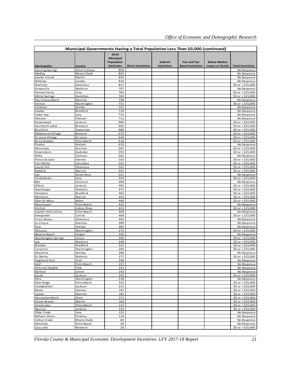|                                               | Municipal Governments Having a Total Population Less Than 50,000 (continued) |                                        |                          |                   |                         |                        |                                                 |
|-----------------------------------------------|------------------------------------------------------------------------------|----------------------------------------|--------------------------|-------------------|-------------------------|------------------------|-------------------------------------------------|
|                                               |                                                                              | 2018<br><b>Municipal</b><br>Population |                          | Indirect          | Fee and Tax-            | <b>Below Market</b>    |                                                 |
| <b>Municipality</b><br><b>Fanning Springs</b> | County<br>Gilchrist/Levy                                                     | <b>Estimates</b><br>859                | <b>Direct Incentives</b> | <b>Incentives</b> | <b>Based Incentives</b> | <b>Leases or Deeds</b> | <b>Total Incentives</b><br>No Response          |
| Medley                                        | Miami-Dade                                                                   | 842                                    |                          |                   |                         |                        | No Response                                     |
| Jupiter Island                                | Martin                                                                       | 826                                    |                          |                   |                         |                        | No Response                                     |
| Webster                                       | Sumter                                                                       | 818                                    |                          |                   |                         |                        | No Response                                     |
| Shalimar                                      | Okaloosa                                                                     | 817                                    |                          |                   |                         |                        | \$0 or < \$25,000                               |
| Greenville<br>Penney Farms                    | Madison<br>Clay                                                              | 797<br>766                             |                          |                   |                         |                        | No Response<br>\$0 or < $$25,000$               |
| White Springs                                 | Hamilton                                                                     | 764                                    |                          |                   |                         |                        | $$0 \text{ or } $525,000$                       |
| Key Colony Beach                              | Monroe                                                                       | 758                                    |                          |                   |                         |                        | No Response                                     |
| Vernon                                        | Washington                                                                   | 751                                    |                          |                   |                         |                        | \$0 or < $$25,000$                              |
| Coleman                                       | Sumter                                                                       | 721                                    |                          |                   |                         |                        | No Response                                     |
| Lawtey<br>Cedar Key                           | Bradford<br>Levy                                                             | 718<br>714                             |                          |                   |                         |                        | No Response<br>No Response                      |
| Welaka                                        | Putnam                                                                       | 712                                    |                          |                   |                         |                        | No Response                                     |
| Greenwood                                     | Jackson                                                                      | 696                                    |                          |                   |                         |                        | \$0 or < $$25,000$                              |
| Sea Ranch Lakes                               | Broward                                                                      | 695                                    |                          |                   |                         |                        | $$0 \text{ or } $525,000$                       |
| Branford                                      | Suwannee                                                                     | 689                                    |                          |                   |                         |                        | \$0 or < $$25,000$                              |
| Melbourne Village                             | Brevard                                                                      | 673                                    |                          |                   |                         |                        | \$0 or < $$25,000$                              |
| St. Lucie Village<br><b>Briny Breezes</b>     | St. Lucie<br>Palm Beach                                                      | 634<br>610                             |                          |                   |                         |                        | \$0 or < $$25,000$<br>$$0 \text{ or } $525,000$ |
| Paxton                                        | Walton                                                                       | 610                                    |                          |                   |                         |                        | No Response                                     |
| Micanopy                                      | Alachua                                                                      | 605                                    |                          |                   |                         |                        | \$0 or < $$25,000$                              |
| Greensboro                                    | Gadsden                                                                      | 591                                    |                          |                   |                         |                        | \$0 or < $$25,000$                              |
| Altha                                         | Calhoun                                                                      | 565                                    |                          |                   |                         |                        | No Response                                     |
| Ponce de Leon                                 | Hol mes                                                                      | 554                                    |                          |                   |                         |                        | \$0 or < \$25,000                               |
| Fort White<br>Laurel Hill                     | Columbia<br>Okaloosa                                                         | 552<br>551                             |                          |                   |                         |                        | $$0$ or < \$25,000<br>\$0 or < $$25,000$        |
| Reddick                                       | Marion                                                                       | 547                                    |                          |                   |                         |                        | \$0 or < $$25,000$                              |
| Jay                                           | Santa Rosa                                                                   | 521                                    |                          |                   |                         |                        | No Response                                     |
| Yankeetown                                    | Levy                                                                         | 504                                    |                          |                   |                         |                        | \$0 or < $$25,000$                              |
| Bell                                          | Gilchrist                                                                    | 498                                    |                          |                   |                         |                        | No Response                                     |
| Alford                                        | Jackson                                                                      | 495                                    |                          |                   |                         |                        | $$0 \text{ or } $525,000$                       |
| Sopchoppy<br>Hampton                          | Wakulla<br>Bradford                                                          | 473<br>465                             |                          |                   |                         |                        | \$0 or < $$25,000$<br>$$0 \text{ or } $525,000$ |
| McIntosh                                      | Marion                                                                       | 453                                    |                          |                   |                         |                        | \$0 or < $$25,000$                              |
| Glen St. Mary                                 | Baker                                                                        | 446                                    |                          |                   |                         |                        | \$0 or < $$25,000$                              |
| Manalapan                                     | Palm Beach                                                                   | 425                                    |                          |                   |                         |                        | No Response                                     |
| Orchid                                        | Indian River                                                                 | 423<br>409                             |                          |                   |                         |                        | \$0 or < $$25,000$                              |
| Jupiter Inlet Colony<br>Everglades            | Palm Beach<br>Collier                                                        | 408                                    |                          |                   |                         |                        | No Response<br>\$0 or < $$25,000$               |
| Cinco Bayou                                   | Okaloosa                                                                     | 404                                    |                          |                   |                         |                        | No Response                                     |
| La Crosse                                     | Alachua                                                                      | 390                                    |                          |                   |                         |                        | No Response                                     |
| Esto                                          | Holmes                                                                       | 385                                    |                          |                   |                         |                        | No Response                                     |
| Wausau                                        | Washington                                                                   | 375                                    |                          |                   |                         |                        | \$0 or < $$25,000$                              |
| Beverly Beach                                 | Flagler<br>Union                                                             | 356                                    |                          |                   |                         |                        | No Response<br>\$0 or < $$25,000$               |
| Worthington Springs<br>Lee                    | Madison                                                                      | 350<br>338                             |                          |                   |                         |                        | \$0 or < $$25,000$                              |
| Brooker                                       | Bradford                                                                     | 322                                    |                          |                   |                         |                        | \$0 or < $$25,000$                              |
| Caryville                                     | Washington                                                                   | 293                                    |                          |                   |                         |                        | \$0 or < $$25,000$                              |
| Westville                                     | Holmes                                                                       | 286                                    |                          |                   |                         |                        | No Response                                     |
| St. Marks                                     | Wakulla<br>Polk                                                              | 277                                    |                          |                   |                         |                        | \$0 or < $$25,000$                              |
| <b>Highland Park</b><br>Golf                  | Palm Beach                                                                   | 258<br>257                             |                          |                   |                         |                        | No Response<br>No Response                      |
| Hillcrest Heights                             | Polk                                                                         | 253                                    |                          |                   |                         |                        | No Response                                     |
| Raiford                                       | Union                                                                        | 243                                    |                          |                   |                         |                        | No Response                                     |
| Jacob                                         | Jackson                                                                      | 242                                    |                          |                   |                         |                        | \$0 or < $$25,000$                              |
| Ebro                                          | Washington                                                                   | 238                                    |                          |                   |                         |                        | No Response                                     |
| Glen Ridge<br>Campbellton                     | Palm Beach<br>Jackson                                                        | 223<br>215                             |                          |                   |                         |                        | \$0 or < $$25,000$<br>\$0 or < $$25,000$        |
| Noma                                          | Holmes                                                                       | 187                                    |                          |                   |                         |                        | \$0 or < $$25,000$                              |
| Layton                                        | Monroe                                                                       | 182                                    |                          |                   |                         |                        | \$0 or < $$25,000$                              |
| Horseshoe Beach                               | Dixie                                                                        | 171                                    |                          |                   |                         |                        | \$0 or < $$25,000$                              |
| Ocean Breeze                                  | Martin                                                                       | 163                                    |                          |                   |                         |                        | \$0 or < $$25,000$                              |
| Cloud Lake                                    | Palm Beach                                                                   | 137                                    |                          |                   |                         |                        | \$0 or $<$ \$25,000                             |
| Bascom<br>Otter Creek                         | Jackson<br>Levy                                                              | 125<br>122                             |                          |                   |                         |                        | \$0 or $<$ \$25,000<br>No Response              |
| <b>Belleair Shore</b>                         | Pinellas                                                                     | 118                                    |                          |                   |                         |                        | No Response                                     |
| <b>Indian Creek</b>                           | Miami-Dade                                                                   | 84                                     |                          |                   |                         |                        | No Response                                     |
| Westlake                                      | Palm Beach                                                                   | 29                                     |                          |                   |                         |                        | No Response                                     |
| Lazy Lake                                     | Broward                                                                      | 26                                     |                          |                   |                         |                        | \$0 or < \$25,000                               |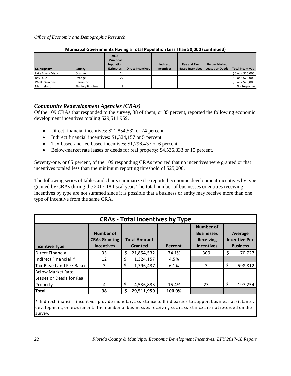| Municipal Governments Having a Total Population Less Than 50,000 (continued) |                   |                                        |                          |                   |                         |                        |                           |  |  |  |
|------------------------------------------------------------------------------|-------------------|----------------------------------------|--------------------------|-------------------|-------------------------|------------------------|---------------------------|--|--|--|
|                                                                              |                   | 2018<br>Municipal<br><b>Population</b> |                          | <b>Indirect</b>   | Fee and Tax-            | <b>Below Market</b>    |                           |  |  |  |
| Municipality                                                                 | County            | <b>Estimates</b>                       | <b>Direct Incentives</b> | <b>Incentives</b> | <b>Based Incentives</b> | <b>Leases or Deeds</b> | <b>Total Incentives</b>   |  |  |  |
| Lake Buena Vista                                                             | Orange            | 24                                     |                          |                   |                         |                        | $$0 \text{ or } $525,000$ |  |  |  |
| Bay Lake                                                                     | Orange            | 22                                     |                          |                   |                         |                        | $$0$ or < $$25,000$       |  |  |  |
| Weeki Wachee                                                                 | Hernando          |                                        |                          |                   |                         |                        | \$0 or < \$25,000         |  |  |  |
| Marineland                                                                   | Flagler/St. Johns |                                        |                          |                   |                         |                        | No Response               |  |  |  |

#### *Community Redevelopment Agencies (CRAs)*

Of the 109 CRAs that responded to the survey, 38 of them, or 35 percent, reported the following economic development incentives totaling \$29,511,959.

- Direct financial incentives: \$21,854,532 or 74 percent.
- Indirect financial incentives: \$1,324,157 or 5 percent.
- Tax-based and fee-based incentives: \$1,796,437 or 6 percent.
- Below-market rate leases or deeds for real property: \$4,536,833 or 15 percent.

Seventy-one, or 65 percent, of the 109 responding CRAs reported that no incentives were granted or that incentives totaled less than the minimum reporting threshold of \$25,000.

The following series of tables and charts summarize the reported economic development incentives by type granted by CRAs during the 2017-18 fiscal year. The total number of businesses or entities receiving incentives by type are not summed since it is possible that a business or entity may receive more than one type of incentive from the same CRA.

|                                                      | <b>CRAs - Total Incentives by Type</b>                 |    |                                |         |                                                                                |    |                                                    |  |  |  |  |  |  |
|------------------------------------------------------|--------------------------------------------------------|----|--------------------------------|---------|--------------------------------------------------------------------------------|----|----------------------------------------------------|--|--|--|--|--|--|
| <b>Incentive Type</b>                                | Number of<br><b>CRAs Granting</b><br><b>Incentives</b> |    | <b>Total Amount</b><br>Granted | Percent | <b>Number of</b><br><b>Businesses</b><br><b>Receiving</b><br><b>Incentives</b> |    | Average<br><b>Incentive Per</b><br><b>Business</b> |  |  |  |  |  |  |
| Direct Financial                                     | 33                                                     | ς  | 21,854,532                     | 74.1%   | 309                                                                            | Ś  | 70,727                                             |  |  |  |  |  |  |
| Indirect Financial *                                 | 12                                                     | \$ | 1,324,157                      | 4.5%    |                                                                                |    |                                                    |  |  |  |  |  |  |
| Tax-Based and Fee-Based                              | 3                                                      | \$ | 1,796,437                      | 6.1%    | 3                                                                              | \$ | 598,812                                            |  |  |  |  |  |  |
| <b>Below Market Rate</b><br>Leases or Deeds for Real |                                                        |    |                                |         |                                                                                |    |                                                    |  |  |  |  |  |  |
| Property                                             | 4                                                      | \$ | 4,536,833                      | 15.4%   | 23                                                                             | \$ | 197,254                                            |  |  |  |  |  |  |
| <b>Total</b>                                         | 38                                                     | Ś  | 29,511,959                     | 100.0%  |                                                                                |    |                                                    |  |  |  |  |  |  |
|                                                      |                                                        |    |                                |         |                                                                                |    |                                                    |  |  |  |  |  |  |

\* Indirect financial incentives provide monetary assistance to third parties to support business assistance, development, or recruitment. The number of businesses receiving such assistance are not recorded on the survey.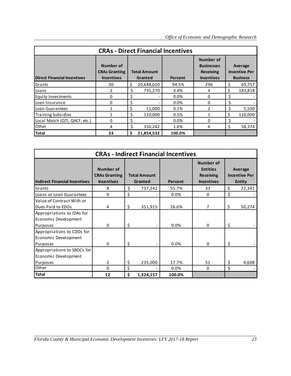|                                    | <b>CRAs - Direct Financial Incentives</b>              |    |                                |         |                                                                                |     |                                                    |  |  |  |  |  |  |
|------------------------------------|--------------------------------------------------------|----|--------------------------------|---------|--------------------------------------------------------------------------------|-----|----------------------------------------------------|--|--|--|--|--|--|
| <b>Direct Financial Incentives</b> | Number of<br><b>CRAs Granting</b><br><b>Incentives</b> |    | <b>Total Amount</b><br>Granted | Percent | <b>Number of</b><br><b>Businesses</b><br><b>Receiving</b><br><b>Incentives</b> |     | Average<br><b>Incentive Per</b><br><b>Business</b> |  |  |  |  |  |  |
| Grants                             | 30                                                     | \$ | 20,648,020                     | 94.5%   | 296                                                                            | \$  | 69,757                                             |  |  |  |  |  |  |
| Loans                              |                                                        | \$ | 735,270                        | 3.4%    | 4                                                                              |     | 183,818                                            |  |  |  |  |  |  |
| Equity Investments                 | <sup>0</sup>                                           | \$ |                                | 0.0%    | 0                                                                              | \$  |                                                    |  |  |  |  |  |  |
| Loan Insurance                     | 0                                                      | Ś  |                                | 0.0%    | 0                                                                              | Š.  |                                                    |  |  |  |  |  |  |
| Loan Guarantees                    |                                                        | \$ | 11,000                         | 0.1%    | $\mathcal{P}$                                                                  | S   | 5,500                                              |  |  |  |  |  |  |
| <b>Training Subsidies</b>          |                                                        | Ś. | 110.000                        | 0.5%    | 1                                                                              | Ś   | 110.000                                            |  |  |  |  |  |  |
| Local Match (QTI, QACF, etc.)      | $\Omega$                                               | \$ |                                | 0.0%    | 0                                                                              | \$. |                                                    |  |  |  |  |  |  |
| Other                              | 4                                                      | Ŝ. | 350,242                        | 1.6%    | 6                                                                              | Ś   | 58,374                                             |  |  |  |  |  |  |
| Total                              | 33                                                     | \$ | 21,854,532                     | 100.0%  |                                                                                |     |                                                    |  |  |  |  |  |  |

|                                                                |                                                        |                                | <b>CRAs - Indirect Financial Incentives</b> |                                                                              |    |                                                  |
|----------------------------------------------------------------|--------------------------------------------------------|--------------------------------|---------------------------------------------|------------------------------------------------------------------------------|----|--------------------------------------------------|
| <b>Indirect Financial Incentives</b>                           | Number of<br><b>CRAs Granting</b><br><b>Incentives</b> | <b>Total Amount</b><br>Granted | Percent                                     | <b>Number of</b><br><b>Entities</b><br><b>Receiving</b><br><b>Incentives</b> |    | Average<br><b>Incentive Per</b><br><b>Entity</b> |
| Grants                                                         | 8                                                      | \$<br>737,242                  | 55.7%                                       | 33                                                                           | \$ | 22,341                                           |
| Loans or Loan Guarantees                                       | $\Omega$                                               | \$                             | 0.0%                                        | 0                                                                            | \$ |                                                  |
| Value of Contract With or<br>Dues Paid to EDOs                 | 4                                                      | \$<br>351,915                  | 26.6%                                       | 7                                                                            | \$ | 50,274                                           |
| Appropriations to IDAs for<br>Economic Development             |                                                        |                                |                                             |                                                                              |    |                                                  |
| Purposes                                                       | 0                                                      | \$                             | 0.0%                                        | 0                                                                            | \$ |                                                  |
| Appropriations to CDDs for<br>Economic Development<br>Purposes | 0                                                      | \$                             | 0.0%                                        | 0                                                                            | Ś  |                                                  |
| Appropriations to SBDCs for<br>Economic Development            |                                                        |                                |                                             |                                                                              |    |                                                  |
| Purposes                                                       | 2                                                      | \$<br>235,000                  | 17.7%                                       | 51                                                                           | Ś  | 4,608                                            |
| Other                                                          | $\Omega$                                               | \$                             | 0.0%                                        | 0                                                                            | \$ |                                                  |
| <b>Total</b>                                                   | 12                                                     | \$<br>1,324,157                | 100.0%                                      |                                                                              |    |                                                  |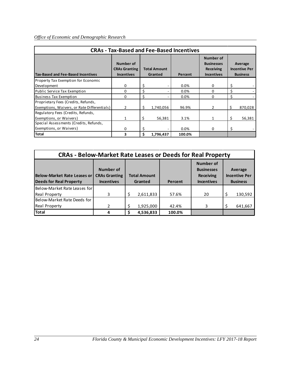|                                                                                    |                                                        |                                | <b>CRAs - Tax-Based and Fee-Based Incentives</b> |                                                                         |                                                    |
|------------------------------------------------------------------------------------|--------------------------------------------------------|--------------------------------|--------------------------------------------------|-------------------------------------------------------------------------|----------------------------------------------------|
| <b>Tax-Based and Fee-Based Incentives</b>                                          | Number of<br><b>CRAs Granting</b><br><b>Incentives</b> | <b>Total Amount</b><br>Granted | Percent                                          | Number of<br><b>Businesses</b><br><b>Receiving</b><br><b>Incentives</b> | Average<br><b>Incentive Per</b><br><b>Business</b> |
| Property Tax Exemption for Economic                                                |                                                        |                                |                                                  |                                                                         |                                                    |
| Development                                                                        | 0                                                      | \$                             | 0.0%                                             | 0                                                                       | \$                                                 |
| Public Service Tax Exemption                                                       | 0                                                      | Ś                              | $0.0\%$                                          | 0                                                                       | \$                                                 |
| <b>Business Tax Exemption</b>                                                      | $\Omega$                                               | Ś.                             | 0.0%                                             | 0                                                                       | \$                                                 |
| Proprietary Fees (Credits, Refunds,<br>Exemptions, Waivers, or Rate Differentials) | 2                                                      | \$<br>1,740,056                | 96.9%                                            | 2                                                                       | \$<br>870,028                                      |
| Regulatory Fees (Credits, Refunds,<br>Exemptions, or Waivers)                      | $\mathbf{1}$                                           | \$<br>56,381                   | 3.1%                                             | 1                                                                       | \$<br>56,381                                       |
| Special Assessments (Credits, Refunds,                                             |                                                        |                                |                                                  |                                                                         |                                                    |
| Exemptions, or Waivers)                                                            | 0                                                      | Ś                              | 0.0%                                             | 0                                                                       | \$                                                 |
| <b>Total</b>                                                                       | 3                                                      | Ŝ.<br>1,796,437                | 100.0%                                           |                                                                         |                                                    |

| <b>CRAs - Below-Market Rate Leases or Deeds for Real Property</b> |                                                        |    |                                |         |                                                                         |  |                                                    |  |  |  |  |
|-------------------------------------------------------------------|--------------------------------------------------------|----|--------------------------------|---------|-------------------------------------------------------------------------|--|----------------------------------------------------|--|--|--|--|
| Below-Market Rate Leases or<br><b>Deeds for Real Property</b>     | Number of<br><b>CRAs Granting</b><br><b>Incentives</b> |    | <b>Total Amount</b><br>Granted | Percent | Number of<br><b>Businesses</b><br><b>Receiving</b><br><b>Incentives</b> |  | Average<br><b>Incentive Per</b><br><b>Business</b> |  |  |  |  |
| Below-Market Rate Leases for                                      |                                                        |    |                                |         |                                                                         |  |                                                    |  |  |  |  |
| <b>Real Property</b>                                              | 3                                                      | Ś. | 2,611,833                      | 57.6%   | 20                                                                      |  | 130,592                                            |  |  |  |  |
| Below-Market Rate Deeds for                                       |                                                        |    |                                |         |                                                                         |  |                                                    |  |  |  |  |
| <b>Real Property</b>                                              | 2                                                      |    | 1,925,000                      | 42.4%   | 3                                                                       |  | 641,667                                            |  |  |  |  |
| <b>Total</b>                                                      |                                                        |    | 4,536,833                      | 100.0%  |                                                                         |  |                                                    |  |  |  |  |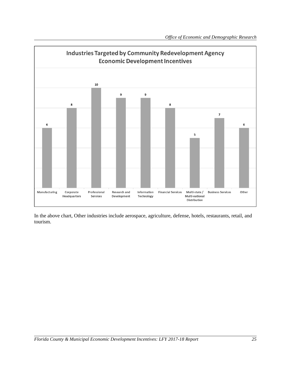

In the above chart, Other industries include aerospace, agriculture, defense, hotels, restaurants, retail, and tourism.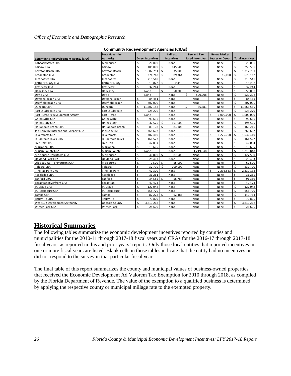| <b>Community Redevelopment Agencies (CRAs)</b> |                                     |                    |                          |                         |                                      |                                         |                                               |                    |                         |  |  |  |  |
|------------------------------------------------|-------------------------------------|--------------------|--------------------------|-------------------------|--------------------------------------|-----------------------------------------|-----------------------------------------------|--------------------|-------------------------|--|--|--|--|
| <b>Community Redevelopment Agency (CRA)</b>    | <b>Local Governing</b><br>Authority |                    | <b>Direct Incentives</b> |                         | <b>Indirect</b><br><b>Incentives</b> | Fee and Tax-<br><b>Based Incentives</b> | <b>Below Market</b><br><b>Leases or Deeds</b> |                    | <b>Total Incentives</b> |  |  |  |  |
| <b>Babcock Street CRA</b>                      | Melbourne                           | \$                 | 20.000                   |                         | None                                 | None                                    | None                                          | Ś                  | 20.000                  |  |  |  |  |
| <b>Bartow CRA</b>                              | Bartow                              | \$                 | 105,000                  | \$                      | 145,500                              | None                                    | None                                          | \$                 | 250,500                 |  |  |  |  |
| <b>Boynton Beach CRA</b>                       | <b>Boynton Beach</b>                | \$                 | 1,682,751                | Ŝ.                      | 35,000                               | None                                    | None                                          | \$                 | 1,717,751               |  |  |  |  |
| <b>Bradenton CRA</b>                           | <b>Bradenton</b>                    | \$                 | 274,748                  | \$                      | 389,364                              | None                                    | Ś<br>15,000                                   | \$                 | 679,112                 |  |  |  |  |
| Clearwater CRA                                 | Clearwater                          | \$                 | 718,540                  |                         | None                                 | None                                    | None                                          | Ś                  | 718,540                 |  |  |  |  |
| <b>Collier County CRA</b>                      | <b>Collier County</b>               | \$                 | 13,822                   | \$                      | 2,415                                | None                                    | None                                          | \$                 | 16,237                  |  |  |  |  |
| Crestview CRA                                  | Crestview                           | \$                 | 32.244                   |                         | None                                 | None                                    | None                                          | Ś                  | 32.244                  |  |  |  |  |
| Dade City CRA                                  | Dade City                           |                    | None                     | \$                      | 50,000                               | None                                    | None                                          | Ś                  | 50,000                  |  |  |  |  |
| Davie CRA                                      | Davie                               |                    | None                     |                         | None                                 | Ś<br>520,208                            | None                                          | \$                 | 520,208                 |  |  |  |  |
| Daytona Beach CRA                              | Daytona Beach                       | \$                 | 84,481                   |                         | None                                 | None                                    | None                                          | Ś                  | 84,481                  |  |  |  |  |
| Deerfield Beach CRA                            | Deerfield Beach                     | \$                 | 207,000                  |                         | None                                 | None                                    | None                                          | $\mathsf{\hat{S}}$ | 207,000                 |  |  |  |  |
| Dunedin CRA                                    | Dunedin                             | Ś                  | 11.607.188               |                         | None                                 | Ś<br>56.381                             | None                                          | Ś                  | 11,663,569              |  |  |  |  |
| Fort Lauderdale CRA                            | Fort Lauderdale                     | $\mathsf{\hat{S}}$ | 528,270                  |                         | None                                 | None                                    | None                                          | \$                 | 528,270                 |  |  |  |  |
| Fort Pierce Redevelopment Agency               | Fort Pierce                         |                    | None                     |                         | None                                 | None                                    | Ś.<br>1,000,000                               | \$                 | 1,000,000               |  |  |  |  |
| Gaines ville CRA                               | Gainesville                         | \$                 | 99,636                   |                         | None                                 | None                                    | None                                          | \$                 | 99,636                  |  |  |  |  |
| Haines City CRA                                | Haines City                         | \$                 | 37,525                   | \$                      | 157,000                              | None                                    | None                                          | \$                 | 194,525                 |  |  |  |  |
| Hallandale Beach CRA                           | Hallandale Beach                    | \$                 | 83,108                   | $\mathsf{\hat{S}}$      | 83.108                               | None                                    | None                                          | Ś                  | 166,216                 |  |  |  |  |
| Jacksonville International Airport CRA         | Jacksonville                        | $\mathsf{\hat{S}}$ | 768,607                  |                         | None                                 | None                                    | None                                          | \$                 | 768,607                 |  |  |  |  |
| Lake Worth CRA                                 | Lake Worth                          | $\mathsf{\hat{S}}$ | 307,410                  |                         | None                                 | None                                    | \$<br>1,225,000                               | \$                 | 1,532,410               |  |  |  |  |
| Lauderdale Lakes CRA                           | Lauderdale Lakes                    | Ś                  | 161.527                  |                         | None                                 | None                                    | None                                          | \$                 | 161,527                 |  |  |  |  |
| Live Oak CRA                                   | Live Oak                            | \$                 | 42,094                   |                         | None                                 | None                                    | None                                          | Ś                  | 42,094                  |  |  |  |  |
| Marianna CRA                                   | Marianna                            | Ś                  | 19.605                   |                         | None                                 | None                                    | None                                          | Ś                  | 19,605                  |  |  |  |  |
| Martin County CRA                              | Martin County                       |                    | None                     |                         | None                                 | Ś<br>1,219,848                          | None                                          | \$                 | 1,219,848               |  |  |  |  |
| Melbourne Downtown CRA                         | Melbourne                           | \$                 | 40,000                   | Ŝ.                      | 87,500                               | None                                    | None                                          | \$                 | 127,500                 |  |  |  |  |
| <b>Oakland Park CRA</b>                        | Oakland Park                        | \$                 | 25,403                   |                         | None                                 | None                                    | None                                          | Ś                  | 25,403                  |  |  |  |  |
| Olde Eau Gallie Riverfront CRA                 | <b>Melbourne</b>                    | \$                 | 7,500                    | \$                      | 55,000                               | None                                    | None                                          | Ś                  | 62,500                  |  |  |  |  |
| Palatka CRA                                    | Palatka                             | \$                 | 32,790                   | \$                      | 200,000                              | None                                    | None                                          | \$                 | 232,790                 |  |  |  |  |
| Pinellas Park CRA                              | Pinellas Park                       | \$                 | 42,300                   |                         | None                                 | None                                    | \$.<br>2.296.833                              | Ś.                 | 2,339,133               |  |  |  |  |
| Rockledge CRA                                  | Rockledge                           | \$                 | 31,261                   |                         | None                                 | None                                    | None                                          | Ś                  | 31,261                  |  |  |  |  |
| Sanford CRA                                    | Sanford                             | \$                 | 34,585                   | Ŝ.                      | 56,784                               | None                                    | None                                          | Ś                  | 91,369                  |  |  |  |  |
| Sebastian Riverfront CRA                       | Sebastian                           | \$                 | 49,473                   |                         | None                                 | None                                    | None                                          | \$                 | 49,473                  |  |  |  |  |
| St. Cloud CRA                                  | St. Cloud                           | $\dot{\mathsf{S}}$ | 127,048                  |                         | None                                 | None                                    | None                                          | Ś                  | 127,048                 |  |  |  |  |
| St. Petersburg CRA                             | St. Petersburg                      | \$                 | 658,720                  |                         | None                                 | None                                    | None                                          | Ś                  | 658,720                 |  |  |  |  |
| Tampa CRA                                      | Tampa                               | \$                 | 87,278                   | $\overline{\mathsf{S}}$ | 62,486                               | None                                    | None                                          | Ś                  | 149,764                 |  |  |  |  |
| Titus ville CRA                                | Titusville                          | \$                 | 79,800                   |                         | None                                 | None                                    | None                                          | \$                 | 79,800                  |  |  |  |  |
| West 192 Development Authority                 | Osceola County                      | \$                 | 3,819,218                |                         | None                                 | None                                    | None                                          | Ś.                 | 3,819,218               |  |  |  |  |
| <b>Winter Park CRA</b>                         | Winter Park                         | \$                 | 25,600                   |                         | None                                 | None                                    | None                                          | Ś                  | 25,600                  |  |  |  |  |

# **Historical Summaries**

The following tables summarize the economic development incentives reported by counties and municipalities for the 2010-11 through 2017-18 fiscal years and CRAs for the 2016-17 through 2017-18 fiscal years, as reported in this and prior years' reports. Only those local entities that reported incentives in one or more fiscal years are listed. Blank cells in those tables indicate that the entity had no incentives or did not respond to the survey in that particular fiscal year.

The final table of this report summarizes the county and municipal values of business-owned properties that received the Economic Development Ad Valorem Tax Exemption for 2010 through 2018, as compiled by the Florida Department of Revenue. The value of the exemption to a qualified business is determined by applying the respective county or municipal millage rate to the exempted property.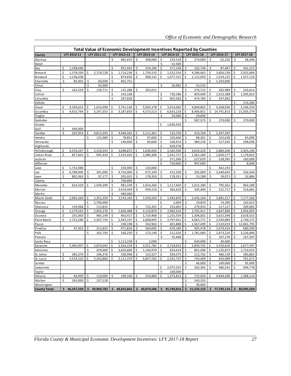|                      |    |             |    |             |    |             |    |             |    |             |    | Total Value of Economic Development Incentives Reported by Counties |    |             |    |             |
|----------------------|----|-------------|----|-------------|----|-------------|----|-------------|----|-------------|----|---------------------------------------------------------------------|----|-------------|----|-------------|
| County               |    | LFY 2010-11 |    | LFY 2011-12 |    | LFY 2012-13 |    | LFY 2013-14 |    | LFY 2014-15 |    | LFY 2015-16                                                         |    | LFY 2016-17 |    | LFY 2017-18 |
| Alachua              |    |             |    |             | Ś  | 481,635     | \$ | 308,000     | \$ | 233,518     | Ś  | 274,000                                                             | \$ | 62,250      | \$ | 68,346      |
| Baker                |    |             |    |             |    |             |    |             | \$ | 52,500      |    |                                                                     |    |             |    |             |
| Bay                  | \$ | 1,198,696   |    |             | \$ | 951,953     | \$ | 254,196     | \$ | 371,146     | \$ | 162,746                                                             | \$ | 87,467      | \$ | 341,515     |
| Brevard              | \$ | 1,578,330   | \$ | 2,719,728   | \$ | 1,716,236   | \$ | 1,734,533   | \$ | 1,522,556   | \$ | 4,286,063                                                           | \$ | 3,856,158   | \$ | 2,932,684   |
| Broward              | \$ | 1,136,638   |    |             | \$ | 874,650     | \$ | 968,142     | \$ | 1,077,321   | \$ | 1,122,650                                                           | \$ | 1,554,125   | \$ | 1,557,124   |
| Charlotte            | \$ | 85,902      | \$ | 60,058      | \$ | 401,751     |    |             |    |             |    |                                                                     | \$ | 1,250,000   |    |             |
| Citrus               |    |             | \$ | 42,000      |    |             |    |             | \$ | 26,982      | \$ | 32,533                                                              |    |             |    |             |
| Clay                 | \$ | 162,529     | \$ | 130,711     | \$ | 131,288     | \$ | 202,021     |    |             | \$ | 276,722                                                             | \$ | 265,989     | \$ | 243,614     |
| Collier              |    |             |    |             | \$ | 143,168     |    |             | \$ | 730,186     | \$ | 859,949                                                             | \$ | 1,013,388   | \$ | 1,395,823   |
| Columbia             |    |             |    |             | \$ | 207,828     |    |             | \$ | 902,583     | \$ | 474,784                                                             | \$ | 597,892     |    |             |
| DeSoto               |    |             |    |             |    |             |    |             |    |             |    |                                                                     |    |             | Ś  | 214,286     |
| Duval                | \$ | 4,330,653   | \$ | 1,633,098   | \$ | 3,741,536   | \$ | 5,005,378   | \$ | 3,914,083   | \$ | 4,849,803                                                           | \$ | 4,268,036   | \$ | 3,106,550   |
| Escambia             | \$ | 4,915,794   | \$ | 5,247,353   | \$ | 3,187,859   | \$ | 4,573,513   | \$ | 6,635,218   | \$ | 8,406,851                                                           | \$ | 14,741,815  | \$ | 21,505,374  |
| Flagler              |    |             |    |             |    |             |    |             | \$ | 24,000      | \$ | 29,000                                                              |    |             |    |             |
| Gadsden              |    |             |    |             |    |             |    |             |    |             | \$ | 587,575                                                             | \$ | 270,000     | \$ | 270,000     |
| Glades               |    |             |    |             |    |             |    |             | \$ | 1,630,933   |    |                                                                     |    |             |    |             |
| Gulf                 | Ś  | 440,000     |    |             |    |             |    |             |    |             |    |                                                                     |    |             |    |             |
| Hardee               | \$ | 202,954     | \$ | 4,813,393   | \$ | 4,446,582   | \$ | 1,211,361   | \$ | 123,750     | \$ | 410,764                                                             | \$ | 2,297,397   |    |             |
| Hendry               |    |             | \$ | 125,000     | \$ | 78,852      | \$ | 97,600      | \$ | 103,600     | \$ | 88,301                                                              | \$ | 102,028     | \$ | 85,000      |
| Hernando             |    |             |    |             | Ś  | 140,600     | \$ | 60,600      | \$ | 166,919     | \$ | 389,156                                                             | \$ | 527,565     | \$ | 298,096     |
| Highlands            |    |             |    |             |    |             |    |             | \$ | 629,578     |    |                                                                     |    |             |    |             |
| Hillsborough         | \$ | 4,259,247   | Ś  | 2,310,543   | \$ | 3,048,872   | Ś  | 1,630,950   | \$ | 2,165,596   | \$ | 3,019,220                                                           | \$ | 2,866,506   | \$ | 3,303,196   |
| Indian River         | \$ | 857,601     | \$ | 945,434     | \$ | 1,353,426   | Ś  | 1,480,308   | \$ | 1,431,727   | \$ | 1,361,280                                                           | \$ | 1,050,177   | \$ | 1,179,602   |
| Jackson              |    |             |    |             |    |             |    |             | \$ | 571,368     | \$ | 227,020                                                             | \$ | 228,395     | \$ | 160,000     |
| Jefferson            |    |             |    |             |    |             |    |             | \$ | 750,000     | \$ | 907,000                                                             |    |             | Ś  | 8,000       |
| Lake                 | \$ | 1,732,088   |    |             | \$ | 150,000     | \$ | 120,000     |    |             |    |                                                                     |    | 442,193     |    |             |
| Lee                  | \$ | 6,788,000   | \$ | 341,000     | \$ | 4,716,000   | \$ | 672,149     | \$ | 412,200     | \$ | 292,000                                                             | \$ | 2,440,643   | \$ | 256,364     |
| Leon                 | \$ | 802,963     | \$ | 97,177      | \$ | 355,031     | Ś  | 178,350     | \$ | 178,351     | \$ | 53,288                                                              | \$ | 39,071      | \$ | 52,884      |
| Li berty             |    |             |    |             | \$ | 700,890     |    |             |    |             |    |                                                                     |    |             |    |             |
| Manatee              | \$ | 633,320     | \$ | 1,549,299   | \$ | 981,230     | \$ | 1,014,260   | \$ | 1,117,650   | \$ | 1,012,280                                                           | \$ | 795,561     | \$ | 962,580     |
| Marion               |    |             |    |             | \$ | 2,419,444   | \$ | 459,159     | \$ | 365,629     | \$ | 395,400                                                             | \$ | 521,717     | \$ | 516,681     |
| Martin               |    |             |    |             | \$ | 480,000     |    |             |    |             |    |                                                                     |    |             |    |             |
| Miami-Dade           | \$ | 2,965,269   | \$ | 1,351,350   | \$ | 2,533,183   | \$ | 1,556,503   | \$ | 1,492,870   | \$ | 2,445,164                                                           | \$ | 5,881,217   | \$ | 7,177,266   |
| Nassau               |    |             | \$ | 2,700,000   |    |             |    |             | \$ | 2,004       | \$ | 19,829                                                              | \$ | 14,390      | \$ | 163,923     |
| Okaloosa             | \$ | 139,968     | \$ | 115,835     |    |             | Ś  | 722,201     | \$ | 253,602     | \$ | 279,933                                                             | \$ | 217,127     | Ś  | 209,685     |
| Orange               | \$ | 2,279,563   | \$ | 2,943,276   | \$ | 1,640,488   | \$ | 3,110,870   | \$ | 2,982,016   | \$ | 2,792,911                                                           | \$ | 2,847,896   | \$ | 2,956,695   |
| Osceola              | \$ | 191,000     | Ś  | 965,149     | \$ | 463,417     | \$ | 1,719,468   | \$ | 1,255,559   | \$ | 1,304,002                                                           | \$ | 3,615,596   |    | 3,618,552   |
| Palm Beach           | \$ | 1,723,280   | \$ | 2,307,754   | \$ | 2,443,107   | Ś  | 2,608,845   | \$ | 3,797,061   | \$ | 4,063,771                                                           | \$ | 2,930,884   | \$ | 2,740,275   |
| Pasco                |    |             |    |             | \$ | 238,198     | \$ | 342,963     | \$ | 691,888     | \$ | 1,567,499                                                           | \$ | 2,510,019   | \$ | 12,061,795  |
| Pinellas             | \$ | 47,952      | \$ | 312,825     | \$ | 471,826     | Ś  | 564,695     | \$ | 670,189     | \$ | 905,478                                                             | \$ | 1,079,419   | Ś  | 680,399     |
| Polk                 |    |             | Ś  | 162,793     | \$ | 166,250     | Ś  | 173,140     | \$ | 212,250     | Ś  | 1,781,060                                                           | \$ | 2,873,220   | Ś  | 3,226,896   |
| Putnam               |    |             |    |             |    |             |    |             | \$ | 35,468      |    |                                                                     | \$ | 167,270     | \$ | 167,297     |
| Santa Rosa           |    |             |    |             | Ś  | 1,113,258   | Ś  | 2,000       |    |             |    | 630,000                                                             | Ś  | 40,000      |    |             |
| Sarasota             | Ś  | 5,405,997   | Ś. | 2,876,042   | \$ | 2,563,229   | Ś  | 3,551,782   | \$ | 2,718,652   | Ś  | 2,839,742                                                           | \$ | 3,550,626   | Ś  | 3,677,597   |
| Seminole             |    |             | \$ | 429,600     | \$ | 3,620,600   | \$ | 1,140,970   | \$ | 634,414     | \$ | 891,490                                                             | \$ | 1,135,872   | \$ | 1,724,032   |
| St. Johns            | Ś  | 585,370     | Ś  | 196,376     | Ś  | 190,996     | Ś  | 153,327     | Ś  | 204,575     | Ś  | 212,762                                                             | Ś  | 486,139     | Ś  | 383,865     |
| St. Lucie            | Ś  | 3,554,335   | \$ | 5,343,860   | \$ | 2,112,379   | \$ | 4,837,502   | \$ | 2,101,737   | \$ | 743,409                                                             | \$ | 643,089     | \$ | 761,671     |
| Sumter               |    |             |    |             |    |             |    |             |    |             | \$ | 66,000                                                              | \$ | 100,000     | \$ | 95,000      |
| Suwannee             |    |             |    |             |    |             |    |             | \$ | 2,075,325   | \$ | 265,305                                                             | \$ | 486,541     | \$ | 604,778     |
| Taylor               |    |             |    |             |    |             |    |             | \$ | 100,000     |    |                                                                     |    |             |    |             |
| Volusia              | \$ | 64,900      | Ś  | 110,000     | \$ | 190,100     | Ś  | 419,800     | \$ | 1,375,812   | \$ | 725,050                                                             | \$ | 9,844,440   | \$ | 1,388,124   |
| Walton               | \$ | 165,000     | \$ | 137,128     |    |             |    |             |    |             | \$ | 143,335                                                             |    |             |    |             |
| Washington           |    |             |    |             |    |             |    |             |    |             | \$ | 30,000                                                              |    |             |    |             |
| <b>County Totals</b> | \$ | 46,247,349  | \$ | 39,966,782  | \$ | 48,455,862  | \$ | 40,874,586  | \$ | 45,740,816  | \$ | 51,225,125                                                          | \$ | 77,702,118  | \$ | 80,095,569  |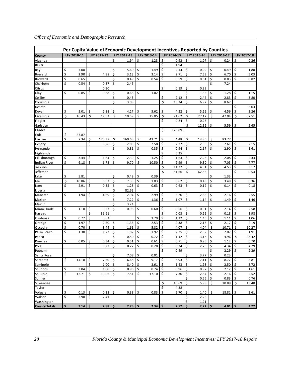|  | Office of Economic and Demographic Research |  |  |  |
|--|---------------------------------------------|--|--|--|
|  |                                             |  |  |  |

|                        |          |             |          |             |         |              |                     |              |          |              |          | Per Capita Value of Economic Development Incentives Reported by Counties |                     |              |                     |               |
|------------------------|----------|-------------|----------|-------------|---------|--------------|---------------------|--------------|----------|--------------|----------|--------------------------------------------------------------------------|---------------------|--------------|---------------------|---------------|
| County                 |          | LFY 2010-11 |          | LFY 2011-12 |         | LFY 2012-13  |                     | LFY 2013-14  |          | LFY 2014-15  |          | LFY 2015-16                                                              |                     | LFY 2016-17  |                     | LFY 2017-18   |
| Alachua                |          |             |          |             | \$      | 1.94         | \$                  | 1.23         | \$       | 0.92         | \$       | 1.07                                                                     | \$                  | 0.24         | \$                  | 0.26          |
| Baker                  |          |             |          |             |         |              |                     |              | \$       | 1.94         |          |                                                                          |                     |              |                     |               |
| Bay                    | \$       | 7.08        |          |             | \$      | 5.60         | \$                  | 1.49         | \$       | 2.14         | \$       | 0.92                                                                     | \$                  | 0.49         | \$                  | 1.88          |
| Brevard                | \$       | 2.90        | \$       | 4.98        | \$      | 3.13         | \$                  | 3.14         | \$       | 2.71         | \$       | 7.53                                                                     | \$                  | 6.70         | \$                  | 5.03          |
| Broward                | \$       | 0.65        |          |             | \$      | 0.49         | \$                  | 0.54         | \$       | 0.59         | \$       | 0.61                                                                     | \$                  | 0.83         | \$                  | 0.82          |
| Charlotte              | \$       | 0.54        | \$       | 0.37        | Ś       | 2.45         |                     |              |          |              |          |                                                                          | Ś                   | 7.24         |                     |               |
| Citrus                 |          |             | \$       | 0.30        |         |              |                     |              | \$       | 0.19         | \$       | 0.23                                                                     |                     |              |                     |               |
| Clay                   | \$       | 0.85        | \$       | 0.68        | \$      | 0.68         | \$                  | 1.02         |          |              | Ś        | 1.35                                                                     | \$                  | 1.28         | \$                  | 1.15          |
| Collier                |          |             |          |             | \$      | 0.43         |                     |              | \$       | 2.12         | \$       | 2.46                                                                     | \$                  | 2.83         | \$                  | 3.80          |
| Columbia               |          |             |          |             | \$      | 3.08         |                     |              | \$       | 13.24        | \$       | 6.92                                                                     | \$                  | 8.67         |                     |               |
| DeSoto                 |          |             |          |             |         |              |                     |              |          |              |          |                                                                          |                     |              | \$                  | 6.03          |
| Duval                  | \$       | 5.01        | \$       | 1.88        | \$      | 4.27         | \$                  | 5.62         | Ś.       | 4.32         | \$       | 5.25                                                                     | \$                  | 4.56         | \$                  | 3.26          |
| Escambia               | \$       | 16.43       | \$       | 17.52       | \$      | 10.59        | \$                  | 15.05        | \$       | 21.62        | \$       | 27.12                                                                    | \$                  | 47.04        | \$                  | 67.51         |
| Flagler                |          |             |          |             |         |              |                     |              | \$       | 0.24         | \$       | 0.28                                                                     |                     |              |                     |               |
| Gadsden                |          |             |          |             |         |              |                     |              |          |              | \$       | 12.12                                                                    | \$                  | 5.59         | \$                  | 5.65          |
| Glades                 |          |             |          |             |         |              |                     |              | \$       | 126.89       |          |                                                                          |                     |              |                     |               |
| Gulf                   | \$       | 27.87       |          |             |         |              |                     |              |          |              |          |                                                                          |                     |              |                     |               |
| Hardee                 | \$       | 7.34        | \$       | 173.38      | \$      | 160.63       | \$                  | 43.71        | \$       | 4.48         | \$       | 14.86                                                                    | \$                  | 83.77        |                     |               |
| Hendry                 |          |             | \$       | 3.28        | \$      | 2.09         | \$                  | 2.58         | \$       | 2.72         | \$       | 2.30                                                                     | \$                  | 2.61         | \$                  | 2.15          |
| Hernando               |          |             |          |             | Ś       | 0.81         | \$                  | 0.35         | \$       | 0.94         | \$       | 2.17                                                                     | \$                  | 2.90         | \$                  | 1.61          |
| Highlands              |          |             |          |             |         |              |                     |              | \$       | 6.25         |          |                                                                          |                     |              |                     |               |
| Hillsborough           | \$       | 3.44        | \$       | 1.84        | \$      | 2.39         | \$                  | 1.25         | \$       | 1.63         | \$       | 2.23                                                                     | \$                  | 2.08         | \$                  | 2.34          |
| Indian River           | \$       | 6.18        | \$       | 6.78        | \$      | 9.70         | \$                  | 10.50        | \$       | 9.99         | \$       | 9.30                                                                     | \$                  | 7.05         | \$                  | 7.77          |
| Jackson                |          |             |          |             |         |              |                     |              | \$       | 11.32        | \$       | 4.51                                                                     | \$                  | 4.53         | \$                  | 3.17          |
| Jefferson              |          |             |          |             |         |              |                     |              | Ś        | 51.66        | \$       | 62.56                                                                    |                     |              | Ś                   | 0.54          |
| Lake                   | \$       | 5.81        |          |             | \$      | 0.49         | \$                  | 0.39         |          |              |          |                                                                          | \$                  | 1.33         |                     |               |
| Lee                    | \$       | 10.86       | \$       | 0.53        | \$      | 7.33         | \$                  | 1.03         | \$       | 0.62         | \$       | 0.43                                                                     | \$                  | 3.49         | \$                  | 0.36          |
| Leon                   | \$       | 2.91        | \$       | 0.35        | \$      | 1.28         | \$                  | 0.63         | \$       | 0.63         | \$       | 0.19                                                                     | \$                  | 0.14         | \$                  | 0.18          |
| Liberty                |          |             |          |             | \$      | 82.62        |                     |              |          |              |          |                                                                          |                     |              |                     |               |
| Manatee                | \$       | 1.94        | \$       | 4.69        | \$      | 2.94         | \$                  | 2.99         | \$       | 3.20         | \$       | 2.83                                                                     | \$                  | 2.16         | \$                  | 2.55          |
| Marion                 |          |             |          |             | \$      | 7.22         | \$                  | 1.36         | \$       | 1.07         | \$       | 1.14                                                                     | $\mathsf{\dot{S}}$  | 1.49         | \$                  | 1.46          |
| Martin                 |          |             |          |             | \$      | 3.24         |                     |              |          |              |          |                                                                          |                     |              |                     |               |
| Miami-Dade             | \$       | 1.18        | \$       | 0.53        | Ś       | 0.98         | \$                  | 0.60         | \$       | 0.56         | \$       | 0.91                                                                     | \$                  | 2.14         | \$                  | 2.58          |
| Nassau                 |          |             | \$       | 36.61       |         |              |                     |              | \$       | 0.03         | \$       | 0.25                                                                     | \$                  | 0.18         | $\zeta$             | 1.98          |
| Okaloosa               | \$       | 0.77        | \$       | 0.62        |         |              | Ś                   | 3.79         | \$       | 1.32         | \$       | 1.45                                                                     | \$                  | 1.11         | \$                  | 1.06          |
| Orange                 | \$       | 1.97        | \$       | 2.50        | \$      | 1.36         | \$                  | 2.53         | \$       | 2.38         | \$       | 2.18                                                                     | \$                  | 2.17         | \$                  | 2.19          |
| Osceola                | \$<br>\$ | 0.70        | \$<br>\$ | 3.44        | \$      | 1.61         | \$<br>\$            | 5.82         | \$<br>\$ | 4.07         | \$<br>\$ | 4.04                                                                     | \$<br>\$            | 10.71        | \$<br>\$            | 10.27         |
| Palm Beach             |          | 1.30        |          | 1.73        | \$<br>Ś | 1.82<br>0.50 | \$                  | 1.92<br>0.72 | \$       | 2.75<br>1.42 | \$       | 2.92                                                                     | \$                  | 2.07         | \$                  | 1.91<br>23.42 |
| Pasco                  | \$       | 0.05        | \$       | 0.34        | \$      |              | \$                  |              | \$       | 0.71         | \$       | 3.16<br>0.95                                                             | \$                  | 4.96<br>1.12 | \$                  | 0.70          |
| Pinellas<br>Polk       |          |             | \$       | 0.27        | \$      | 0.51<br>0.27 | \$                  | 0.61<br>0.28 | \$       | 0.34         | \$       | 2.75                                                                     | \$                  | 4.34         | \$                  | 4.79          |
| Putnam                 |          |             |          |             |         |              |                     |              | \$       | 0.49         |          |                                                                          | \$                  | 2.29         | \$                  | 2.29          |
|                        |          |             |          |             | \$      | 7.08         | $\ddot{\mathsf{S}}$ | 0.01         |          |              | \$       | 3.77                                                                     | \$                  | 0.23         |                     |               |
| Santa Rosa<br>Sarasota | \$       | 14.18       | $\zeta$  | 7.50%       |         | 6.65         | $\frac{1}{2}$       | 9.17         | \$       | $6.93$ \$    |          | $7.11$ \$                                                                |                     | $8.72 \&$    |                     | 8.81          |
| Seminole               |          |             | \$       | $1.00$ \$   |         | 8.40         | \$                  | 2.61         | \$       | 1.43         | \$       | 1.98                                                                     | $\ddot{\mathsf{S}}$ | 2.50         | \$                  | 3.72          |
| St. Johns              | \$       | 3.04        | \$       | $1.00$ \$   |         | 0.95         | \$                  | 0.74         | \$       | $0.96$ \$    |          | 0.97                                                                     | \$                  | 2.12         | 5                   | 1.61          |
| St. Lucie              | \$       | 12.71       | \$       | $19.06$ \$  |         | 7.51         | \$                  | 17.10        | \$       | $7.30$ \$    |          | $2.54$ \$                                                                |                     | 2.16         | $\ddot{\mathsf{S}}$ | 2.52          |
| Sumter                 |          |             |          |             |         |              |                     |              |          |              | \$       | $0.56$   \$                                                              |                     | 0.83         | \$                  | 0.76          |
| Suwannee               |          |             |          |             |         |              |                     |              | \$       | 46.69        | \$       | 5.98                                                                     | \$                  | 10.89        | \$                  | 13.48         |
| Taylor                 |          |             |          |             |         |              |                     |              | \$       | 4.38         |          |                                                                          |                     |              |                     |               |
| Volusia                | \$       | 0.13        | \$       | 0.22        | \$      | 0.38         | \$                  | 0.83         | \$       | 2.70         | \$       | 1.40                                                                     | \$                  | 18.81        | \$                  | 2.61          |
| Walton                 | \$       | 2.98        | \$       | 2.41        |         |              |                     |              |          |              | \$       | 2.28                                                                     |                     |              |                     |               |
| Washington             |          |             |          |             |         |              |                     |              |          |              | \$       | 1.21                                                                     |                     |              |                     |               |
| <b>County Totals</b>   | \$       | $3.14$ \$   |          | 2.88        | \$      | 2.73         | \$                  | 2.34         | \$       | 2.52         | \$       | $2.72$ \$                                                                |                     | $4.01$ \$    |                     | 4.22          |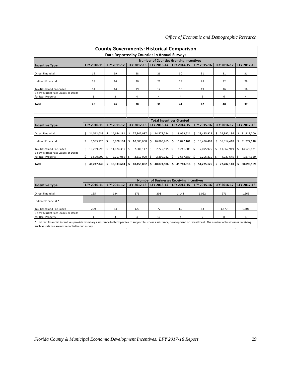| <b>County Governments: Historical Comparison</b>                                                                                                                                                                                |                                 |                  |                      |                                                                 |                  |                    |                                                                            |                  |  |  |  |  |  |  |  |
|---------------------------------------------------------------------------------------------------------------------------------------------------------------------------------------------------------------------------------|---------------------------------|------------------|----------------------|-----------------------------------------------------------------|------------------|--------------------|----------------------------------------------------------------------------|------------------|--|--|--|--|--|--|--|
|                                                                                                                                                                                                                                 |                                 |                  |                      |                                                                 |                  |                    |                                                                            |                  |  |  |  |  |  |  |  |
|                                                                                                                                                                                                                                 |                                 |                  |                      | Data Reported by Counties in Annual Surveys                     |                  |                    |                                                                            |                  |  |  |  |  |  |  |  |
|                                                                                                                                                                                                                                 |                                 |                  |                      | <b>Number of Counties Granting Incentives</b>                   |                  |                    |                                                                            |                  |  |  |  |  |  |  |  |
| <b>Incentive Type</b>                                                                                                                                                                                                           | LFY 2010-11                     | LFY 2011-12      | LFY 2012-13          | LFY 2013-14                                                     | LFY 2014-15      | LFY 2015-16        | LFY 2016-17                                                                | LFY 2017-18      |  |  |  |  |  |  |  |
| Direct Financial                                                                                                                                                                                                                | 19                              | 19               | 28                   | 26                                                              | 30               | 31                 | 31                                                                         | 31               |  |  |  |  |  |  |  |
| Indirect Financial                                                                                                                                                                                                              | 18                              | 14               | 20                   | 21                                                              | 29               | 28                 | 32                                                                         | 28               |  |  |  |  |  |  |  |
| Tax-Based and Fee-Based                                                                                                                                                                                                         | 14                              | 14               | 19                   | 12                                                              | 16               | 19                 | 16                                                                         | 16               |  |  |  |  |  |  |  |
| Below Market Rate Leases or Deeds<br>for Real Property                                                                                                                                                                          | $\mathbf{1}$                    | 3                | 4                    | 4                                                               | 4                | 5                  | 6                                                                          | 4                |  |  |  |  |  |  |  |
| <b>Total</b>                                                                                                                                                                                                                    | 26                              | 26               | 38                   | 31                                                              | 41               | 42                 | 40                                                                         | 37               |  |  |  |  |  |  |  |
|                                                                                                                                                                                                                                 |                                 |                  |                      |                                                                 |                  |                    |                                                                            |                  |  |  |  |  |  |  |  |
|                                                                                                                                                                                                                                 | <b>Total Incentives Granted</b> |                  |                      |                                                                 |                  |                    |                                                                            |                  |  |  |  |  |  |  |  |
| <b>Incentive Type</b>                                                                                                                                                                                                           | LFY 2010-11                     | LFY 2011-12      | LFY 2012-13          | LFY 2013-14                                                     | LFY 2014-15      | LFY 2015-16        | LFY 2016-17                                                                | LFY 2017-18      |  |  |  |  |  |  |  |
| Direct Financial                                                                                                                                                                                                                | \$<br>24,512,033                | Ś.<br>14,644,181 | \$27,347,087         | \$<br>14,579,784                                                | \$19,959,621     | \$23,435,929       | \$24,992,136                                                               | \$<br>31,919,200 |  |  |  |  |  |  |  |
| <b>Indirect Financial</b>                                                                                                                                                                                                       | Ŝ.<br>9,995,726                 | 9,808,104        |                      | $$10,903,658$ $$16,860,265$                                     | \$15,872,101     | \$18,486,402       | \$36,814,418                                                               | \$31,972,148     |  |  |  |  |  |  |  |
| Tax-Based and Fee-Based                                                                                                                                                                                                         | \$<br>10,239,590                | 11,674,310<br>\$ | \$<br>7,586,117      | \$<br>7,225,515                                                 | 8,241,505<br>\$. | \$<br>7,095,975    | \$<br>11,867,919                                                           | 14,529,871<br>\$ |  |  |  |  |  |  |  |
| Below Market Rate Leases or Deeds<br>for Real Property                                                                                                                                                                          | \$<br>1,500,000                 | 2,207,089<br>Ś   | $2,619,000$ \$<br>\$ | 2,209,022                                                       | 1,667,589<br>\$  | \$<br>2,206,819 \$ | 4,027,645                                                                  | 1,674,350<br>Ŝ.  |  |  |  |  |  |  |  |
| <b>Total</b>                                                                                                                                                                                                                    | Ŝ.<br>46,247,349                | \$38,333,684     | \$48,455,862         | \$40,874,586                                                    |                  |                    | $\frac{1}{2}$ 45,740,816 $\frac{1}{2}$ 51,225,125 $\frac{1}{2}$ 77,702,118 | \$80,095,569     |  |  |  |  |  |  |  |
|                                                                                                                                                                                                                                 |                                 |                  |                      |                                                                 |                  |                    |                                                                            |                  |  |  |  |  |  |  |  |
|                                                                                                                                                                                                                                 |                                 |                  |                      |                                                                 |                  |                    |                                                                            |                  |  |  |  |  |  |  |  |
| <b>Incentive Type</b>                                                                                                                                                                                                           | LFY 2010-11                     | LFY 2011-12      | LFY 2012-13          | <b>Number of Businesses Receiving Incentives</b><br>LFY 2013-14 | LFY 2014-15      | LFY 2015-16        | LFY 2016-17                                                                | LFY 2017-18      |  |  |  |  |  |  |  |
|                                                                                                                                                                                                                                 |                                 |                  |                      |                                                                 |                  |                    |                                                                            |                  |  |  |  |  |  |  |  |
| Direct Financial                                                                                                                                                                                                                | 155                             | 134              | 171                  | 201                                                             | 1,148            | 1,022              | 971                                                                        | 1,265            |  |  |  |  |  |  |  |
| Indirect Financial *                                                                                                                                                                                                            |                                 |                  |                      |                                                                 |                  |                    |                                                                            |                  |  |  |  |  |  |  |  |
| Tax-Based and Fee-Based                                                                                                                                                                                                         | 209                             | 84               | 120                  | 72                                                              | 69               | 83                 | 1,577                                                                      | 1,301            |  |  |  |  |  |  |  |
| Below Market Rate Leases or Deeds<br>for Real Property                                                                                                                                                                          | $\mathbf{1}$                    | 3                | 4                    | 10                                                              | 4                | 5                  | 8                                                                          | 4                |  |  |  |  |  |  |  |
| * Indirect financial incentives provide monetary assistance to third parties to support business assistance, development, or recruitment. The number of businesses receiving<br>such assistance are not reported in our survey. |                                 |                  |                      |                                                                 |                  |                    |                                                                            |                  |  |  |  |  |  |  |  |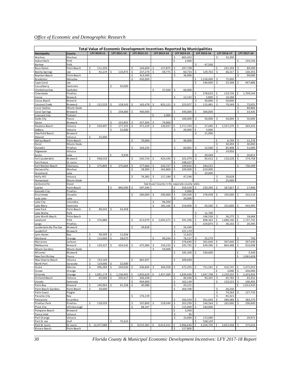|                                  |                     |    |             |    |             |          |                   |    |                    |          | Total Value of Economic Development Incentives Reported by Municipalities |          |                      |          |                   |     |                    |
|----------------------------------|---------------------|----|-------------|----|-------------|----------|-------------------|----|--------------------|----------|---------------------------------------------------------------------------|----------|----------------------|----------|-------------------|-----|--------------------|
| Municipality                     | County              |    | LFY 2010-11 |    | LFY 2011-12 |          | LFY 2012-13       |    | LFY 2013-14        |          | LFY 2014-15                                                               |          | LFY 2015-16          |          | LFY 2016-17       |     | LFY 2017-18        |
| Alachua                          | Alachua             |    |             |    |             |          |                   |    |                    | \$       | 665,453                                                                   |          |                      | \$       | 33,300            |     |                    |
| Auburndale                       | Polk                |    |             |    |             |          |                   |    |                    | Ś        | 2,000                                                                     |          |                      |          |                   | \$  | 159,156            |
| Bartow                           | Polk                |    |             |    |             |          |                   |    |                    |          |                                                                           | \$       | 47,500               |          |                   |     |                    |
| Boca Raton                       | Palm Beach          | \$ | 111,250     |    |             | \$       | 164,600           | \$ | 127,875            | \$       | 297,738                                                                   |          |                      | \$       | 242,194           | \$  | 80,500             |
| <b>Bonita Springs</b>            | Lee                 | \$ | 92,219      | \$ | 110,973     | \$       | 237,270           | Ś  | 69,775             | \$       | 60,733                                                                    | \$       | 129,763              | \$       | 66,317            | \$  | 130,355            |
| <b>Boynton Beach</b>             | Palm Beach          |    |             |    |             | \$<br>\$ | 313,500           |    |                    | \$       | 36,000                                                                    |          |                      |          |                   | \$  | 99,000             |
| Bradenton<br>Cape Coral          | Manatee<br>ee       |    |             |    |             |          | 450,000           |    |                    |          |                                                                           | \$<br>\$ | 2,318,000<br>246,000 | Ś        | 75,000<br>55,348  | \$  | 447,886            |
| Casselberry                      | Seminole            |    |             | \$ | 50,000      |          |                   |    |                    |          |                                                                           |          |                      |          |                   |     |                    |
| Chattahoochee                    | Gadsden             |    |             |    |             |          |                   | \$ | 37,500             | \$.      | 60,000                                                                    |          |                      |          |                   |     |                    |
| Clearwater                       | Pinellas            |    |             |    |             |          |                   |    |                    |          |                                                                           | \$       | 278,633              | \$       | 119,726           | \$  | 1,709,544          |
| Cocoa                            | Brevard             |    |             |    |             |          |                   |    |                    | \$       | 13,142                                                                    | \$       | 5,800                | \$       | 10,268            |     |                    |
| Cocoa Beach                      | Brevard             |    |             |    |             |          |                   |    |                    |          |                                                                           | \$       | 50,000               | \$       | 50,000            |     |                    |
| Coconut Creek                    | Broward             | \$ | 122,229     |    | 118,543     | Ś        | 162,478           |    | 832,121            | Ś        | 223,927                                                                   | \$       | 115,481              | Ś        | 70,349            | Ś   | 75,055             |
| Coral Gables                     | Miami-Dade          |    |             |    |             |          |                   |    |                    |          |                                                                           |          |                      |          |                   | \$  | 80,866             |
| Coral Springs                    | Broward             |    |             | \$ | 258,680     | \$       | 400,000           |    |                    | \$       | 340,000                                                                   | \$       | 300,000              |          |                   | \$  | 33,435             |
| Crescent City                    | Putnam              |    |             |    |             |          |                   | \$ | 2,000              |          |                                                                           | Ś        |                      |          |                   | Ś   |                    |
| Dade City<br>Davie               | Pasco<br>Broward    |    |             | Ś  | 152,855     | \$       | 257,304           | Ś  | 74,000             | Ś        | 100,000                                                                   |          | 50,000               |          | 50,000            |     | 50,000             |
| Daytona Beach                    | Volusia             | \$ | 334,497     | \$ | 177,255     | \$       | 371,229           | \$ | 136,037            | \$       | 2,717,193                                                                 | \$       | 27,040               | \$       | 2,537,279         | \$  | 303,433            |
| DeBary                           | Volusia             |    |             | \$ | 52,000      |          |                   |    |                    | \$.      | 20,000                                                                    | \$       | 5,000                |          |                   |     |                    |
| Deerfield Beach                  | Broward             |    |             |    |             |          |                   |    |                    |          |                                                                           | \$       | 21,000               |          |                   |     |                    |
| DeLand                           | Volusia             | \$ | 25,000      |    |             |          |                   |    |                    |          |                                                                           |          |                      |          |                   |     |                    |
| Delray Beach                     | Palm Beach          |    |             |    |             | \$       | 70,000            |    |                    | \$       | 40,000                                                                    |          |                      | \$       | 6,749             | \$  | 11,276             |
| Doral                            | Miami-Dade          |    |             |    |             |          |                   |    |                    |          |                                                                           |          |                      | Ś        | 30,494            | \$  | 30,000             |
| Dunedin                          | Pinellas            |    |             |    |             | \$       | 163,235           |    |                    | \$       | 60,901                                                                    | \$       | 15,500               | \$       | 85,908            | \$  | 51,000             |
| Edgewater                        | Volusia             |    |             |    |             |          |                   |    |                    |          |                                                                           |          |                      | Ś        | 14,950            |     |                    |
| Eustis                           | Lake                |    |             | \$ | 9,939       |          |                   |    |                    |          |                                                                           | Ś        | 29,449               |          |                   | \$  | 26,813             |
| Fort Lauderdale                  | Broward             | \$ | 938,529     |    |             | \$       | 542,724           |    | 424,195            | \$       | 101,079                                                                   | \$       | 45,412               | Ś        | 110,228           | \$  | 174,758            |
| Fort Pierce                      | St. Lucie           | \$ | 275,894     |    |             |          |                   |    |                    | \$<br>\$ | 198,527                                                                   |          |                      |          |                   | Ś   |                    |
| Fort Walton Beach<br>Gainesville | Okaloosa<br>Alachua |    |             |    | 275,669     | \$<br>\$ | 277,666<br>28,900 | \$ | 243,727<br>165,800 | \$       | 149,816<br>109,000                                                        | \$<br>\$ | 244,515<br>619,000   |          |                   |     | 736,399            |
| Groveland                        | Lake                |    |             |    |             |          |                   |    |                    |          |                                                                           | \$       | 20,000               |          |                   |     |                    |
| Holly Hill                       | Volusia             |    |             |    |             | \$       | 76,383            | \$ | 117,184            | \$       | 47,246                                                                    |          |                      | \$       | 20,628            |     |                    |
| Homestead                        | Miami-Dade          |    |             |    |             |          |                   |    |                    |          |                                                                           |          |                      | \$       | 25,000            |     |                    |
| Jacksonville                     | Duval               |    |             |    |             |          |                   |    |                    |          | See Duval County in the separate county table.                            |          |                      |          |                   |     |                    |
| Jupiter                          | Palm Beach          |    |             | \$ | 896,090     | \$       | 597,590           |    |                    | \$       | 259,539                                                                   | \$       | 229,390              | \$       | 187,827           | \$  | 17,990             |
| Kenneth City                     | Pinellas            |    |             |    |             |          |                   |    |                    | Ś        | 5,000                                                                     |          |                      |          |                   |     |                    |
| Kissimmee                        | Osceola             |    |             |    |             | \$       | 200,000           | \$ | 200,000            | \$       | 194,500                                                                   | \$       | 278,958              | \$       | 195,000           | \$  | 332,510            |
| Lady Lake                        | Lake                |    |             |    |             |          |                   |    |                    | Ś        | 20,000                                                                    |          |                      |          |                   |     |                    |
| Lake City                        | Columbia            |    |             |    |             |          |                   | \$ | 96,200             |          |                                                                           |          |                      |          |                   |     |                    |
| Lake Mary                        | Seminole            |    |             |    |             |          |                   | \$ | 182,166            | \$       | 319,600                                                                   | \$       | 93,500               | \$       | 255,800           | \$  | 443,995            |
| Lake Park<br>Lake Wales          | Palm Beach<br>Polk  | \$ | 98,342      | \$ | 43,458      |          |                   |    |                    |          |                                                                           | \$       | 11,700               |          |                   |     |                    |
| Lake Worth Beach                 | Palm Beach          |    |             |    |             |          |                   |    |                    |          |                                                                           | \$       | 146,536              | \$       | 36,275            | \$  | 18,668             |
| Lakeland                         | Polk                | \$ | 576,880     |    |             | \$       | 612,079           | \$ | 1,692,571          | \$       | 591,296                                                                   | \$       | 808,363              | \$       | 1,688,196         | \$  | 1,737,743          |
| Largo                            | Pinellas            |    |             |    |             |          |                   |    |                    |          |                                                                           | Ś.       | 319,873              | Ś        | 58,102            | \$  | 20,395             |
| Lauderdale-By-The-Sea            | Broward             |    |             |    |             | \$       | 39,838            |    |                    | \$       | 26,340                                                                    |          |                      |          |                   |     |                    |
| Lauderhill                       | Broward             |    |             |    |             |          |                   |    |                    | \$       | 221,170                                                                   |          |                      |          |                   |     |                    |
| Lynn Haven                       | Bay                 | \$ | 99,509      | \$ | 11,036      |          |                   |    |                    | \$       | 11,623                                                                    |          |                      |          |                   |     |                    |
| Maitland                         | Orange              | \$ | 115,000     | \$ | 18,675      |          |                   | Ś. | 99,244             | \$       | 78,137                                                                    | Ś        | 25,279               |          |                   | Ś   | 750                |
| Marianna                         | Jackson             |    |             |    |             |          |                   |    |                    | \$       | 276,640                                                                   | \$       | 301,640              | \$       | 307,640           | \$  | 307,640            |
| Melbourne                        | Brevard             | \$ | 129,327     | \$ | 434,542     | \$       | 475,084           | \$ | 159,233            | \$       | 335,792                                                                   | \$       | 639,396              | \$       | 864,488           | \$  | 910,698            |
| Miami Gardens                    | Miami-Dade          |    |             |    |             |          |                   | \$ | 50,000             | \$       |                                                                           | Ś        |                      |          |                   | Ś   |                    |
| Miramar<br>New Port Richey       | Broward<br>Pasco    |    |             |    |             |          |                   |    |                    |          | 181,200                                                                   |          | 104,600              |          |                   | Ś   | 3,500<br>1,061,628 |
| New Smyrna Beach                 | Volusia             | \$ | 133,164     |    |             | \$       | 681,937           |    |                    | \$       | 309,690                                                                   |          |                      |          |                   |     |                    |
| North Port                       | Sarasota            | \$ | 119,000     | \$ | 22,000      |          |                   |    |                    |          |                                                                           |          |                      |          |                   |     |                    |
| Ocala                            | Marion              | \$ | 496,284     | \$ | 244.050     | \$       | 436,846           |    | 304,358            | \$       | 472,295                                                                   | \$       | 751,341              | \$       | 410,747           | \$  | 1,472,053          |
| Ocoee                            | Orange              |    |             |    |             |          |                   |    |                    |          |                                                                           |          |                      | \$       | 3,000             | \$  | 434,000            |
| Orlando                          | Orange              | \$ | 1,091,174   | \$ | 1,236,992   | \$       | 1,850,629         | \$ | 1,457,369          | \$       | 1,839,440                                                                 | \$       | 1,947,708            | \$       | 2,239,302         | \$  | 2,423,826          |
| Ormond Beach                     | Volusia             | \$ | 65,000      | \$ | 205,617     | \$       | 206,208           |    |                    | \$       | 84,500                                                                    | \$       | 93,342               | -\$      | 65,782            | \$  | 63,352             |
| Oviedo                           | Seminole            |    |             |    |             | \$       | 904,000           |    |                    | \$       | 162,139                                                                   |          |                      | \$       | 119,223           | \$  | 100,405            |
| Palm Bay                         | Brevard             | \$ | 140,963     | \$ | 91,258      | \$       | 40,988            |    |                    | \$       | 43,121                                                                    |          |                      |          |                   | \$. | 1,012,410          |
| Palm Beach Gardens               | Palm Beach          | \$ | 50,000      |    |             |          |                   |    |                    | \$       | 264,700                                                                   |          |                      | \$       | 26,250            |     |                    |
| Palm Coast                       | Flagler             |    |             |    |             |          |                   |    |                    |          |                                                                           |          |                      | \$       | 74,263            | Ś   | 127,733            |
| Panama City<br>Pensacola         | Bay<br>Escambia     |    |             |    |             | \$       | 176,139           |    |                    | \$       | 350,559                                                                   | \$       | 351,045              | \$<br>\$ | 81,521<br>380,380 | \$  | 384,279            |
| Pinellas Park                    | Pinellas            | \$ | 118,559     |    |             | \$       | 107,800           |    | 218,540            | \$       | 203,299                                                                   | \$       | 244,564              | \$.      | 165,000           | \$  | 200,600            |
| Plant City                       | Hillsborough        |    |             |    |             | \$       | 68,347            |    |                    | \$       | 115,000                                                                   | \$       | 240,000              |          |                   |     |                    |
| Pompano Beach                    | Broward             |    |             |    |             |          |                   |    |                    | \$       | 3,350                                                                     |          |                      |          |                   |     |                    |
| Ponce Inlet                      | Volusia             |    |             |    |             |          |                   |    |                    | \$       | 95                                                                        |          |                      |          |                   |     |                    |
| Port Orange                      | Volusia             |    |             |    |             |          |                   |    |                    | \$       | 23,090                                                                    | \$       | 173,090              |          |                   | \$  | 29,972             |
| Port St. Joe                     | Gulf                |    |             | \$ | 75,610      |          |                   |    |                    |          |                                                                           |          | 558,129              |          |                   |     |                    |
| Port St. Lucie                   | St. Lucie           | Ś. | 12,477,089  |    |             | \$       | 9,515,381         | \$ | 6,013,311          | \$       | 5,966,636                                                                 |          | 4,104,750            | \$       | 3,823,458         | \$  | 375,616            |
| Riviera Beach                    | Palm Beach          |    |             |    |             |          |                   |    |                    | \$       | 127,800                                                                   |          |                      |          |                   |     |                    |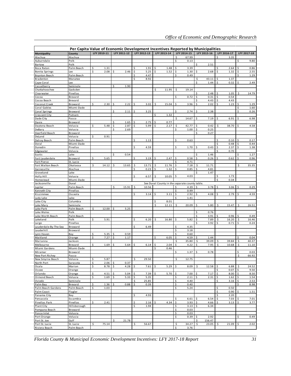|                                |                        |             |    |             |                     |             | Per Capita Value of Economic Development Incentives Reported by Municipalities |          |                                                |          |               |          |              |               |              |
|--------------------------------|------------------------|-------------|----|-------------|---------------------|-------------|--------------------------------------------------------------------------------|----------|------------------------------------------------|----------|---------------|----------|--------------|---------------|--------------|
| Municipality                   | County                 | LFY 2010-11 |    | LFY 2011-12 |                     | LFY 2012-13 | LFY 2013-14                                                                    |          | LFY 2014-15                                    |          | LFY 2015-16   |          | LFY 2016-17  |               | LFY 2017-18  |
| Alachua                        | Alachua                |             |    |             |                     |             |                                                                                | \$       | 67.99                                          |          |               | \$       | 3.35         |               |              |
| Auburndale                     | Polk                   |             |    |             |                     |             |                                                                                | \$       | 0.13                                           |          |               |          |              | \$            | 9.80         |
| Bartow                         | Polk                   |             |    |             |                     |             |                                                                                |          |                                                | \$       | 2.51          |          |              |               |              |
| Boca Raton                     | Palm Beach             | \$<br>1.31  |    |             | \$                  | 1.91        | \$<br>1.48                                                                     | \$       | 3.39                                           |          |               | \$       | 2.64         | Ś             | 0.86         |
| <b>Bonita Springs</b>          | Lee                    | \$<br>2.08  | \$ | 2.46        | \$                  | 5.25        | \$<br>1.52                                                                     | \$       | 1.30                                           | \$       | 2.68          | \$       | 1.32         | \$            | 2.55         |
| <b>Boynton Beach</b>           | Palm Beach             |             |    |             | \$                  | 4.47        |                                                                                | \$       | 0.49                                           |          |               |          |              |               | 1.29         |
| Bradenton                      | Manatee                |             |    |             | \$                  | 8.92        |                                                                                |          |                                                | \$<br>\$ | 43.11<br>1.44 | \$<br>\$ | 1.37         | \$            | 2.49         |
| Cape Coral<br>Casselberry      | Lee<br>Seminole        |             | \$ | 1.90        |                     |             |                                                                                |          |                                                |          |               |          | 0.32         |               |              |
| Chattahoochee                  | Gadsden                |             |    |             |                     |             | \$<br>11.95                                                                    | \$       | 19.14                                          |          |               |          |              |               |              |
| Clearwater                     | Pinellas               |             |    |             |                     |             |                                                                                |          |                                                | \$       | 2.48          | \$       | 1.05         | \$            | 14.79        |
| Cocoa                          | Brevard                |             |    |             |                     |             |                                                                                | \$       | 0.72                                           | \$       | 0.31          | \$       | 0.54         |               |              |
| Cocoa Beach                    | Brevard                |             |    |             |                     |             |                                                                                |          |                                                | \$       | 4.43          | \$       | 4.43         |               |              |
| Coconut Creek                  | Broward                | \$<br>2.30  | \$ | 2.22        | \$                  | 3.02        | \$<br>15.04                                                                    | \$       | 3.96                                           | \$       | 2.02          | \$       | 1.23         | \$            | 1.29         |
| Coral Gables                   | Miami-Dade             |             |    |             |                     |             |                                                                                |          |                                                |          |               |          |              | \$            | 1.60         |
| Coral Springs                  | Broward                |             | \$ | 2.11        | \$                  | 3.25        |                                                                                | \$       | 2.74                                           | \$       | 2.38          |          |              | \$            | 0.26         |
| Crescent City<br>Dade City     | Putnam<br>Pasco        |             |    |             |                     |             | \$<br>1.32                                                                     | \$       | 14.67                                          | \$       | 7.19          | \$       | 6.91         | \$            | 6.98         |
| Davie                          | Broward                |             | \$ | 1.65        | \$                  | 2.75        | \$<br>0.77                                                                     |          |                                                |          |               |          |              |               |              |
| Daytona Beach                  | Volusia                | \$<br>5.48  | \$ | 2.87        | \$                  | 5.99        | \$<br>2.17                                                                     | \$       | 42.77                                          | \$       | 0.42          | \$       | 38.70        | \$            | 4.58         |
| DeBary                         | Volusia                |             | \$ | 2.69        |                     |             |                                                                                | \$       | 1.00                                           | \$       | 0.25          |          |              |               |              |
| Deerfield Beach                | Broward                |             |    |             |                     |             |                                                                                |          |                                                | \$       | 0.27          |          |              |               |              |
| DeLand                         | Volusia                | \$<br>0.91  |    |             |                     |             |                                                                                |          |                                                |          |               |          |              |               |              |
| Delray Beach                   | Palm Beach             |             |    |             | \$                  | 1.13        |                                                                                | \$       | 0.63                                           |          |               | \$       | 0.10         | \$            | 0.17         |
| Doral                          | Miami-Dade             |             |    |             |                     |             |                                                                                |          |                                                |          |               | \$       | 0.48         | \$            | 0.44         |
| Dunedin                        | Pinellas               |             |    |             | \$                  | 4.59        |                                                                                | \$       | 1.70                                           | \$       | 0.43          | \$       | 2.37         | \$            | 1.38         |
| Edgewater                      | Volusia<br>Lake        |             |    | 0.54        |                     |             |                                                                                |          |                                                |          | 1.46          | Ś        | 0.70         |               |              |
| Eustis<br>Fort Lauderdale      | Broward                | \$<br>5.65  | \$ |             | \$                  | 3.19        | \$<br>2.47                                                                     | \$       | 0.58                                           | \$<br>\$ | 0.26          | \$       | 0.62         | \$<br>\$      | 1.27<br>0.96 |
| Fort Pierce                    | St. Lucie              |             |    |             |                     |             |                                                                                | \$       | 4.71                                           |          |               |          |              |               |              |
| Fort Walton Beach              | Okaloosa               | \$<br>14.12 | \$ | 13.65       | Ś                   | 13.71       | \$<br>11.76                                                                    | \$       | 7.18                                           | \$       | 11.71         |          |              | \$            | 35.35        |
| Gainesville                    | Alachua                |             |    |             | \$                  | 0.23        | \$<br>1.32                                                                     | \$       | 0.85                                           | \$       | 4.81          |          |              |               |              |
| Groveland                      | Lake                   |             |    |             |                     |             |                                                                                |          |                                                | \$       | 1.47          |          |              |               |              |
| Holly Hill                     | Volusia                |             |    |             | \$                  | 6.57        | \$<br>10.05                                                                    | \$       | 4.03                                           |          |               | \$       | 1.73         |               |              |
| Homes tea d                    | Miami-Dade             |             |    |             |                     |             |                                                                                |          |                                                |          |               | Ś        | 0.34         |               |              |
| Jacksonville                   | Duval                  |             |    |             |                     |             |                                                                                |          | See Duval County in the separate county table. |          |               |          |              |               |              |
| Jupiter<br>Kenneth City        | Palm Beach<br>Pinellas |             | \$ | 15.91       | \$                  | 10.56       |                                                                                | \$<br>\$ | 4.39<br>0.99                                   | \$       | 3.78          | \$       | 3.06         | \$            | 0.29         |
| Kissimmee                      | Osceola                |             |    |             | \$                  | 3.14        | \$<br>3.11                                                                     | \$       | 2.92                                           | \$       | 4.08          | \$       | 2.79         | \$            | 4.59         |
| Lady Lake                      | Lake                   |             |    |             |                     |             |                                                                                | \$       | 1.41                                           |          |               |          |              |               |              |
| Lake City                      | Columbia               |             |    |             |                     |             | \$<br>8.01                                                                     |          |                                                |          |               |          |              |               |              |
| Lake Mary                      | Seminole               |             |    |             |                     |             | \$<br>12.11                                                                    | \$       | 20.09                                          | \$       | 5.80          | \$       | 15.47        | \$            | 26.51        |
| Lake Park                      | Palm Beach             | \$<br>12.00 | \$ | 5.25        |                     |             |                                                                                |          |                                                |          |               |          |              |               |              |
| Lake Wales                     | Polk                   |             |    |             |                     |             |                                                                                |          |                                                | \$       | 0.76          |          |              |               |              |
| Lake Worth Beach               | Palm Beach             |             |    |             |                     |             |                                                                                |          |                                                | \$       | 3.91          | \$       | 0.96         | \$            | 0.49         |
| Lakeland                       | Polk                   | \$<br>5.91  |    |             | \$                  | 6.20        | \$<br>16.80                                                                    | \$       | 5.82                                           | \$       | 7.89          | \$       | 16.20        | \$            | 16.46        |
| Largo<br>Lauderdale-By-The-Sea | Pinellas               |             |    |             | \$                  | 6.49        |                                                                                | \$       | 4.35                                           | Ś        | 3.92          | Ś        | 0.71         | Ś             | 0.24         |
| Lauderhill                     | Broward<br>Broward     |             |    |             |                     |             |                                                                                | \$       | 3.18                                           |          |               |          |              |               |              |
| Lynn Haven                     | Bay                    | \$<br>5.35  | \$ | 0.59        |                     |             |                                                                                | \$       | 0.60                                           |          |               |          |              |               |              |
| Maitland                       | Orange                 | \$<br>7.27  | \$ | 1.17        |                     |             | \$<br>6.05                                                                     | \$       | 4.59                                           | \$       | 1.44          |          |              | Ś             | 0.04         |
| Marianna                       | Jackson                |             |    |             |                     |             |                                                                                | \$       | 35.80                                          | \$       | 39.09         | \$       | 39.84        | \$            | 40.37        |
| Melbourne                      | Brevard                | \$<br>1.69  | Ś  | 5.64        | Ś                   | 6.14        | \$<br>2.04                                                                     | \$       | 4.22                                           | Ś        | 7.95          | \$       | 10.68        | \$            | 11.10        |
| Miami Gardens                  | Miami-Dade             |             |    |             |                     |             | \$<br>0.46                                                                     |          |                                                |          |               |          |              |               |              |
| Miramar                        | Broward                |             |    |             |                     |             |                                                                                | \$       | 1.37                                           | \$       | 0.78          |          |              | \$            | 0.03         |
| New Port Richey                | Pasco                  | \$<br>5.87  |    |             | \$                  | 29.50       |                                                                                | \$       |                                                |          |               |          |              | \$            | 66.92        |
| New Smyrna Beach<br>North Port | Volusia<br>Sarasota    | \$<br>2.06  | \$ | 0.37        |                     |             |                                                                                |          | 12.75                                          |          |               |          |              |               |              |
| Ocala                          | Marion                 | \$<br>8.78  | \$ | 4.28        | $\ddot{\mathsf{S}}$ | 7.61        | \$<br>5.29                                                                     | \$       | 8.09                                           | \$       | 12.58         | \$       | 6.88         | $\frac{1}{2}$ | 24.52        |
| Ocoee                          | Orange                 |             |    |             |                     |             |                                                                                |          |                                                |          |               | \$       | 0.07         | \$            | 9.50         |
| Orlando                        | Orange                 | \$<br>4.51  | \$ | 5.04        | \$                  | 7.39        | \$<br>5.70                                                                     | \$       | 7.00                                           | \$       | 7.17          | \$       | 8.00         | \$            | 8.50         |
| Ormond Beach                   | Volusia                | \$<br>1.69  | Ś  | 5.33        | \$                  | 5.35        |                                                                                | Ś        | 2.11                                           |          | 2.31          | \$       | 1.62         | \$            | 1.54         |
| Oviedo                         | Seminole               |             |    |             | \$                  | 25.85       |                                                                                | \$       | 4.40                                           |          |               | \$       | 3.16         | \$            | 2.53         |
| Palm Bay                       | Brevard                | \$<br>1.36  | \$ | 0.88        | \$                  | 0.39        |                                                                                | \$       | 0.40                                           |          |               |          |              | Ś             | 8.98         |
| Palm Beach Gardens             | Palm Beach             | \$<br>1.03  |    |             |                     |             |                                                                                | \$       | 5.24                                           |          |               | \$       | 0.50         |               |              |
| Palm Coast                     | Flagler                |             |    |             | \$                  |             |                                                                                |          |                                                |          |               | \$<br>\$ | 0.90         |               | 1.51         |
| Panama City<br>Pensacola       | Bay<br>Escambia        |             |    |             |                     | 4.93        |                                                                                | \$       | 6.61                                           | \$       | 6.54          | \$       | 2.20<br>7.03 | \$            | 7.01         |
| Pinellas Park                  | Pinellas               | \$<br>2.41  |    |             | \$                  | 2.16        | \$<br>4.34                                                                     | \$       | 3.93                                           | \$       | 4.66          | \$       | 3.13         | \$            | 3.77         |
| Plant City                     | Hillsborough           |             |    |             | \$                  | 1.94        |                                                                                | \$       | 3.13                                           | \$       | 6.34          |          |              |               |              |
| Pompano Beach                  | Broward                |             |    |             |                     |             |                                                                                | \$       | 0.03                                           |          |               |          |              |               |              |
| Ponce Inlet                    | Volusia                |             |    |             |                     |             |                                                                                | \$       | 0.03                                           |          |               |          |              |               |              |
| Port Orange                    | Volusia                |             |    |             |                     |             |                                                                                | \$       | 0.39                                           | \$       | 2.92          |          |              | \$            | 0.49         |
| Port St. Joe                   | Gulf                   |             | \$ | 21.78       |                     |             |                                                                                |          |                                                | \$       | 156.47        |          |              |               |              |
| Port St. Lucie                 | St. Lucie              | \$<br>75.14 |    |             | \$                  | 56.67       |                                                                                | \$       | 34.27                                          | \$       | 23.05         | \$       | 21.09        | \$            | 2.02         |
| Riviera Beach                  | Palm Beach             |             |    |             |                     |             |                                                                                | \$       | 3.76                                           |          |               |          |              |               |              |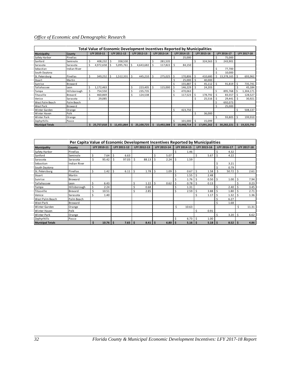|                         |                     |     |             |     |             |     | Total Value of Economic Development Incentives Reported by Municipalities |    |             |    |             |     |             |     |             |     |             |
|-------------------------|---------------------|-----|-------------|-----|-------------|-----|---------------------------------------------------------------------------|----|-------------|----|-------------|-----|-------------|-----|-------------|-----|-------------|
| Municipality            | County              |     | LFY 2010-11 |     | LFY 2011-12 |     | LFY 2012-13                                                               |    | LFY 2013-14 |    | LFY 2014-15 |     | LFY 2015-16 |     | LFY 2016-17 |     | LFY 2017-18 |
| Safety Harbor           | Pinellas            |     |             |     |             |     |                                                                           |    |             | Ś  | 25,000      |     |             |     | 75,000      |     |             |
| Sanford                 | Seminole            | \$  | 408,232     | -Ś  | 358,530     |     |                                                                           | Ś. | 281,535     |    |             | \$  | 324,563     | -Ś  | 243,901     |     |             |
| Sarasota                | Sarasota            | Ś   | 4,972,658   | -Ś  | 5,095,761   | -S  | 4,643,682                                                                 | Ś  | 117,822     | Ŝ  | 84,150      |     |             |     |             |     |             |
| Sebastian               | <b>Indian River</b> |     |             |     |             |     |                                                                           |    |             |    |             |     |             | Ś   | 77,700      |     |             |
| South Daytona           |                     |     |             |     |             |     |                                                                           |    |             |    |             |     |             |     | 10,000      |     |             |
| St. Petersburg          | Pinellas            | Ś   | 349,252     | -Ś  | 1,512,331   | \$. | 445,210                                                                   | ς. | 275,025     | Ś  | 170,806     | Ŝ   | 410,680     | Ŝ   | 13,378,165  | -Ś  | 693,962     |
| Stuart                  | Martin              |     |             |     |             |     |                                                                           |    |             |    | 25,000      | Ś   | 40,000      |     |             |     |             |
| Sunrise                 | Broward             |     |             |     |             |     |                                                                           |    |             |    | 155,887     | \$. | 45,112      | Ŝ.  | 91,819      | -Ś  | 735,741     |
| Tallahassee             | Leon                | Ś   | 1,172,463   |     |             | \$  | 223,405                                                                   |    | 115,000     |    | 146,229     | Ś   | 24,203      |     |             |     | 45,184      |
| Tampa                   | Hillsborough        | \$. | 754,550     |     |             |     | 235,735                                                                   |    |             |    | 470,063     |     |             | Ś   | 895,768     | - Ś | 1,304,171   |
| Titusville              | Brevard             | Ś   | 460,869     |     |             | Ś   | 124,538                                                                   |    |             |    | 117,523     | Ŝ.  | 178,792     | Ŝ.  | 83,557      | -\$ | 128,527     |
| Venice                  | Sarasota            | Ś.  | 29,085      |     |             |     |                                                                           |    |             |    |             | Ś   | 25,516      | -Ś  | 29,441      | -Ś  | 30,921      |
| West Palm Beach         | Palm Beach          |     |             |     |             |     |                                                                           |    |             |    |             |     |             |     | 692,073     |     |             |
| West Park               | Broward             |     |             |     |             |     |                                                                           |    |             |    |             |     |             |     | 25,000      |     |             |
| Winter Garden           | Orange              |     |             |     |             |     |                                                                           |    |             | Ś  | 423,750     |     |             |     |             | \$  | 508,137     |
| Winter Haven            | Polk                |     |             |     |             |     |                                                                           |    |             |    |             | \$  | 36,000      |     |             |     |             |
| <b>Winter Park</b>      | Orange              |     |             |     |             |     |                                                                           |    |             |    |             |     |             |     | 93,805      | -\$ | 199,910     |
| Zephyrhills             | Pasco               |     |             |     |             |     |                                                                           |    |             |    | 101,000     | Ś   | 15,099      |     |             |     |             |
| <b>Municipal Totals</b> |                     | \$  | 25,757,018  | \$. | 11,451,864  | \$  | 25,100,725                                                                | \$ | 13,492,588  | \$ | 19,448,714  | \$  | 17,091,262  | \$. | 30,282,221  | \$  | 19,325,792  |

|                         | Per Capita Value of Economic Development Incentives Reported by Municipalities |    |             |    |             |    |             |    |                      |    |             |    |             |     |             |    |             |
|-------------------------|--------------------------------------------------------------------------------|----|-------------|----|-------------|----|-------------|----|----------------------|----|-------------|----|-------------|-----|-------------|----|-------------|
| Municipality            | County                                                                         |    | LFY 2010-11 |    | LFY 2011-12 |    | LFY 2012-13 |    | LFY 2013-14          |    | LFY 2014-15 |    | LFY 2015-16 |     | LFY 2016-17 |    | LFY 2017-18 |
| Safety Harbor           | Pinellas                                                                       |    |             |    |             |    |             |    |                      | Ś  | 1.46        |    |             |     | 4.32        |    |             |
| Sanford                 | Seminole                                                                       | \$ | 7.64        | Ŝ. | 6.63        |    |             | \$ | 5.07                 |    |             | Ś  | 5.67        |     | 4.22        |    |             |
| Sarasota                | Sarasota                                                                       | \$ | 95.42       | Ś  | 97.03       |    | 88.13       | Ś  | 2.24                 | Ŝ. | 1.59        |    |             |     |             |    |             |
| Sebastian               | Indian River                                                                   |    |             |    |             |    |             |    |                      |    |             |    |             | Ś   | 3.21        |    |             |
| South Daytona           |                                                                                |    |             |    |             |    |             |    |                      |    |             |    |             |     | 0.79        |    |             |
| St. Petersburg          | Pinellas                                                                       | \$ | 1.42        | Ŝ. | 6.11        | \$ | 1.78        | Ś  | 1.09                 | Ś  | 0.67        |    | 1.58        | \$  | 50.72       | Ŝ  | 2.61        |
| Stuart                  | Martin                                                                         |    |             |    |             |    |             |    |                      | Ś  | 1.55        | Ś  | 2.48        |     |             |    |             |
| Sunrise                 | Broward                                                                        |    |             |    |             |    |             |    |                      | Ś  | 1.76        |    | 0.50        |     | 1.00        |    | 7.94        |
| Tallahassee             | Leon                                                                           | Ś  | 6.43        |    |             | Ś  | 1.22        | Ś  | 0.62                 | Ś  | 0.78        | \$ | 0.13        |     |             |    | 0.23        |
| Tampa                   | Hillsborough                                                                   | \$ | 2.24        |    |             | \$ | 0.68        |    |                      | \$ | 1.31        |    |             | Ś   | 2.40        |    | 3.45        |
| Titusville              | Brevard                                                                        | \$ | 10.51       |    |             | \$ | 2.85        |    |                      | \$ | 2.59        | Ś  | 3.88        | l s | 1.80        | Ŝ. | 2.71        |
| Venice                  | Sarasota                                                                       | \$ | 1.40        |    |             |    |             |    |                      |    |             | Ś  | 1.17        |     | 1.32        |    | 1.36        |
| West Palm Beach         | Palm Beach                                                                     |    |             |    |             |    |             |    |                      |    |             |    |             |     | 6.27        |    |             |
| West Park               | Broward                                                                        |    |             |    |             |    |             |    |                      |    |             |    |             | Ś   | 1.68        |    |             |
| Winter Garden           | Orange                                                                         |    |             |    |             |    |             |    |                      | \$ | 10.63       |    |             |     |             | Ś. | 11.31       |
| <b>Winter Haven</b>     | Polk                                                                           |    |             |    |             |    |             |    |                      |    |             | Ś  | 0.91        |     |             |    |             |
| <b>Winter Park</b>      | Orange                                                                         |    |             |    |             |    |             |    |                      |    |             |    |             | Ś   | 3.20        | Ŝ. | 6.62        |
| Zephyrhills             | Pasco                                                                          |    |             |    |             |    |             |    |                      | Ś  | 6.73        |    | 1.00        |     |             |    |             |
| <b>Municipal Totals</b> |                                                                                | Ś. | 10.76       | -S | $7.65$   \$ |    | 8.41        | Ś  | $6.80$ $\frac{1}{5}$ |    | $5.16$   \$ |    | $5.18$   \$ |     | 8.52        |    | 4.86        |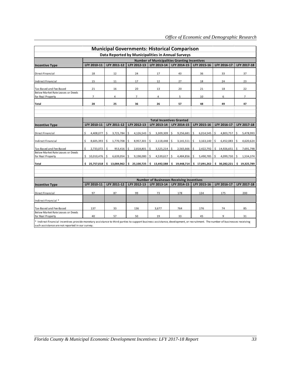|                                                                                                                                                                                                                                 |                                 |                  |                  | <b>Municipal Governments: Historical Comparison</b> |                     |                             |                  |                |  |  |  |  |  |  |  |
|---------------------------------------------------------------------------------------------------------------------------------------------------------------------------------------------------------------------------------|---------------------------------|------------------|------------------|-----------------------------------------------------|---------------------|-----------------------------|------------------|----------------|--|--|--|--|--|--|--|
|                                                                                                                                                                                                                                 |                                 |                  |                  | Data Reported by Municipalities in Annual Surveys   |                     |                             |                  |                |  |  |  |  |  |  |  |
|                                                                                                                                                                                                                                 |                                 |                  |                  | <b>Number of Municipalities Granting Incentives</b> |                     |                             |                  |                |  |  |  |  |  |  |  |
| <b>Incentive Type</b>                                                                                                                                                                                                           | LFY 2010-11                     | LFY 2011-12      | LFY 2012-13      | LFY 2013-14                                         | LFY 2014-15         | LFY 2015-16                 | LFY 2016-17      | LFY 2017-18    |  |  |  |  |  |  |  |
| <b>Direct Financial</b>                                                                                                                                                                                                         | 18                              | 12               | 24               | 17                                                  | 43                  | 36                          | 33               | 37             |  |  |  |  |  |  |  |
| <b>Indirect Financial</b>                                                                                                                                                                                                       | 15                              | 11               | 17               | 12                                                  | 27                  | 18                          | 24               | 23             |  |  |  |  |  |  |  |
| Tax-Based and Fee-Based                                                                                                                                                                                                         | 21                              | 16               | 20               | 13                                                  | 20                  | 21                          | 18               | 22             |  |  |  |  |  |  |  |
| Below Market Rate Leases or Deeds<br>for Real Property                                                                                                                                                                          | $\overline{7}$                  | $\overline{4}$   | $\overline{7}$   | 4                                                   | 5                   | 10                          | 6                | $\overline{7}$ |  |  |  |  |  |  |  |
| <b>Total</b>                                                                                                                                                                                                                    | 28                              | 25               | 36               | 26                                                  | 57                  | 48                          | 49               | 47             |  |  |  |  |  |  |  |
|                                                                                                                                                                                                                                 |                                 |                  |                  |                                                     |                     |                             |                  |                |  |  |  |  |  |  |  |
|                                                                                                                                                                                                                                 | <b>Total Incentives Granted</b> |                  |                  |                                                     |                     |                             |                  |                |  |  |  |  |  |  |  |
| <b>Incentive Type</b>                                                                                                                                                                                                           | LFY 2010-11                     | LFY 2011-12      | LFY 2012-13      | LFY 2013-14                                         | LFY 2014-15         | LFY 2015-16                 | LFY 2016-17      | LFY 2017-18    |  |  |  |  |  |  |  |
| <b>Direct Financial</b>                                                                                                                                                                                                         | Ś<br>4,408,077                  | Ś<br>3,721,784   | 4,126,543<br>Ŝ.  | \$<br>3,309,309                                     | 9,256,681<br>Ŝ.     | 6,014,545<br>Ŝ.             | \$<br>4,803,757  | 5,478,993<br>Ś |  |  |  |  |  |  |  |
| <b>Indirect Financial</b>                                                                                                                                                                                                       | \$<br>8,605,393                 | 1,770,708        | \$<br>8,957,301  | \$<br>2,118,448                                     | 3,141,511<br>l s    | \$<br>3,163,140             | Ŝ.<br>6,452,083  | 4,620,624<br>Ŝ |  |  |  |  |  |  |  |
| Tax-Based and Fee-Based                                                                                                                                                                                                         | Ś.<br>2,733,072                 | \$<br>953,416    | 2,818,801<br>\$. | \$<br>3,525,214                                     | 2,565,666<br>S.     | \$<br>2,422,792             | 14,926,651<br>\$ | 7,691,798<br>Ŝ |  |  |  |  |  |  |  |
| Below Market Rate Leases or Deeds<br>for Real Property                                                                                                                                                                          | \$10,010,476                    | 6,639,054<br>Ś   | -\$<br>9,198,080 | \$<br>4,539,617                                     | 4,484,856 \$<br>Is. | 5,490,785                   | \$<br>4,099,730  | Ś<br>1,534,374 |  |  |  |  |  |  |  |
| <b>Total</b>                                                                                                                                                                                                                    | \$25,757,018                    | Ś.<br>13,084,962 | \$25,100,725     | \$13,492,588                                        |                     | $$19,448,714$ $$17,091,262$ | \$30,282,221     | \$19,325,789   |  |  |  |  |  |  |  |
|                                                                                                                                                                                                                                 |                                 |                  |                  |                                                     |                     |                             |                  |                |  |  |  |  |  |  |  |
|                                                                                                                                                                                                                                 |                                 |                  |                  | <b>Number of Businesses Receiving Incentives</b>    |                     |                             |                  |                |  |  |  |  |  |  |  |
| <b>Incentive Type</b>                                                                                                                                                                                                           | LFY 2010-11                     | LFY 2011-12      | LFY 2012-13      | LFY 2013-14                                         | LFY 2014-15         | LFY 2015-16                 | LFY 2016-17      | LFY 2017-18    |  |  |  |  |  |  |  |
| Direct Financial                                                                                                                                                                                                                | 97                              | 87               | 99               | 73                                                  | 178                 | 134                         | 175              | 200            |  |  |  |  |  |  |  |
| Indirect Financial *                                                                                                                                                                                                            |                                 |                  |                  |                                                     |                     |                             |                  |                |  |  |  |  |  |  |  |
| Tax-Based and Fee-Based                                                                                                                                                                                                         | 137                             | 33               | 136              | 3,677                                               | 764                 | 176                         | 74               | 85             |  |  |  |  |  |  |  |
| Below Market Rate Leases or Deeds<br>for Real Property                                                                                                                                                                          | 40                              | 57               | 50               | 19                                                  | 33                  | 45                          | 9                | 31             |  |  |  |  |  |  |  |
| * Indirect financial incentives provide monetary assistance to third parties to support business assistance, development, or recruitment. The number of businesses receiving<br>such assistance are not reported in our survey. |                                 |                  |                  |                                                     |                     |                             |                  |                |  |  |  |  |  |  |  |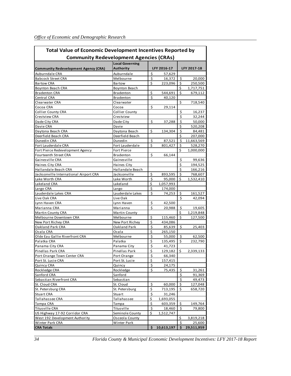| <b>Total Value of Economic Development Incentives Reported by</b><br><b>Community Redevelopment Agencies (CRAs)</b> |                        |                  |             |                    |             |  |  |  |  |  |  |  |
|---------------------------------------------------------------------------------------------------------------------|------------------------|------------------|-------------|--------------------|-------------|--|--|--|--|--|--|--|
|                                                                                                                     |                        |                  |             |                    |             |  |  |  |  |  |  |  |
|                                                                                                                     | <b>Local Governing</b> |                  |             |                    |             |  |  |  |  |  |  |  |
| <b>Community Redevelopment Agency (CRA)</b>                                                                         | <b>Authority</b>       |                  | LFY 2016-17 |                    | LFY 2017-18 |  |  |  |  |  |  |  |
| Auburndale CRA                                                                                                      | Auburndale             | \$               | 57,629      |                    |             |  |  |  |  |  |  |  |
| <b>Babcock Street CRA</b>                                                                                           | Melbourne              | $\zeta$          | 16,372      | \$                 | 20,000      |  |  |  |  |  |  |  |
| <b>Bartow CRA</b>                                                                                                   | Bartow                 | \$               | 223,096     | \$                 | 250,500     |  |  |  |  |  |  |  |
| <b>Boynton Beach CRA</b>                                                                                            | Boynton Beach          |                  |             | \$                 | 1,717,751   |  |  |  |  |  |  |  |
| <b>Bradenton CRA</b>                                                                                                | <b>Bradenton</b>       | \$               | 544,691     | $\zeta$            | 679,112     |  |  |  |  |  |  |  |
| Central CRA                                                                                                         | <b>Bradenton</b>       | \$               | 40,120      |                    |             |  |  |  |  |  |  |  |
| Clearwater CRA                                                                                                      | Clearwater             |                  |             | \$                 | 718,540     |  |  |  |  |  |  |  |
| Cocoa CRA                                                                                                           | Cocoa                  | \$               | 29,114      |                    |             |  |  |  |  |  |  |  |
| <b>Collier County CRA</b>                                                                                           | <b>Collier County</b>  |                  |             | \$                 | 16,237      |  |  |  |  |  |  |  |
| Crestview CRA                                                                                                       | Crestview              |                  |             | Ś                  | 32,244      |  |  |  |  |  |  |  |
| Dade City CRA                                                                                                       | Dade City              | \$               | 37,288      | \$                 | 50,000      |  |  |  |  |  |  |  |
| Davie CRA                                                                                                           | Davie                  |                  |             | \$                 | 520,208     |  |  |  |  |  |  |  |
| Daytona Beach CRA                                                                                                   | Daytona Beach          | \$               | 134,304     | \$                 | 84,481      |  |  |  |  |  |  |  |
| Deerfield Beach CRA                                                                                                 | Deerfield Beach        |                  |             | \$                 | 207,000     |  |  |  |  |  |  |  |
| Dunedin CRA                                                                                                         | Dunedin                | \$               | 87,521      | $\zeta$            | 11,663,569  |  |  |  |  |  |  |  |
| Fort Lauderdale CRA                                                                                                 | Fort Lauderdale        | \$               | 801,427     | \$                 | 528,270     |  |  |  |  |  |  |  |
| Fort Pierce Redevelopment Agency                                                                                    | <b>Fort Pierce</b>     |                  |             | Ś                  | 1,000,000   |  |  |  |  |  |  |  |
| Fourteenth Street CRA                                                                                               | <b>Bradenton</b>       | \$               | 66,144      |                    |             |  |  |  |  |  |  |  |
| Gainesville CRA                                                                                                     | Gainesville            |                  |             | \$                 | 99,636      |  |  |  |  |  |  |  |
| Haines City CRA                                                                                                     | Haines City            |                  |             | \$                 | 194,525     |  |  |  |  |  |  |  |
| Hallandale Beach CRA                                                                                                | Hallandale Beach       |                  |             | \$                 | 166,216     |  |  |  |  |  |  |  |
| Jacksonville International Airport CRA                                                                              | Jacksonville           | \$               | 893,595     | \$                 | 768,607     |  |  |  |  |  |  |  |
| Lake Worth CRA                                                                                                      | Lake Worth             | \$               | 95,000      | Ś                  | 1,532,410   |  |  |  |  |  |  |  |
| Lakeland CRA                                                                                                        | Lakeland               | \$               | 1,057,993   |                    |             |  |  |  |  |  |  |  |
| Largo CRA                                                                                                           | Largo                  | \$               | 174,000     |                    |             |  |  |  |  |  |  |  |
| Lauderdale Lakes CRA                                                                                                | Lauderdale Lakes       | Ś                | 74,253      | \$                 | 161,527     |  |  |  |  |  |  |  |
| Live Oak CRA                                                                                                        | Live Oak               |                  |             | Ś                  | 42,094      |  |  |  |  |  |  |  |
| Lynn Haven CRA                                                                                                      | Lynn Haven             | \$               | 42,500      |                    |             |  |  |  |  |  |  |  |
| Marianna CRA                                                                                                        | Marianna               | Ś                | 20,988      | \$                 | 19,605      |  |  |  |  |  |  |  |
| <b>Martin County CRA</b>                                                                                            | Martin County          |                  |             | \$                 | 1,219,848   |  |  |  |  |  |  |  |
| Melbourne Downtown CRA                                                                                              | Melbourne              | \$               | 115,460     | \$                 | 127,500     |  |  |  |  |  |  |  |
| New Port Richey CRA                                                                                                 | New Port Richey        | \$               | 434,086     |                    |             |  |  |  |  |  |  |  |
| Oakland Park CRA                                                                                                    | Oakland Park           | \$               | 85,639      | $\dot{\mathsf{S}}$ | 25,403      |  |  |  |  |  |  |  |
| Ocala CRA                                                                                                           | Ocala                  | \$               | 265,150     |                    |             |  |  |  |  |  |  |  |
| Olde Eau Gallie Riverfront CRA                                                                                      | Melbourne              | \$               | 55,000      | \$                 | 62,500      |  |  |  |  |  |  |  |
| Palatka CRA                                                                                                         | Palatka                | \$               | 135,495     | \$                 | 232,790     |  |  |  |  |  |  |  |
| Panama City CRA                                                                                                     | Panama City            | \$               | 41,723      |                    |             |  |  |  |  |  |  |  |
| Pinellas Park CRA                                                                                                   | Pinellas Park          | \$               | 129,182     | \$                 | 2,339,133   |  |  |  |  |  |  |  |
| Port Orange Town Center CRA                                                                                         | Port Orange            | \$               | 66,340      |                    |             |  |  |  |  |  |  |  |
| Port St. Lucie CRA                                                                                                  | Port St. Lucie         | \$               | 157,415     |                    |             |  |  |  |  |  |  |  |
| Quincy CRA                                                                                                          | Quincy                 | \$               | 24,175      |                    |             |  |  |  |  |  |  |  |
| Rockledge CRA                                                                                                       | Rockledge              | \$               | 75,435      | \$                 | 31,261      |  |  |  |  |  |  |  |
| Sanford CRA                                                                                                         | Sanford                |                  |             | \$                 | 91,369      |  |  |  |  |  |  |  |
| Sebastian Riverfront CRA                                                                                            | Sebastian              |                  |             | \$                 | 49,473      |  |  |  |  |  |  |  |
| St. Cloud CRA                                                                                                       | St. Cloud              | \$               | 60,000      | \$                 | 127,048     |  |  |  |  |  |  |  |
| St. Petersburg CRA                                                                                                  | St. Petersburg         | $\overline{\xi}$ | 713,195     | \$                 | 658,720     |  |  |  |  |  |  |  |
| <b>Stuart CRA</b>                                                                                                   | Stuart                 | $\frac{1}{2}$    | 31,246      |                    |             |  |  |  |  |  |  |  |
| Tallahassee CRA                                                                                                     | Tallahassee            | \$               | 1,693,055   |                    |             |  |  |  |  |  |  |  |
| Tampa CRA                                                                                                           | Tampa                  | \$               | 603,359     | \$                 | 149,764     |  |  |  |  |  |  |  |
| Titusville CRA                                                                                                      | Titusville             | \$               | 18,460      | \$                 | 79,800      |  |  |  |  |  |  |  |
| US Highway 17-92 Corridor CRA                                                                                       | Seminole County        | \$               | 1,512,747   |                    |             |  |  |  |  |  |  |  |
| West 192 Development Authority                                                                                      | Osceola County         |                  |             | \$                 | 3,819,218   |  |  |  |  |  |  |  |
| Winter Park CRA                                                                                                     | Winter Park            |                  |             | \$                 | 25,600      |  |  |  |  |  |  |  |
| <b>CRA Totals</b>                                                                                                   |                        | \$.              | 10,613,197  | Ś.                 | 29,511,959  |  |  |  |  |  |  |  |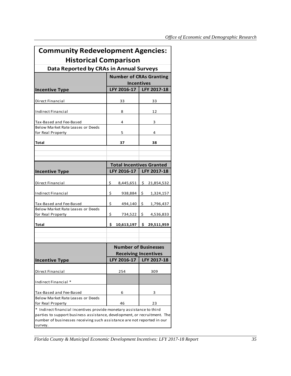| <b>Community Redevelopment Agencies:</b>                                                                                                                                                                                              |                                 |                  |
|---------------------------------------------------------------------------------------------------------------------------------------------------------------------------------------------------------------------------------------|---------------------------------|------------------|
| <b>Historical Comparison</b>                                                                                                                                                                                                          |                                 |                  |
| Data Reported by CRAs in Annual Surveys                                                                                                                                                                                               |                                 |                  |
|                                                                                                                                                                                                                                       | <b>Number of CRAs Granting</b>  |                  |
|                                                                                                                                                                                                                                       | <b>Incentives</b>               |                  |
| <b>Incentive Type</b>                                                                                                                                                                                                                 | LFY 2016-17                     | LFY 2017-18      |
| Direct Financial                                                                                                                                                                                                                      | 33                              | 33               |
| Indirect Financial                                                                                                                                                                                                                    | 8                               | 12               |
| Tax-Based and Fee-Based                                                                                                                                                                                                               | 4                               | 3                |
| Below Market Rate Leases or Deeds                                                                                                                                                                                                     |                                 |                  |
| for Real Property                                                                                                                                                                                                                     | 5                               | 4                |
| Total                                                                                                                                                                                                                                 | 37                              | 38               |
|                                                                                                                                                                                                                                       |                                 |                  |
|                                                                                                                                                                                                                                       |                                 |                  |
|                                                                                                                                                                                                                                       | <b>Total Incentives Granted</b> |                  |
| <b>Incentive Type</b>                                                                                                                                                                                                                 | LFY 2016-17                     | LFY 2017-18      |
| Direct Financial                                                                                                                                                                                                                      | \$<br>8,445,651                 | \$<br>21,854,532 |
| Indirect Financial                                                                                                                                                                                                                    | \$<br>938,884                   | \$<br>1,324,157  |
| Tax-Based and Fee-Based                                                                                                                                                                                                               | \$<br>494,140                   | \$<br>1,796,437  |
| Below Market Rate Leases or Deeds                                                                                                                                                                                                     |                                 |                  |
| for Real Property                                                                                                                                                                                                                     | \$<br>734,522                   | \$<br>4,536,833  |
| Total                                                                                                                                                                                                                                 | \$<br>10,613,197                | \$<br>29,511,959 |
|                                                                                                                                                                                                                                       |                                 |                  |
|                                                                                                                                                                                                                                       |                                 |                  |
|                                                                                                                                                                                                                                       | <b>Number of Businesses</b>     |                  |
|                                                                                                                                                                                                                                       | <b>Receiving Incentives</b>     |                  |
| <b>Incentive Type</b>                                                                                                                                                                                                                 | LFY 2016-17                     | LFY 2017-18      |
|                                                                                                                                                                                                                                       |                                 |                  |
| Direct Financial                                                                                                                                                                                                                      | 254                             | 309              |
| Indirect Financial *                                                                                                                                                                                                                  |                                 |                  |
| Tax-Based and Fee-Based                                                                                                                                                                                                               | 6                               | 3                |
| Below Market Rate Leases or Deeds                                                                                                                                                                                                     |                                 |                  |
| for Real Property                                                                                                                                                                                                                     | 46                              | 23               |
| * Indirect financial incentives provide monetary assistance to third<br>parties to support business assistance, development, or recruitment. The<br>number of businesses receiving such assistance are not reported in our<br>survey. |                                 |                  |

*Florida County & Municipal Economic Development Incentives: LFY 2017-18 Report 35*